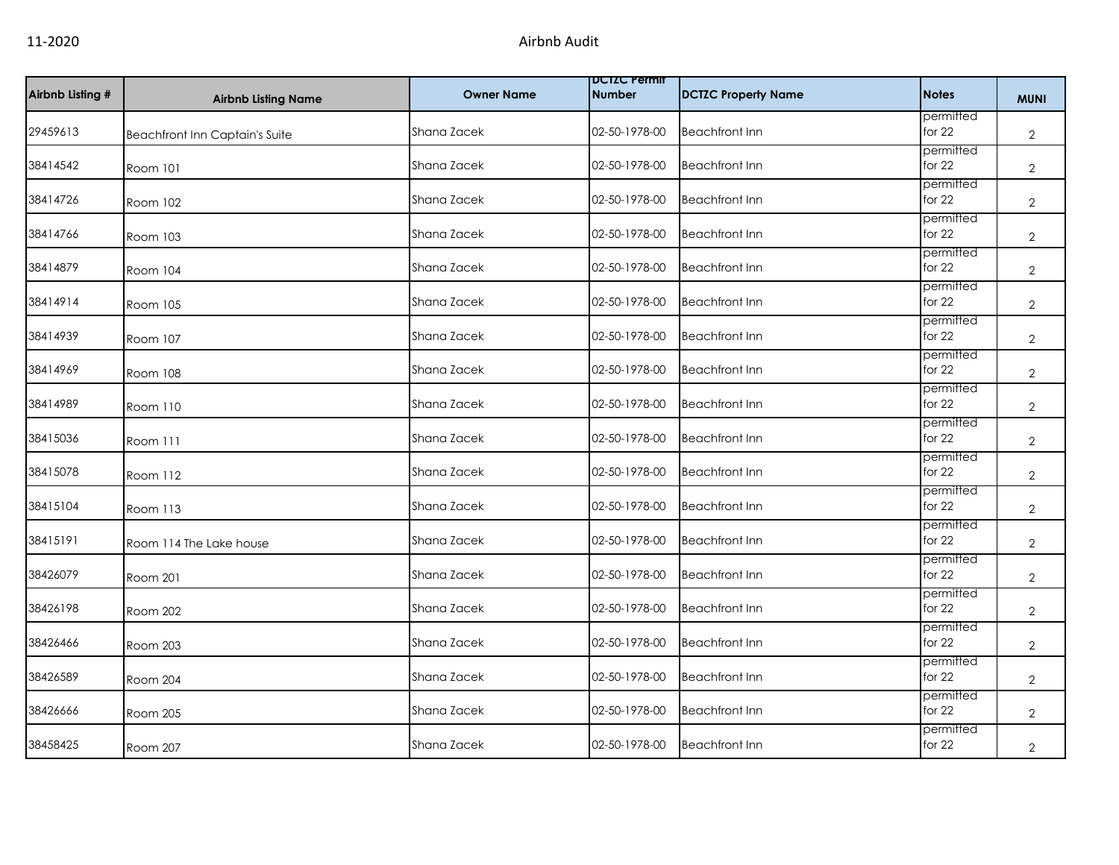| Airbnb Listing # | <b>Airbnb Listing Name</b>            | <b>Owner Name</b> | <b>DUIZU Permit</b><br><b>Number</b> | <b>DCTZC Property Name</b> | <b>Notes</b>          | <b>MUNI</b>    |
|------------------|---------------------------------------|-------------------|--------------------------------------|----------------------------|-----------------------|----------------|
| 29459613         | <b>Beachfront Inn Captain's Suite</b> | Shana Zacek       | 02-50-1978-00                        | <b>Beachfront Inn</b>      | permitted<br>for 22   | $\overline{2}$ |
| 38414542         | Room 101                              | Shana Zacek       | 02-50-1978-00                        | <b>Beachfront Inn</b>      | permitted<br>for 22   | $\overline{2}$ |
| 38414726         | Room 102                              | Shana Zacek       | 02-50-1978-00                        | <b>Beachfront Inn</b>      | permitted<br>for $22$ | $\overline{2}$ |
| 38414766         | Room 103                              | Shana Zacek       | 02-50-1978-00                        | <b>Beachfront Inn</b>      | permitted<br>for 22   | $\overline{2}$ |
| 38414879         | Room 104                              | Shana Zacek       | 02-50-1978-00                        | <b>Beachfront Inn</b>      | permitted<br>for 22   | $\mathbf{2}$   |
| 38414914         | Room 105                              | Shana Zacek       | 02-50-1978-00                        | <b>Beachfront Inn</b>      | permitted<br>for $22$ | $\mathbf{2}$   |
| 38414939         | Room 107                              | Shana Zacek       | 02-50-1978-00                        | <b>Beachfront Inn</b>      | permitted<br>for $22$ | $\mathbf{2}$   |
| 38414969         | <b>Room 108</b>                       | Shana Zacek       | 02-50-1978-00                        | <b>Beachfront Inn</b>      | permitted<br>for 22   | $\mathbf{2}$   |
| 38414989         | Room 110                              | Shana Zacek       | 02-50-1978-00                        | <b>Beachfront Inn</b>      | permitted<br>for 22   | $\mathbf{2}$   |
| 38415036         | Room 111                              | Shana Zacek       | 02-50-1978-00                        | <b>Beachfront Inn</b>      | permitted<br>for $22$ | $\overline{2}$ |
| 38415078         | Room 112                              | Shana Zacek       | 02-50-1978-00                        | <b>Beachfront Inn</b>      | permitted<br>for $22$ | $\mathbf{2}$   |
| 38415104         | Room 113                              | Shana Zacek       | 02-50-1978-00                        | <b>Beachfront Inn</b>      | permitted<br>for 22   | $\mathbf{2}$   |
| 38415191         | Room 114 The Lake house               | Shana Zacek       | 02-50-1978-00                        | <b>Beachfront Inn</b>      | permitted<br>for $22$ | $\mathbf{2}$   |
| 38426079         | Room 201                              | Shana Zacek       | 02-50-1978-00                        | <b>Beachfront Inn</b>      | permitted<br>for 22   | $\overline{2}$ |
| 38426198         | Room 202                              | Shana Zacek       | 02-50-1978-00                        | <b>Beachfront Inn</b>      | permitted<br>for 22   | $\mathbf{2}$   |
| 38426466         | Room 203                              | Shana Zacek       | 02-50-1978-00                        | <b>Beachfront Inn</b>      | permitted<br>for $22$ | $\overline{2}$ |
| 38426589         | Room 204                              | Shana Zacek       | 02-50-1978-00                        | <b>Beachfront Inn</b>      | permitted<br>for $22$ | $\overline{2}$ |
| 38426666         | Room 205                              | Shana Zacek       | 02-50-1978-00                        | <b>Beachfront Inn</b>      | permitted<br>for 22   | $\mathbf{2}$   |
| 38458425         | Room 207                              | Shana Zacek       | 02-50-1978-00                        | <b>Beachfront Inn</b>      | permitted<br>for 22   | $\overline{2}$ |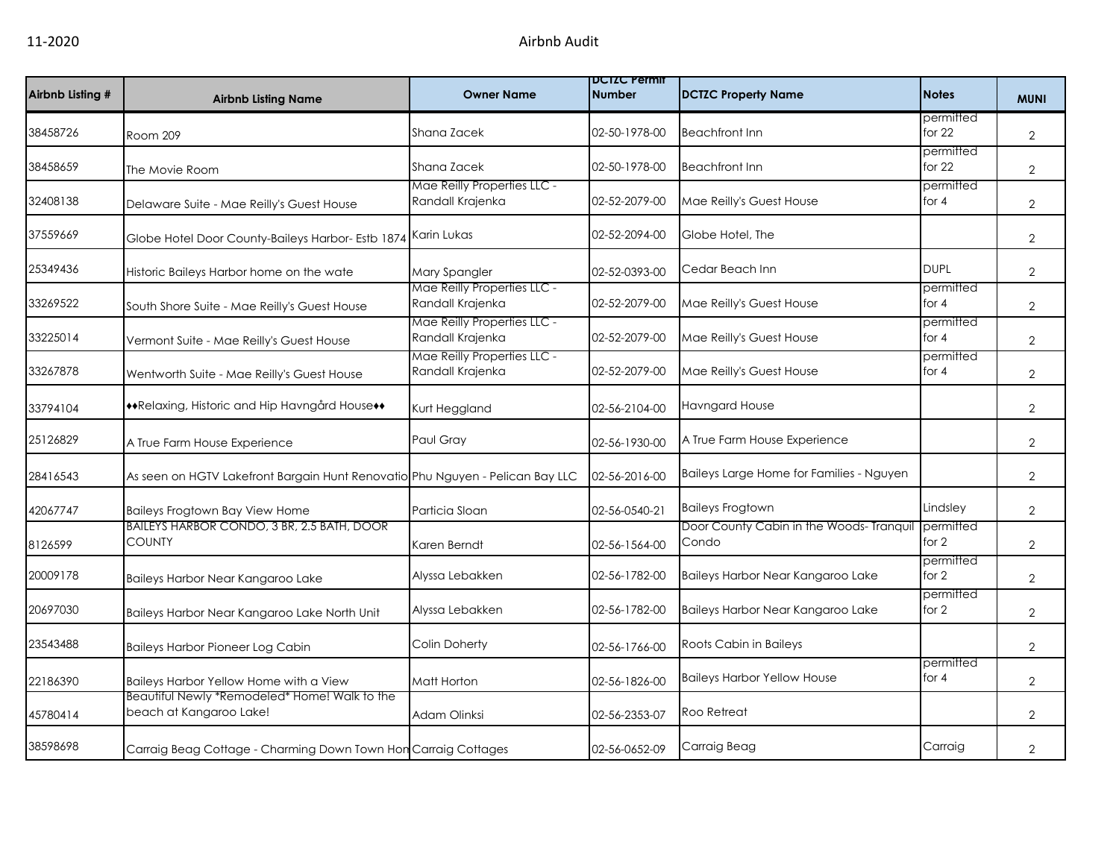| Airbnb Listing # | <b>Airbnb Listing Name</b>                                                    | <b>Owner Name</b>                               | <b>DUIZU Permit</b><br><b>Number</b> | DCTZC Property Name                               | <b>Notes</b>          | <b>MUNI</b>    |
|------------------|-------------------------------------------------------------------------------|-------------------------------------------------|--------------------------------------|---------------------------------------------------|-----------------------|----------------|
| 38458726         | Room 209                                                                      | Shana Zacek                                     | 02-50-1978-00                        | <b>Beachfront Inn</b>                             | permitted<br>for $22$ | $\overline{2}$ |
| 38458659         | The Movie Room                                                                | Shana Zacek                                     | 02-50-1978-00                        | <b>Beachfront Inn</b>                             | permitted<br>for $22$ | $\overline{2}$ |
| 32408138         | Delaware Suite - Mae Reilly's Guest House                                     | Mae Reilly Properties LLC -<br>Randall Krajenka | 02-52-2079-00                        | Mae Reilly's Guest House                          | permitted<br>for $4$  | $\overline{2}$ |
| 37559669         | Globe Hotel Door County-Baileys Harbor- Estb 1874                             | Karin Lukas                                     | 02-52-2094-00                        | Globe Hotel, The                                  |                       | $\overline{2}$ |
| 25349436         | Historic Baileys Harbor home on the wate                                      | Mary Spangler                                   | 02-52-0393-00                        | Cedar Beach Inn                                   | <b>DUPL</b>           | $\overline{2}$ |
| 33269522         | South Shore Suite - Mae Reilly's Guest House                                  | Mae Reilly Properties LLC -<br>Randall Krajenka | 02-52-2079-00                        | Mae Reilly's Guest House                          | permitted<br>for $4$  | $\overline{2}$ |
| 33225014         | Vermont Suite - Mae Reilly's Guest House                                      | Mae Reilly Properties LLC -<br>Randall Krajenka | 02-52-2079-00                        | Mae Reilly's Guest House                          | permitted<br>for $4$  | 2              |
| 33267878         | Wentworth Suite - Mae Reilly's Guest House                                    | Mae Reilly Properties LLC -<br>Randall Krajenka | 02-52-2079-00                        | Mae Reilly's Guest House                          | permitted<br>for $4$  | $\overline{2}$ |
| 33794104         | **Relaxing, Historic and Hip Havngård House**                                 | Kurt Heggland                                   | 02-56-2104-00                        | <b>Havngard House</b>                             |                       | $\overline{2}$ |
| 25126829         | A True Farm House Experience                                                  | Paul Gray                                       | 02-56-1930-00                        | A True Farm House Experience                      |                       | $\overline{2}$ |
| 28416543         | As seen on HGTV Lakefront Bargain Hunt Renovatio Phu Nguyen - Pelican Bay LLC |                                                 | 02-56-2016-00                        | Baileys Large Home for Families - Nguyen          |                       | $\overline{2}$ |
| 42067747         | Baileys Frogtown Bay View Home                                                | Particia Sloan                                  | 02-56-0540-21                        | <b>Baileys Frogtown</b>                           | Lindsley              | $\overline{2}$ |
| 8126599          | <b>BAILEYS HARBOR CONDO, 3 BR, 2.5 BATH, DOOR</b><br><b>COUNTY</b>            | Karen Berndt                                    | 02-56-1564-00                        | Door County Cabin in the Woods- Tranquil<br>Condo | permitted<br>for 2    | $\overline{2}$ |
| 20009178         | Baileys Harbor Near Kangaroo Lake                                             | Alyssa Lebakken                                 | 02-56-1782-00                        | Baileys Harbor Near Kangaroo Lake                 | permitted<br>for 2    | $\overline{2}$ |
| 20697030         | Baileys Harbor Near Kangaroo Lake North Unit                                  | Alyssa Lebakken                                 | 02-56-1782-00                        | Baileys Harbor Near Kangaroo Lake                 | permitted<br>for 2    | $\overline{2}$ |
| 23543488         | <b>Baileys Harbor Pioneer Log Cabin</b>                                       | Colin Doherty                                   | 02-56-1766-00                        | Roots Cabin in Baileys                            |                       | $\overline{2}$ |
| 22186390         | Baileys Harbor Yellow Home with a View                                        | Matt Horton                                     | 02-56-1826-00                        | <b>Baileys Harbor Yellow House</b>                | permitted<br>for $4$  | $\overline{2}$ |
| 45780414         | Beautiful Newly *Remodeled* Home! Walk to the<br>beach at Kangaroo Lake!      | Adam Olinksi                                    | 02-56-2353-07                        | Roo Retreat                                       |                       | $\overline{2}$ |
| 38598698         | Carraig Beag Cottage - Charming Down Town Hon Carraig Cottages                |                                                 | 02-56-0652-09                        | Carraig Beag                                      | Carraig               | $\overline{2}$ |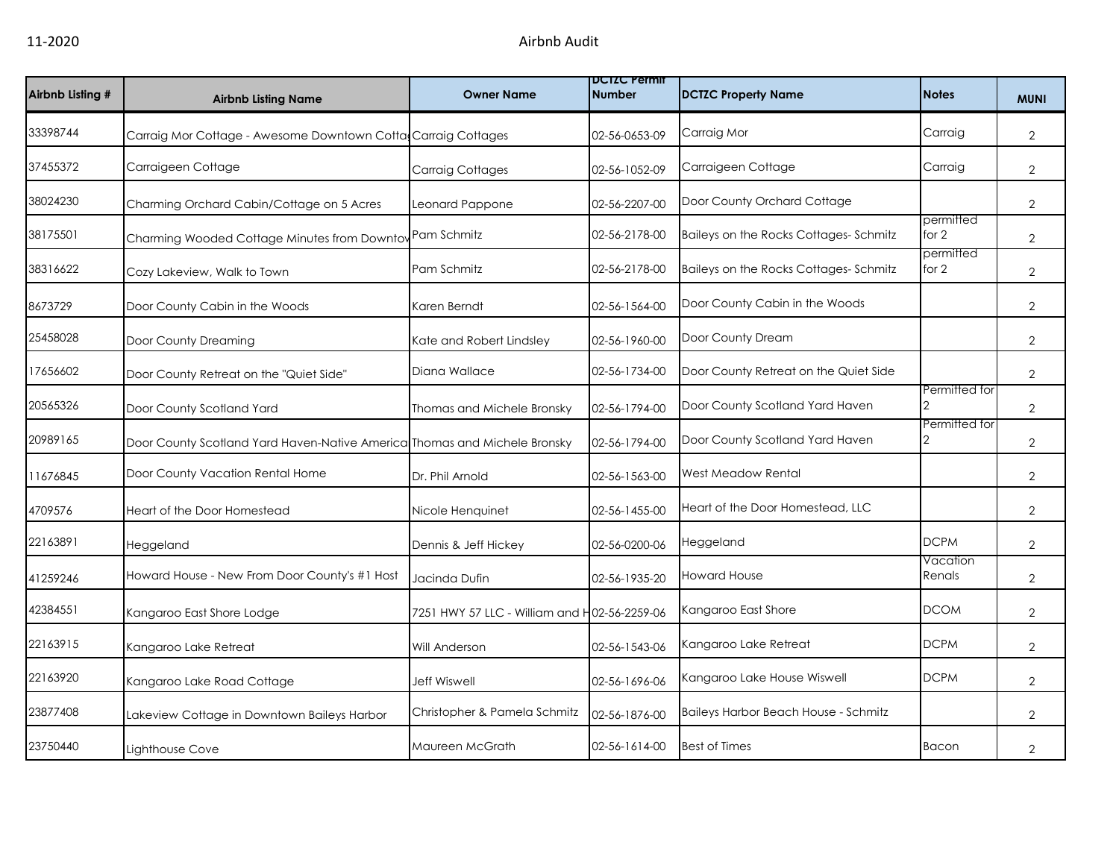| Airbnb Listing # | <b>Airbnb Listing Name</b>                                                | <b>Owner Name</b>                            | <b>DUIZU Permit</b><br><b>Number</b> | <b>DCTZC Property Name</b>            | <b>Notes</b>         | <b>MUNI</b>    |
|------------------|---------------------------------------------------------------------------|----------------------------------------------|--------------------------------------|---------------------------------------|----------------------|----------------|
| 33398744         | Carraig Mor Cottage - Awesome Downtown Cotta Carraig Cottages             |                                              | 02-56-0653-09                        | Carraig Mor                           | Carraig              | $\overline{2}$ |
| 37455372         | Carraigeen Cottage                                                        | <b>Carraig Cottages</b>                      | 02-56-1052-09                        | Carraigeen Cottage                    | Carraig              | $\overline{2}$ |
| 38024230         | Charming Orchard Cabin/Cottage on 5 Acres                                 | Leonard Pappone                              | 02-56-2207-00                        | Door County Orchard Cottage           |                      | 2              |
| 38175501         | Charming Wooded Cottage Minutes from Downtov Pam Schmitz                  |                                              | 02-56-2178-00                        | Baileys on the Rocks Cottages-Schmitz | permitted<br>for $2$ | 2              |
| 38316622         | Cozy Lakeview, Walk to Town                                               | Pam Schmitz                                  | 02-56-2178-00                        | Baileys on the Rocks Cottages-Schmitz | permitted<br>for 2   | $\overline{2}$ |
| 8673729          | Door County Cabin in the Woods                                            | Karen Berndt                                 | 02-56-1564-00                        | Door County Cabin in the Woods        |                      | 2              |
| 25458028         | Door County Dreaming                                                      | Kate and Robert Lindsley                     | 02-56-1960-00                        | Door County Dream                     |                      | 2              |
| 17656602         | Door County Retreat on the "Quiet Side"                                   | Diana Wallace                                | 02-56-1734-00                        | Door County Retreat on the Quiet Side |                      | $\overline{2}$ |
| 20565326         | Door County Scotland Yard                                                 | Thomas and Michele Bronsky                   | 02-56-1794-00                        | Door County Scotland Yard Haven       | Permitted for        | $\overline{2}$ |
| 20989165         | Door County Scotland Yard Haven-Native America Thomas and Michele Bronsky |                                              | 02-56-1794-00                        | Door County Scotland Yard Haven       | Permitted for        | 2              |
| 11676845         | Door County Vacation Rental Home                                          | Dr. Phil Arnold                              | 02-56-1563-00                        | <b>West Meadow Rental</b>             |                      | 2              |
| 4709576          | Heart of the Door Homestead                                               | Nicole Henquinet                             | 02-56-1455-00                        | Heart of the Door Homestead, LLC      |                      | 2              |
| 22163891         | Heggeland                                                                 | Dennis & Jeff Hickey                         | 02-56-0200-06                        | Heggeland                             | <b>DCPM</b>          | 2              |
| 41259246         | Howard House - New From Door County's #1 Host                             | Jacinda Dufin                                | 02-56-1935-20                        | <b>Howard House</b>                   | Vacation<br>Renals   | $\overline{2}$ |
| 42384551         | Kangaroo East Shore Lodge                                                 | 7251 HWY 57 LLC - William and H02-56-2259-06 |                                      | Kangaroo East Shore                   | <b>DCOM</b>          | $\overline{2}$ |
| 22163915         | Kangaroo Lake Retreat                                                     | Will Anderson                                | 02-56-1543-06                        | Kangaroo Lake Retreat                 | <b>DCPM</b>          | $\overline{2}$ |
| 22163920         | Kangaroo Lake Road Cottage                                                | <b>Jeff Wiswell</b>                          | 02-56-1696-06                        | Kangaroo Lake House Wiswell           | <b>DCPM</b>          | 2              |
| 23877408         | Lakeview Cottage in Downtown Baileys Harbor                               | Christopher & Pamela Schmitz                 | 02-56-1876-00                        | Baileys Harbor Beach House - Schmitz  |                      | 2              |
| 23750440         | Lighthouse Cove                                                           | Maureen McGrath                              | 02-56-1614-00                        | <b>Best of Times</b>                  | Bacon                | $\overline{2}$ |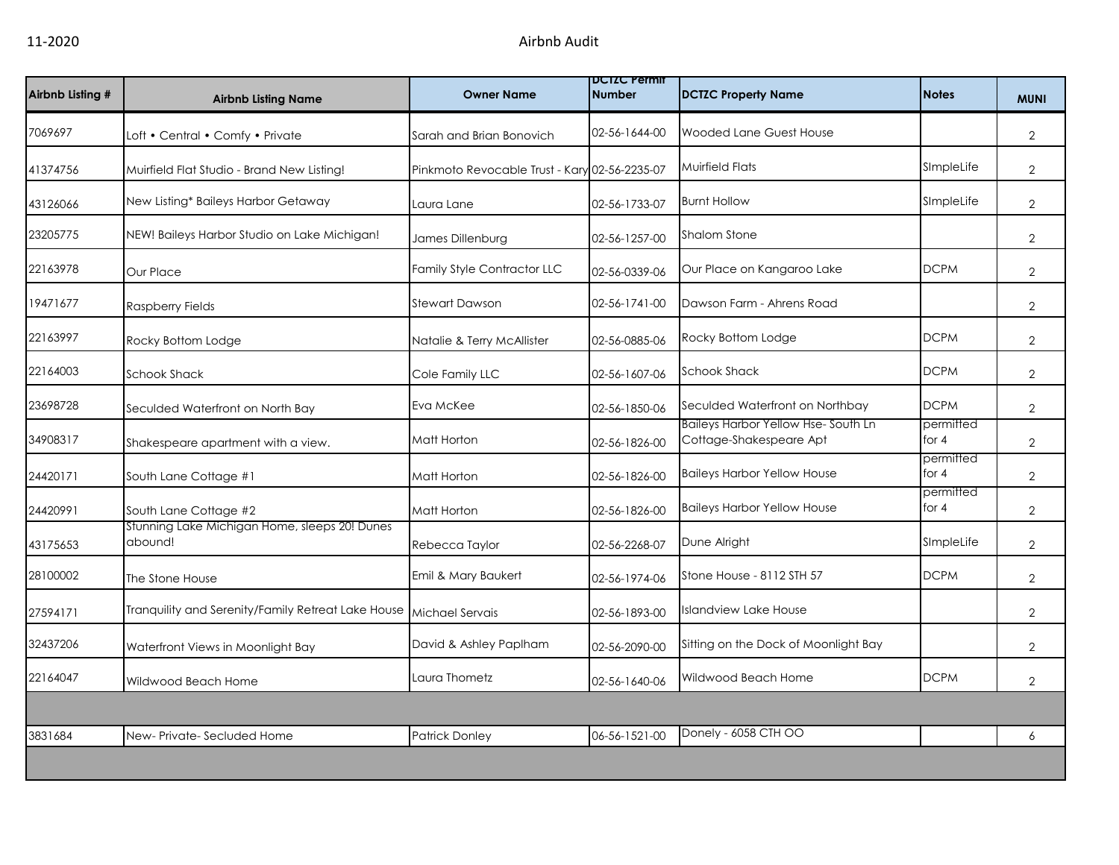| Airbnb Listing # | <b>Airbnb Listing Name</b>                               | <b>Owner Name</b>                             | <b>DCIZC Permit</b><br><b>Number</b> | <b>DCTZC Property Name</b>                                           | <b>Notes</b>         | <b>MUNI</b>    |
|------------------|----------------------------------------------------------|-----------------------------------------------|--------------------------------------|----------------------------------------------------------------------|----------------------|----------------|
| 7069697          | Loft • Central • Comfy • Private                         | Sarah and Brian Bonovich                      | 02-56-1644-00                        | Wooded Lane Guest House                                              |                      | $\overline{2}$ |
| 41374756         | Muirfield Flat Studio - Brand New Listing!               | Pinkmoto Revocable Trust - Kary 02-56-2235-07 |                                      | <b>Muirfield Flats</b>                                               | SImpleLife           | $\overline{2}$ |
| 43126066         | New Listing* Baileys Harbor Getaway                      | Laura Lane                                    | 02-56-1733-07                        | <b>Burnt Hollow</b>                                                  | SImpleLife           | $\overline{2}$ |
| 23205775         | NEW! Baileys Harbor Studio on Lake Michigan!             | James Dillenburg                              | 02-56-1257-00                        | <b>Shalom Stone</b>                                                  |                      | $\overline{2}$ |
| 22163978         | Our Place                                                | Family Style Contractor LLC                   | 02-56-0339-06                        | Our Place on Kangaroo Lake                                           | <b>DCPM</b>          | $\overline{2}$ |
| 19471677         | <b>Raspberry Fields</b>                                  | Stewart Dawson                                | 02-56-1741-00                        | Dawson Farm - Ahrens Road                                            |                      | $\overline{2}$ |
| 22163997         | Rocky Bottom Lodge                                       | Natalie & Terry McAllister                    | 02-56-0885-06                        | Rocky Bottom Lodge                                                   | <b>DCPM</b>          | $\overline{2}$ |
| 22164003         | <b>Schook Shack</b>                                      | Cole Family LLC                               | 02-56-1607-06                        | <b>Schook Shack</b>                                                  | <b>DCPM</b>          | $\overline{2}$ |
| 23698728         | Seculded Waterfront on North Bay                         | Eva McKee                                     | 02-56-1850-06                        | Seculded Waterfront on Northbay                                      | <b>DCPM</b>          | $\overline{2}$ |
| 34908317         | Shakespeare apartment with a view.                       | Matt Horton                                   | 02-56-1826-00                        | <b>Baileys Harbor Yellow Hse-South Ln</b><br>Cottage-Shakespeare Apt | permitted<br>for $4$ | $\overline{2}$ |
| 24420171         | South Lane Cottage #1                                    | Matt Horton                                   | 02-56-1826-00                        | <b>Baileys Harbor Yellow House</b>                                   | permitted<br>for $4$ | $\overline{2}$ |
| 24420991         | South Lane Cottage #2                                    | Matt Horton                                   | 02-56-1826-00                        | <b>Baileys Harbor Yellow House</b>                                   | permitted<br>for $4$ | $\overline{2}$ |
| 43175653         | Stunning Lake Michigan Home, sleeps 20! Dunes<br>abound! | Rebecca Taylor                                | 02-56-2268-07                        | Dune Alright                                                         | SImpleLife           | $\overline{2}$ |
| 28100002         | The Stone House                                          | Emil & Mary Baukert                           | 02-56-1974-06                        | Stone House - 8112 STH 57                                            | <b>DCPM</b>          | $\overline{2}$ |
| 27594171         | Tranquility and Serenity/Family Retreat Lake House       | <b>Michael Servais</b>                        | 02-56-1893-00                        | <b>Islandview Lake House</b>                                         |                      | $\overline{2}$ |
| 32437206         | Waterfront Views in Moonlight Bay                        | David & Ashley Paplham                        | 02-56-2090-00                        | Sitting on the Dock of Moonlight Bay                                 |                      | $\overline{2}$ |
| 22164047         | Wildwood Beach Home                                      | Laura Thometz                                 | 02-56-1640-06                        | Wildwood Beach Home                                                  | <b>DCPM</b>          | $\overline{2}$ |
|                  |                                                          |                                               |                                      |                                                                      |                      |                |
| 3831684          | New-Private-Secluded Home                                | <b>Patrick Donley</b>                         | 06-56-1521-00                        | Donely - 6058 CTH OO                                                 |                      | 6              |
|                  |                                                          |                                               |                                      |                                                                      |                      |                |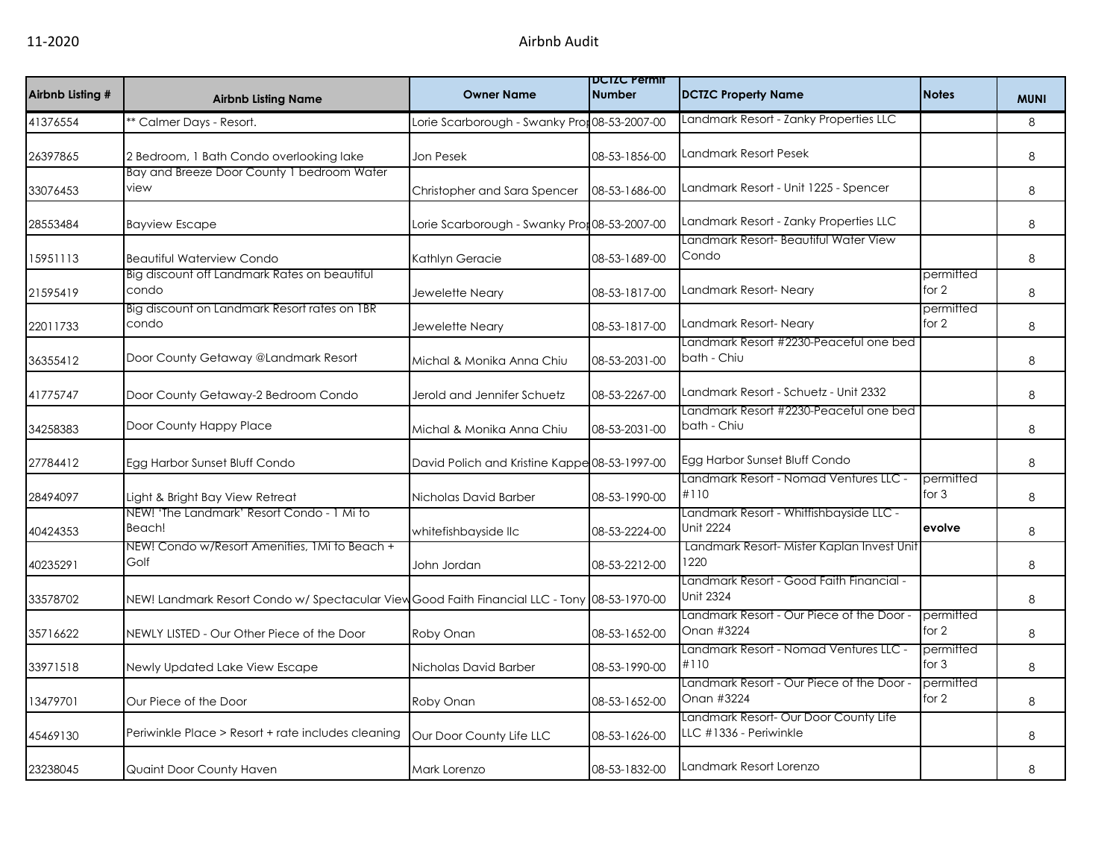| Airbnb Listing # | <b>Airbnb Listing Name</b>                                                                   | <b>Owner Name</b>                             | <b>DCTZC Permit</b><br><b>Number</b> | <b>DCTZC Property Name</b>                                                      | <b>Notes</b>         | <b>MUNI</b> |
|------------------|----------------------------------------------------------------------------------------------|-----------------------------------------------|--------------------------------------|---------------------------------------------------------------------------------|----------------------|-------------|
| 41376554         | * Calmer Days - Resort.                                                                      | Lorie Scarborough - Swanky Pror 08-53-2007-00 |                                      | Landmark Resort - Zanky Properties LLC                                          |                      | 8           |
| 26397865         | 2 Bedroom, 1 Bath Condo overlooking lake                                                     | Jon Pesek                                     | 08-53-1856-00                        | Landmark Resort Pesek                                                           |                      | 8           |
| 33076453         | Bay and Breeze Door County 1 bedroom Water<br>view                                           | Christopher and Sara Spencer                  | 08-53-1686-00                        | Landmark Resort - Unit 1225 - Spencer                                           |                      | 8           |
| 28553484         | <b>Bayview Escape</b>                                                                        | Lorie Scarborough - Swanky Pror 08-53-2007-00 |                                      | Landmark Resort - Zanky Properties LLC<br>Landmark Resort- Beautiful Water View |                      | 8           |
| 15951113         | <b>Beautiful Waterview Condo</b>                                                             | Kathlyn Geracie                               | 08-53-1689-00                        | Condo                                                                           |                      | 8           |
| 21595419         | Big discount off Landmark Rates on beautiful<br>condo                                        | Jewelette Neary                               | 08-53-1817-00                        | Landmark Resort- Neary                                                          | permitted<br>for 2   | 8           |
| 22011733         | Big discount on Landmark Resort rates on IBR<br>condo                                        | Jewelette Neary                               | 08-53-1817-00                        | Landmark Resort-Neary                                                           | permitted<br>for 2   | 8           |
| 36355412         | Door County Getaway @Landmark Resort                                                         | Michal & Monika Anna Chiu                     | 08-53-2031-00                        | Landmark Resort #2230-Peaceful one bed<br>bath - Chiu                           |                      | 8           |
| 41775747         | Door County Getaway-2 Bedroom Condo                                                          | Jerold and Jennifer Schuetz                   | 08-53-2267-00                        | Landmark Resort - Schuetz - Unit 2332                                           |                      | 8           |
| 34258383         | Door County Happy Place                                                                      | Michal & Monika Anna Chiu                     | 08-53-2031-00                        | Landmark Resort #2230-Peaceful one bed<br>bath - Chiu                           |                      | 8           |
| 27784412         | Egg Harbor Sunset Bluff Condo                                                                | David Polich and Kristine Kappe 08-53-1997-00 |                                      | Egg Harbor Sunset Bluff Condo                                                   |                      | 8           |
| 28494097         | Light & Bright Bay View Retreat                                                              | Nicholas David Barber                         | 08-53-1990-00                        | Landmark Resort - Nomad Ventures LLC -<br>#110                                  | permitted<br>for $3$ | 8           |
| 40424353         | NEW! 'The Landmark' Resort Condo - 1 Mi to<br>Beach!                                         | whitefishbayside llc                          | 08-53-2224-00                        | Landmark Resort - Whitfishbayside LLC -<br>Unit 2224                            | evolve               | 8           |
| 40235291         | NEW! Condo w/Resort Amenities, 1Mi to Beach +<br>Golf                                        | John Jordan                                   | 08-53-2212-00                        | Landmark Resort- Mister Kaplan Invest Unit<br>1220                              |                      | 8           |
| 33578702         | NEW! Landmark Resort Condo w/ Spectacular View Good Faith Financial LLC - Tony 08-53-1970-00 |                                               |                                      | Landmark Resort - Good Faith Financial -<br><b>Unit 2324</b>                    |                      | 8           |
| 35716622         | NEWLY LISTED - Our Other Piece of the Door                                                   | Roby Onan                                     | 08-53-1652-00                        | Landmark Resort - Our Piece of the Door -<br>Onan #3224                         | permitted<br>for 2   | 8           |
| 33971518         | Newly Updated Lake View Escape                                                               | Nicholas David Barber                         | 08-53-1990-00                        | Landmark Resort - Nomad Ventures LLC -<br>#110                                  | permitted<br>for $3$ | 8           |
| 13479701         | Our Piece of the Door                                                                        | Roby Onan                                     | 08-53-1652-00                        | Landmark Resort - Our Piece of the Door -<br>Onan #3224                         | permitted<br>for 2   | 8           |
| 45469130         | Periwinkle Place > Resort + rate includes cleaning                                           | Our Door County Life LLC                      | 08-53-1626-00                        | Landmark Resort- Our Door County Life<br>LLC #1336 - Periwinkle                 |                      | 8           |
| 23238045         | Quaint Door County Haven                                                                     | Mark Lorenzo                                  | 08-53-1832-00                        | Landmark Resort Lorenzo                                                         |                      | 8           |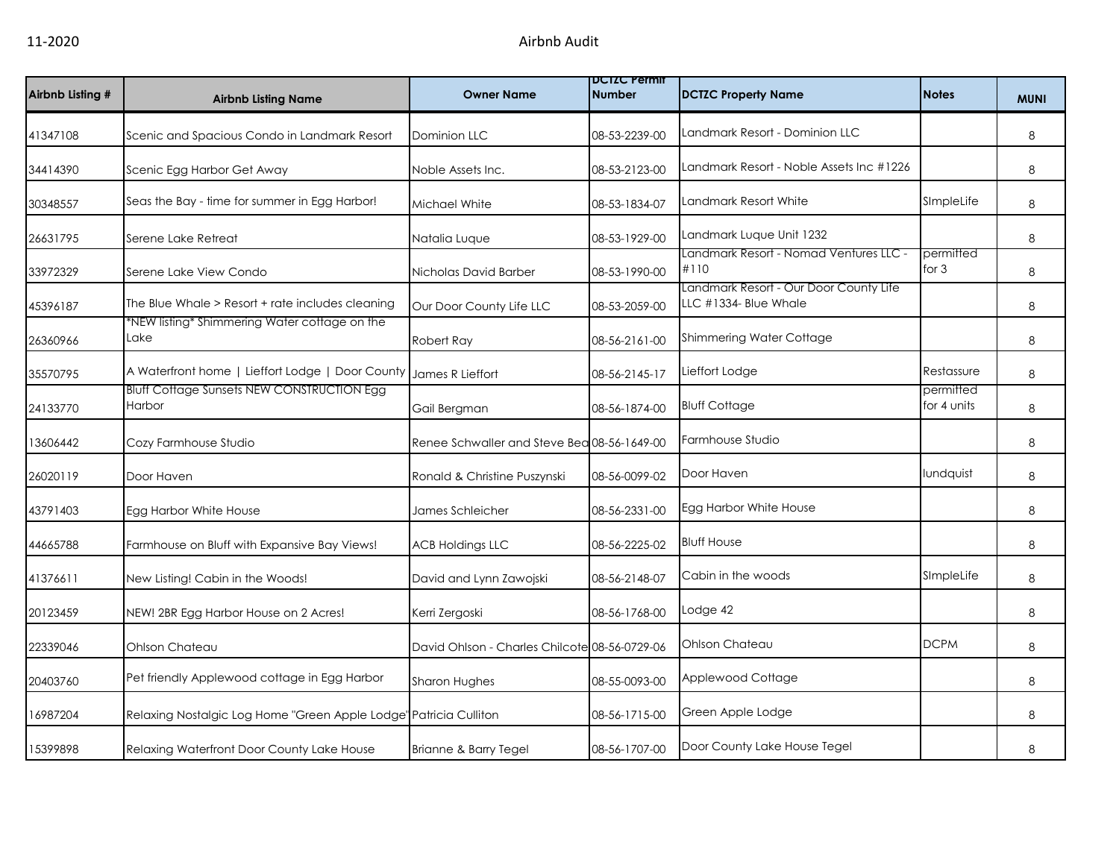| Airbnb Listing # | <b>Airbnb Listing Name</b>                                        | <b>Owner Name</b>                             | <b>DCIZC Permit</b><br><b>Number</b> | <b>DCTZC Property Name</b>                                      | <b>Notes</b>             | <b>MUNI</b> |
|------------------|-------------------------------------------------------------------|-----------------------------------------------|--------------------------------------|-----------------------------------------------------------------|--------------------------|-------------|
| 41347108         | Scenic and Spacious Condo in Landmark Resort                      | <b>Dominion LLC</b>                           | 08-53-2239-00                        | Landmark Resort - Dominion LLC                                  |                          | 8           |
| 34414390         | Scenic Egg Harbor Get Away                                        | Noble Assets Inc.                             | 08-53-2123-00                        | Landmark Resort - Noble Assets Inc #1226                        |                          | 8           |
| 30348557         | Seas the Bay - time for summer in Egg Harbor!                     | Michael White                                 | 08-53-1834-07                        | Landmark Resort White                                           | SImpleLife               | 8           |
| 26631795         | Serene Lake Retreat                                               | Natalia Luque                                 | 08-53-1929-00                        | Landmark Luque Unit 1232                                        |                          | 8           |
| 33972329         | Serene Lake View Condo                                            | Nicholas David Barber                         | 08-53-1990-00                        | Landmark Resort - Nomad Ventures LLC -<br>#110                  | permitted<br>for $3$     | 8           |
| 45396187         | The Blue Whale > Resort + rate includes cleaning                  | Our Door County Life LLC                      | 08-53-2059-00                        | Landmark Resort - Our Door County Life<br>LLC #1334- Blue Whale |                          | 8           |
| 26360966         | *NEW listing* Shimmering Water cottage on the<br>Lake             | Robert Ray                                    | 08-56-2161-00                        | Shimmering Water Cottage                                        |                          | 8           |
| 35570795         | A Waterfront home   Lieffort Lodge   Door County                  | James R Lieffort                              | 08-56-2145-17                        | Lieffort Lodge                                                  | Restassure               | 8           |
| 24133770         | <b>Bluff Cottage Sunsets NEW CONSTRUCTION Egg</b><br>Harbor       | Gail Bergman                                  | 08-56-1874-00                        | <b>Bluff Cottage</b>                                            | permitted<br>for 4 units | 8           |
| 13606442         | Cozy Farmhouse Studio                                             | Renee Schwaller and Steve Bea 08-56-1649-00   |                                      | Farmhouse Studio                                                |                          | 8           |
| 26020119         | Door Haven                                                        | Ronald & Christine Puszynski                  | 08-56-0099-02                        | Door Haven                                                      | lundquist                | 8           |
| 43791403         | Egg Harbor White House                                            | James Schleicher                              | 08-56-2331-00                        | Egg Harbor White House                                          |                          | 8           |
| 44665788         | Farmhouse on Bluff with Expansive Bay Views!                      | <b>ACB Holdings LLC</b>                       | 08-56-2225-02                        | <b>Bluff House</b>                                              |                          | 8           |
| 41376611         | New Listing! Cabin in the Woods!                                  | David and Lynn Zawojski                       | 08-56-2148-07                        | Cabin in the woods                                              | SImpleLife               | 8           |
| 20123459         | NEW! 2BR Egg Harbor House on 2 Acres!                             | Kerri Zergoski                                | 08-56-1768-00                        | Lodge 42                                                        |                          | 8           |
| 22339046         | Ohlson Chateau                                                    | David Ohlson - Charles Chilcote 08-56-0729-06 |                                      | Ohlson Chateau                                                  | <b>DCPM</b>              | 8           |
| 20403760         | Pet friendly Applewood cottage in Egg Harbor                      | <b>Sharon Hughes</b>                          | 08-55-0093-00                        | Applewood Cottage                                               |                          | 8           |
| 16987204         | Relaxing Nostalgic Log Home "Green Apple Lodge" Patricia Culliton |                                               | 08-56-1715-00                        | Green Apple Lodge                                               |                          | 8           |
| 15399898         | Relaxing Waterfront Door County Lake House                        | Brianne & Barry Tegel                         | 08-56-1707-00                        | Door County Lake House Tegel                                    |                          | 8           |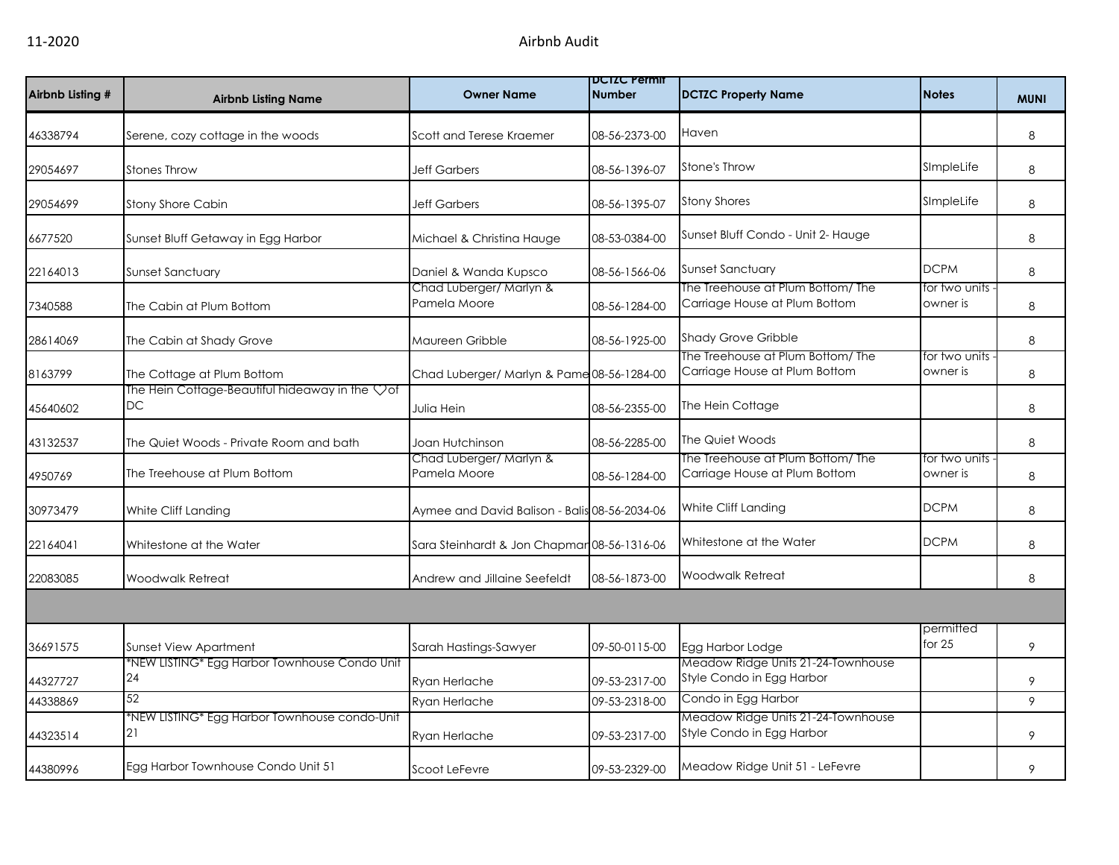| Airbnb Listing # | <b>Airbnb Listing Name</b>                                       | <b>Owner Name</b>                             | <b>DCIZC Permit</b><br><b>Number</b> | <b>DCTZC Property Name</b>                                         | <b>Notes</b>              | <b>MUNI</b> |
|------------------|------------------------------------------------------------------|-----------------------------------------------|--------------------------------------|--------------------------------------------------------------------|---------------------------|-------------|
| 46338794         | Serene, cozy cottage in the woods                                | Scott and Terese Kraemer                      | 08-56-2373-00                        | Haven                                                              |                           | 8           |
| 29054697         | <b>Stones Throw</b>                                              | <b>Jeff Garbers</b>                           | 08-56-1396-07                        | <b>Stone's Throw</b>                                               | SImpleLife                | 8           |
| 29054699         | <b>Stony Shore Cabin</b>                                         | <b>Jeff Garbers</b>                           | 08-56-1395-07                        | <b>Stony Shores</b>                                                | SImpleLife                | 8           |
| 6677520          | Sunset Bluff Getaway in Egg Harbor                               | Michael & Christina Hauge                     | 08-53-0384-00                        | Sunset Bluff Condo - Unit 2- Hauge                                 |                           | 8           |
| 22164013         | <b>Sunset Sanctuary</b>                                          | Daniel & Wanda Kupsco                         | 08-56-1566-06                        | Sunset Sanctuary                                                   | <b>DCPM</b>               | 8           |
| 7340588          | The Cabin at Plum Bottom                                         | Chad Luberger/ Marlyn &<br>Pamela Moore       | 08-56-1284-00                        | The Treehouse at Plum Bottom/The<br>Carriage House at Plum Bottom  | for two units<br>owner is | 8           |
| 28614069         | The Cabin at Shady Grove                                         | Maureen Gribble                               | 08-56-1925-00                        | <b>Shady Grove Gribble</b>                                         |                           | 8           |
| 8163799          | The Cottage at Plum Bottom                                       | Chad Luberger/ Marlyn & Pame 08-56-1284-00    |                                      | The Treehouse at Plum Bottom/ The<br>Carriage House at Plum Bottom | for two units<br>owner is | 8           |
| 45640602         | The Hein Cottage-Beautiful hideaway in the $\heartsuit$ of<br>DC | Julia Hein                                    | 08-56-2355-00                        | The Hein Cottage                                                   |                           | 8           |
| 43132537         | The Quiet Woods - Private Room and bath                          | Joan Hutchinson                               | 08-56-2285-00                        | The Quiet Woods                                                    |                           | 8           |
| 4950769          | The Treehouse at Plum Bottom                                     | Chad Luberger/ Marlyn &<br>Pamela Moore       | 08-56-1284-00                        | The Treehouse at Plum Bottom/ The<br>Carriage House at Plum Bottom | for two units<br>owner is | 8           |
| 30973479         | White Cliff Landing                                              | Aymee and David Balison - Balis 08-56-2034-06 |                                      | White Cliff Landing                                                | <b>DCPM</b>               | 8           |
| 22164041         | Whitestone at the Water                                          | Sara Steinhardt & Jon Chapmar 08-56-1316-06   |                                      | Whitestone at the Water                                            | <b>DCPM</b>               | 8           |
| 22083085         | <b>Woodwalk Retreat</b>                                          | Andrew and Jillaine Seefeldt                  | 08-56-1873-00                        | <b>Woodwalk Retreat</b>                                            |                           | 8           |
|                  |                                                                  |                                               |                                      |                                                                    |                           |             |
| 36691575         | <b>Sunset View Apartment</b>                                     | Sarah Hastings-Sawyer                         | 09-50-0115-00                        | Egg Harbor Lodge                                                   | permitted<br>for $25$     | 9           |
| 44327727         | NEW LISTING* Egg Harbor Townhouse Condo Unit*<br>24              | Ryan Herlache                                 | 09-53-2317-00                        | Meadow Ridge Units 21-24-Townhouse<br>Style Condo in Egg Harbor    |                           | 9           |
| 44338869         | 52                                                               | Ryan Herlache                                 | 09-53-2318-00                        | Condo in Egg Harbor                                                |                           | 9           |
| 44323514         | *NEW LISTING* Egg Harbor Townhouse condo-Unit<br>21              | Ryan Herlache                                 | 09-53-2317-00                        | Meadow Ridge Units 21-24-Townhouse<br>Style Condo in Egg Harbor    |                           | 9           |
| 44380996         | Egg Harbor Townhouse Condo Unit 51                               | Scoot LeFevre                                 | 09-53-2329-00                        | Meadow Ridge Unit 51 - LeFevre                                     |                           | 9           |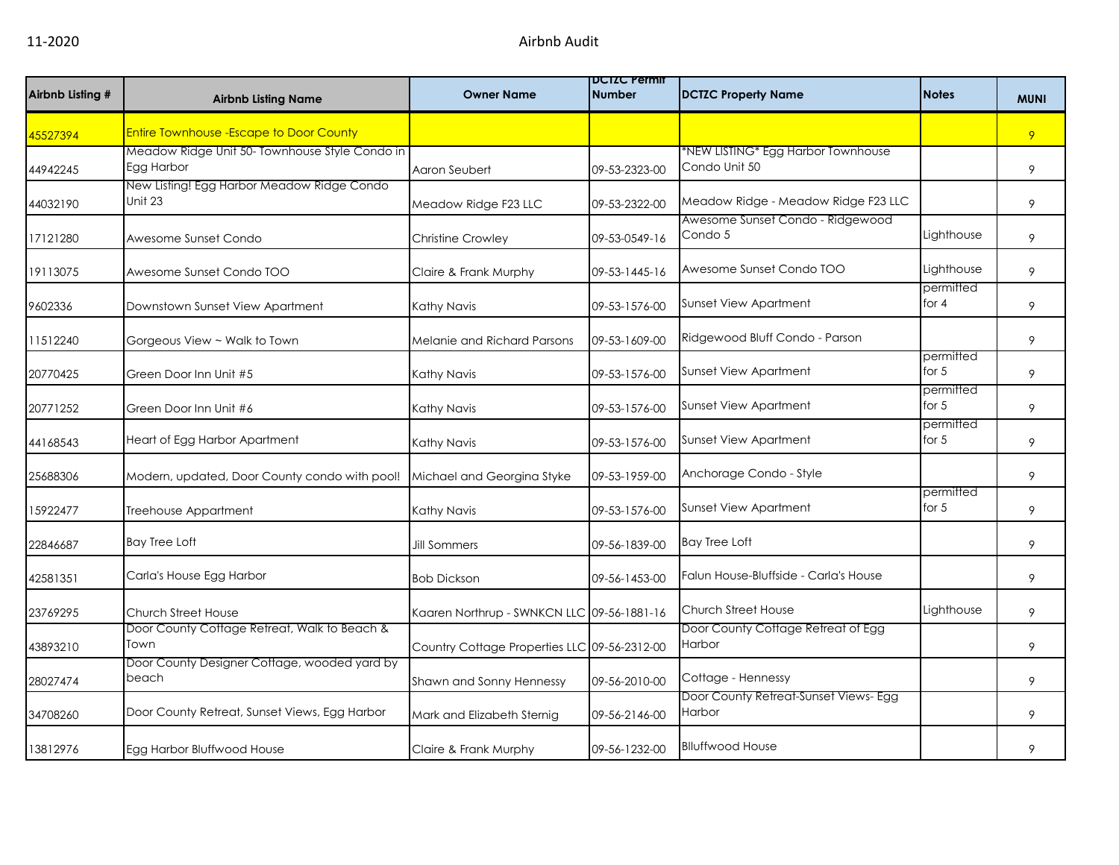| Airbnb Listing # | <b>Airbnb Listing Name</b>                                   | <b>Owner Name</b>                            | <b>DUIZU Permit</b><br><b>Number</b> | <b>DCTZC Property Name</b>                          | <b>Notes</b>         | <b>MUNI</b> |
|------------------|--------------------------------------------------------------|----------------------------------------------|--------------------------------------|-----------------------------------------------------|----------------------|-------------|
| 45527394         | <b>Entire Townhouse - Escape to Door County</b>              |                                              |                                      |                                                     |                      | 9           |
| 44942245         | Meadow Ridge Unit 50- Townhouse Style Condo in<br>Egg Harbor | Aaron Seubert                                | 09-53-2323-00                        | *NEW LISTING* Egg Harbor Townhouse<br>Condo Unit 50 |                      | 9           |
| 44032190         | New Listing! Egg Harbor Meadow Ridge Condo<br>Unit 23        | Meadow Ridge F23 LLC                         | 09-53-2322-00                        | Meadow Ridge - Meadow Ridge F23 LLC                 |                      | 9           |
| 17121280         | Awesome Sunset Condo                                         | Christine Crowley                            | 09-53-0549-16                        | Awesome Sunset Condo - Ridgewood<br>Condo 5         | Lighthouse           | 9           |
| 19113075         | Awesome Sunset Condo TOO                                     | Claire & Frank Murphy                        | 09-53-1445-16                        | Awesome Sunset Condo TOO                            | Lighthouse           | 9           |
| 9602336          | Downstown Sunset View Apartment                              | Kathy Navis                                  | 09-53-1576-00                        | <b>Sunset View Apartment</b>                        | permitted<br>for 4   | 9           |
| 11512240         | Gorgeous View ~ Walk to Town                                 | <b>Melanie and Richard Parsons</b>           | 09-53-1609-00                        | Ridgewood Bluff Condo - Parson                      |                      | 9           |
| 20770425         | Green Door Inn Unit #5                                       | Kathy Navis                                  | 09-53-1576-00                        | Sunset View Apartment                               | permitted<br>for $5$ | 9           |
| 20771252         | Green Door Inn Unit #6                                       | Kathy Navis                                  | 09-53-1576-00                        | Sunset View Apartment                               | permitted<br>for $5$ | 9           |
| 44168543         | Heart of Egg Harbor Apartment                                | Kathy Navis                                  | 09-53-1576-00                        | <b>Sunset View Apartment</b>                        | permitted<br>for $5$ | 9           |
| 25688306         | Modern, updated, Door County condo with pool!                | Michael and Georgina Styke                   | 09-53-1959-00                        | Anchorage Condo - Style                             |                      | 9           |
| 15922477         | Treehouse Appartment                                         | Kathy Navis                                  | 09-53-1576-00                        | <b>Sunset View Apartment</b>                        | permitted<br>for $5$ | 9           |
| 22846687         | <b>Bay Tree Loft</b>                                         | Jill Sommers                                 | 09-56-1839-00                        | <b>Bay Tree Loft</b>                                |                      | 9           |
| 42581351         | Carla's House Egg Harbor                                     | <b>Bob Dickson</b>                           | 09-56-1453-00                        | Falun House-Bluffside - Carla's House               |                      | 9           |
| 23769295         | Church Street House                                          | Kaaren Northrup - SWNKCN LLC 09-56-1881-16   |                                      | <b>Church Street House</b>                          | Lighthouse           | 9           |
| 43893210         | Door County Cottage Retreat, Walk to Beach &<br>Town         | Country Cottage Properties LLC 09-56-2312-00 |                                      | Door County Cottage Retreat of Egg<br>Harbor        |                      | 9           |
| 28027474         | Door County Designer Cottage, wooded yard by<br>beach        | Shawn and Sonny Hennessy                     | 09-56-2010-00                        | Cottage - Hennessy                                  |                      | 9           |
| 34708260         | Door County Retreat, Sunset Views, Egg Harbor                | Mark and Elizabeth Sternig                   | 09-56-2146-00                        | Door County Retreat-Sunset Views- Egg<br>Harbor     |                      | 9           |
| 13812976         | Egg Harbor Bluffwood House                                   | Claire & Frank Murphy                        | 09-56-1232-00                        | <b>Blluffwood House</b>                             |                      | 9           |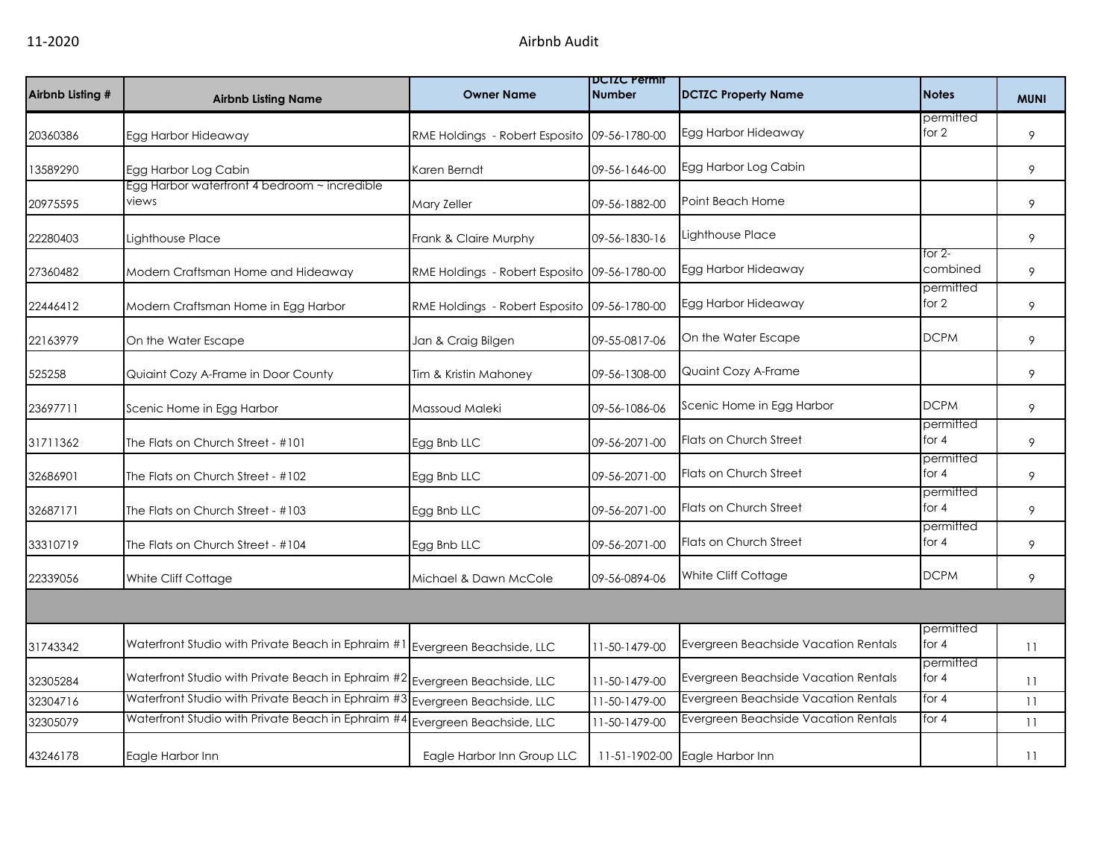| Airbnb Listing # | <b>Airbnb Listing Name</b>                            | <b>Owner Name</b>                            | <b>DCTZC Permit</b><br><b>Number</b> | <b>DCTZC Property Name</b>                  | <b>Notes</b>         | <b>MUNI</b> |
|------------------|-------------------------------------------------------|----------------------------------------------|--------------------------------------|---------------------------------------------|----------------------|-------------|
| 20360386         | Egg Harbor Hideaway                                   | RME Holdings - Robert Esposito 09-56-1780-00 |                                      | Egg Harbor Hideaway                         | permitted<br>for 2   | 9           |
| 13589290         | Egg Harbor Log Cabin                                  | Karen Berndt                                 | 09-56-1646-00                        | Egg Harbor Log Cabin                        |                      | 9           |
| 20975595         | Egg Harbor waterfront 4 bedroom ~ incredible<br>views | Mary Zeller                                  | 09-56-1882-00                        | Point Beach Home                            |                      | 9           |
| 22280403         | Lighthouse Place                                      | Frank & Claire Murphy                        | 09-56-1830-16                        | Lighthouse Place                            |                      | 9           |
| 27360482         | Modern Craftsman Home and Hideaway                    | RME Holdings - Robert Esposito 09-56-1780-00 |                                      | Egg Harbor Hideaway                         | for 2-<br>combined   | 9           |
| 22446412         | Modern Craftsman Home in Egg Harbor                   | RME Holdings - Robert Esposito 09-56-1780-00 |                                      | Egg Harbor Hideaway                         | permitted<br>for 2   | 9           |
| 22163979         | On the Water Escape                                   | Jan & Craig Bilgen                           | 09-55-0817-06                        | On the Water Escape                         | <b>DCPM</b>          | 9           |
| 525258           | Quiaint Cozy A-Frame in Door County                   | Tim & Kristin Mahoney                        | 09-56-1308-00                        | Quaint Cozy A-Frame                         |                      | 9           |
| 23697711         | Scenic Home in Egg Harbor                             | Massoud Maleki                               | 09-56-1086-06                        | Scenic Home in Egg Harbor                   | <b>DCPM</b>          | 9           |
| 31711362         | The Flats on Church Street - #101                     | Egg Bnb LLC                                  | 09-56-2071-00                        | Flats on Church Street                      | permitted<br>for 4   | 9           |
| 32686901         | The Flats on Church Street - #102                     | Egg Bnb LLC                                  | 09-56-2071-00                        | <b>Flats on Church Street</b>               | permitted<br>for 4   | 9           |
| 32687171         | The Flats on Church Street - #103                     | Egg Bnb LLC                                  | 09-56-2071-00                        | Flats on Church Street                      | permitted<br>for 4   | 9           |
| 33310719         | The Flats on Church Street - #104                     | Egg Bnb LLC                                  | 09-56-2071-00                        | Flats on Church Street                      | permitted<br>for $4$ | 9           |
| 22339056         | White Cliff Cottage                                   | Michael & Dawn McCole                        | 09-56-0894-06                        | White Cliff Cottage                         | <b>DCPM</b>          | 9           |
|                  |                                                       |                                              |                                      |                                             |                      |             |
| 31743342         | Waterfront Studio with Private Beach in Ephraim #1    | Evergreen Beachside, LLC                     | 11-50-1479-00                        | Evergreen Beachside Vacation Rentals        | permitted<br>for $4$ | 11          |
| 32305284         | Waterfront Studio with Private Beach in Ephraim #2    | Evergreen Beachside, LLC                     | 11-50-1479-00                        | Evergreen Beachside Vacation Rentals        | permitted<br>for 4   | 11          |
| 32304716         | Waterfront Studio with Private Beach in Ephraim #3    | Evergreen Beachside, LLC                     | 11-50-1479-00                        | Evergreen Beachside Vacation Rentals        | for $4$              | 11          |
| 32305079         | Waterfront Studio with Private Beach in Ephraim #4    | Evergreen Beachside, LLC                     | 11-50-1479-00                        | <b>Evergreen Beachside Vacation Rentals</b> | for $4$              | 11          |
| 43246178         | Eagle Harbor Inn                                      | Eagle Harbor Inn Group LLC                   |                                      | 11-51-1902-00 Eagle Harbor Inn              |                      | 11          |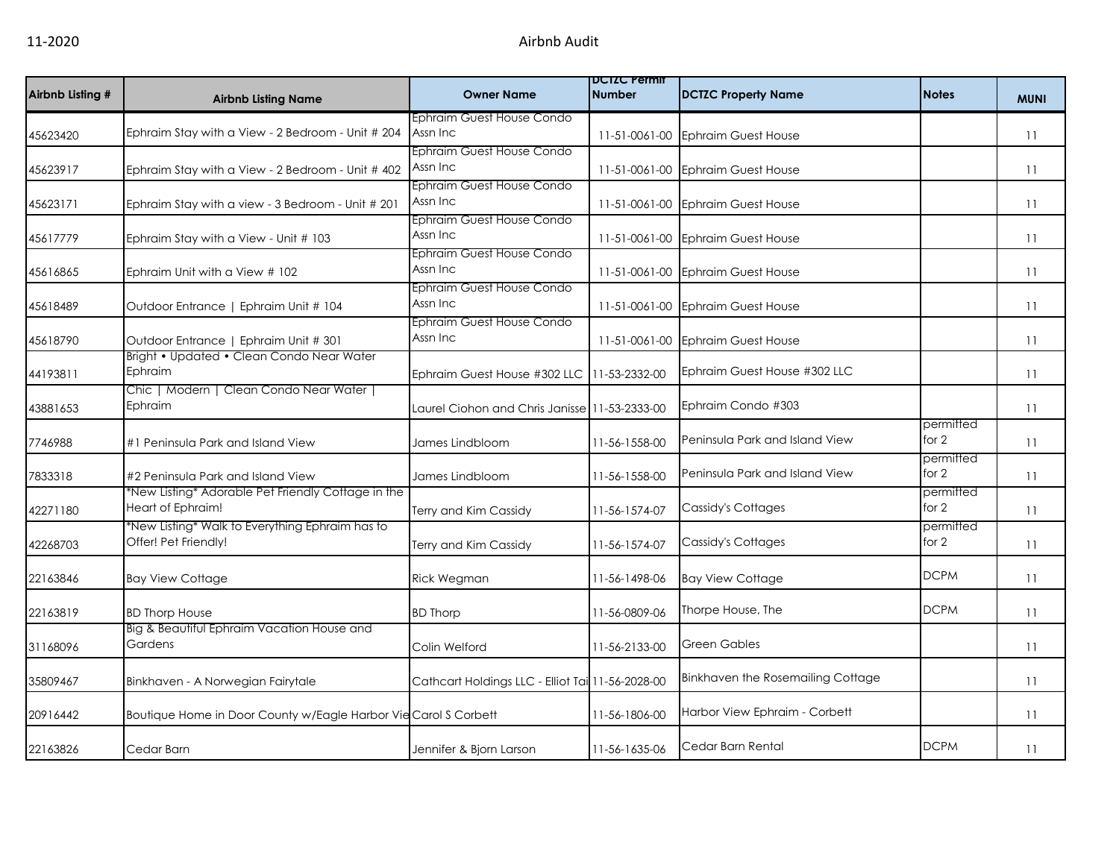| Airbnb Listing # | <b>Airbnb Listing Name</b>                                              | <b>Owner Name</b>                                | <b>DUIZU Permit</b><br><b>Number</b> | <b>DCTZC Property Name</b>        | <b>Notes</b>       | <b>MUNI</b> |
|------------------|-------------------------------------------------------------------------|--------------------------------------------------|--------------------------------------|-----------------------------------|--------------------|-------------|
| 45623420         | Ephraim Stay with a View - 2 Bedroom - Unit # 204                       | Ephraim Guest House Condo<br>Assn Inc            | 11-51-0061-00                        | <b>Ephraim Guest House</b>        |                    | 11          |
| 45623917         | Ephraim Stay with a View - 2 Bedroom - Unit # 402                       | Ephraim Guest House Condo<br>Assn Inc            | 11-51-0061-00                        | <b>Ephraim Guest House</b>        |                    | 11          |
| 45623171         | Ephraim Stay with a view - 3 Bedroom - Unit # 201                       | Ephraim Guest House Condo<br>Assn Inc            | 11-51-0061-00                        | <b>Ephraim Guest House</b>        |                    | 11          |
| 45617779         | Ephraim Stay with a View - Unit # 103                                   | Ephraim Guest House Condo<br>Assn Inc            | 11-51-0061-00                        | <b>Ephraim Guest House</b>        |                    | 11          |
| 45616865         | Ephraim Unit with a View # 102                                          | Ephraim Guest House Condo<br>Assn Inc            |                                      | 11-51-0061-00 Ephraim Guest House |                    | 11          |
| 45618489         | Outdoor Entrance   Ephraim Unit # 104                                   | Ephraim Guest House Condo<br>Assn Inc            | 11-51-0061-00                        | <b>Ephraim Guest House</b>        |                    | 11          |
| 45618790         | Outdoor Entrance   Ephraim Unit # 301                                   | Ephraim Guest House Condo<br>Assn Inc            | 11-51-0061-00                        | <b>Ephraim Guest House</b>        |                    | 11          |
| 44193811         | Bright • Updated • Clean Condo Near Water<br>Ephraim                    | Ephraim Guest House #302 LLC                     | 11-53-2332-00                        | Ephraim Guest House #302 LLC      |                    | 11          |
| 43881653         | Chic   Modern   Clean Condo Near Water  <br>Ephraim                     | Laurel Ciohon and Chris Janisse 11-53-2333-00    |                                      | Ephraim Condo #303                |                    | 11          |
| 7746988          | #1 Peninsula Park and Island View                                       | James Lindbloom                                  | 11-56-1558-00                        | Peninsula Park and Island View    | permitted<br>for 2 | 11          |
| 7833318          | #2 Peninsula Park and Island View                                       | James Lindbloom                                  | 11-56-1558-00                        | Peninsula Park and Island View    | permitted<br>for 2 | 11          |
| 42271180         | *New Listing* Adorable Pet Friendly Cottage in the<br>Heart of Ephraim! | Terry and Kim Cassidy                            | 11-56-1574-07                        | Cassidy's Cottages                | permitted<br>for 2 | 11          |
| 42268703         | *New Listing* Walk to Everything Ephraim has to<br>Offer! Pet Friendly! | Terry and Kim Cassidy                            | 11-56-1574-07                        | Cassidy's Cottages                | permitted<br>for 2 | 11          |
| 22163846         | <b>Bay View Cottage</b>                                                 | Rick Wegman                                      | 11-56-1498-06                        | <b>Bay View Cottage</b>           | <b>DCPM</b>        | 11          |
| 22163819         | <b>BD Thorp House</b>                                                   | <b>BD Thorp</b>                                  | 11-56-0809-06                        | Thorpe House, The                 | <b>DCPM</b>        | 11          |
| 31168096         | Big & Beautiful Ephraim Vacation House and<br>Gardens                   | Colin Welford                                    | 11-56-2133-00                        | <b>Green Gables</b>               |                    | 11          |
| 35809467         | Binkhaven - A Norwegian Fairytale                                       | Cathcart Holdings LLC - Elliot Tai 11-56-2028-00 |                                      | Binkhaven the Rosemailing Cottage |                    | 11          |
| 20916442         | Boutique Home in Door County w/Eagle Harbor Vie Carol S Corbett         |                                                  | 11-56-1806-00                        | Harbor View Ephraim - Corbett     |                    | 11          |
| 22163826         | Cedar Barn                                                              | Jennifer & Bjorn Larson                          | 11-56-1635-06                        | Cedar Barn Rental                 | <b>DCPM</b>        | 11          |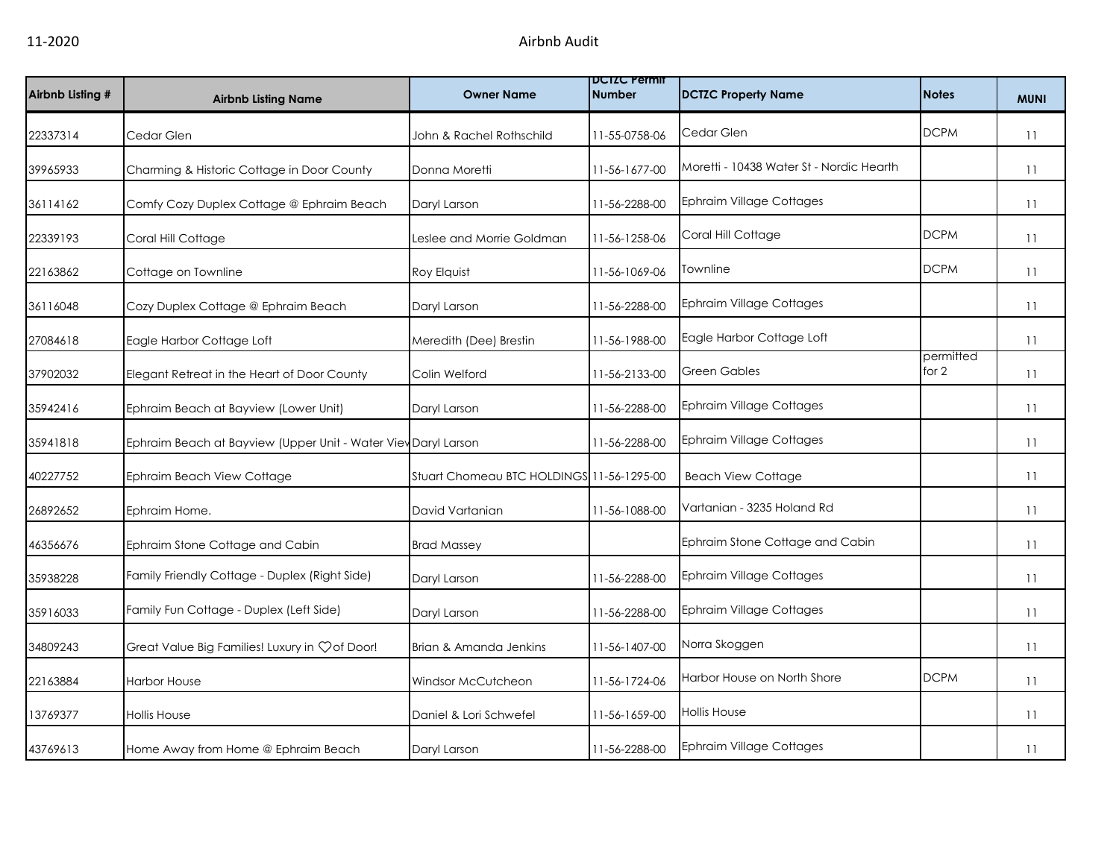| Airbnb Listing # | <b>Airbnb Listing Name</b>                                     | <b>Owner Name</b>                         | <b>DUIZU Permit</b><br><b>Number</b> | <b>DCTZC Property Name</b>               | <b>Notes</b>       | <b>MUNI</b> |
|------------------|----------------------------------------------------------------|-------------------------------------------|--------------------------------------|------------------------------------------|--------------------|-------------|
| 22337314         | Cedar Glen                                                     | John & Rachel Rothschild                  | 11-55-0758-06                        | Cedar Glen                               | <b>DCPM</b>        | 11          |
| 39965933         | Charming & Historic Cottage in Door County                     | Donna Moretti                             | 11-56-1677-00                        | Moretti - 10438 Water St - Nordic Hearth |                    | 11          |
| 36114162         | Comfy Cozy Duplex Cottage @ Ephraim Beach                      | Daryl Larson                              | 11-56-2288-00                        | <b>Ephraim Village Cottages</b>          |                    | 11          |
| 22339193         | Coral Hill Cottage                                             | Leslee and Morrie Goldman                 | 11-56-1258-06                        | Coral Hill Cottage                       | <b>DCPM</b>        | 11          |
| 22163862         | Cottage on Townline                                            | <b>Roy Elquist</b>                        | 11-56-1069-06                        | Townline                                 | <b>DCPM</b>        | 11          |
| 36116048         | Cozy Duplex Cottage @ Ephraim Beach                            | Daryl Larson                              | 11-56-2288-00                        | <b>Ephraim Village Cottages</b>          |                    | 11          |
| 27084618         | Eagle Harbor Cottage Loft                                      | Meredith (Dee) Brestin                    | 11-56-1988-00                        | Eagle Harbor Cottage Loft                |                    | 11          |
| 37902032         | Elegant Retreat in the Heart of Door County                    | Colin Welford                             | 11-56-2133-00                        | <b>Green Gables</b>                      | permitted<br>for 2 | 11          |
| 35942416         | Ephraim Beach at Bayview (Lower Unit)                          | Daryl Larson                              | 11-56-2288-00                        | Ephraim Village Cottages                 |                    | 11          |
| 35941818         | Ephraim Beach at Bayview (Upper Unit - Water Viev Daryl Larson |                                           | 11-56-2288-00                        | <b>Ephraim Village Cottages</b>          |                    | 11          |
| 40227752         | Ephraim Beach View Cottage                                     | Stuart Chomeau BTC HOLDINGS 11-56-1295-00 |                                      | <b>Beach View Cottage</b>                |                    | 11          |
| 26892652         | Ephraim Home.                                                  | David Vartanian                           | 11-56-1088-00                        | Vartanian - 3235 Holand Rd               |                    | 11          |
| 46356676         | Ephraim Stone Cottage and Cabin                                | <b>Brad Massey</b>                        |                                      | Ephraim Stone Cottage and Cabin          |                    | 11          |
| 35938228         | Family Friendly Cottage - Duplex (Right Side)                  | Daryl Larson                              | 11-56-2288-00                        | <b>Ephraim Village Cottages</b>          |                    | 11          |
| 35916033         | Family Fun Cottage - Duplex (Left Side)                        | Daryl Larson                              | 11-56-2288-00                        | <b>Ephraim Village Cottages</b>          |                    | 11          |
| 34809243         | Great Value Big Families! Luxury in Çof Door!                  | Brian & Amanda Jenkins                    | 11-56-1407-00                        | Norra Skoggen                            |                    | 11          |
| 22163884         | <b>Harbor House</b>                                            | Windsor McCutcheon                        | 11-56-1724-06                        | Harbor House on North Shore              | <b>DCPM</b>        | 11          |
| 13769377         | <b>Hollis House</b>                                            | Daniel & Lori Schwefel                    | 11-56-1659-00                        | <b>Hollis House</b>                      |                    | 11          |
| 43769613         | Home Away from Home @ Ephraim Beach                            | Daryl Larson                              | 11-56-2288-00                        | <b>Ephraim Village Cottages</b>          |                    | 11          |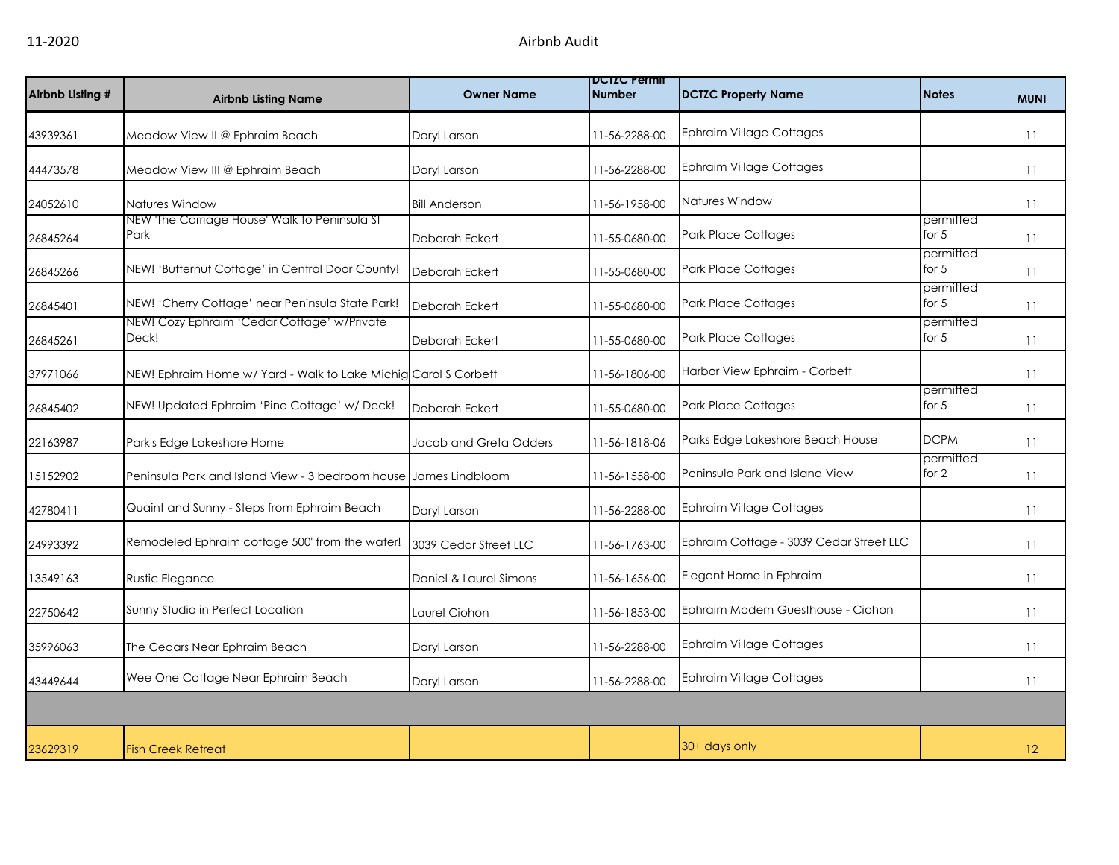| Airbnb Listing # | <b>Airbnb Listing Name</b>                                       | <b>Owner Name</b>      | <b>DCIZC rermit</b><br><b>Number</b> | <b>DCTZC Property Name</b>              | <b>Notes</b>         | <b>MUNI</b> |
|------------------|------------------------------------------------------------------|------------------------|--------------------------------------|-----------------------------------------|----------------------|-------------|
| 43939361         | Meadow View II @ Ephraim Beach                                   | Daryl Larson           | 11-56-2288-00                        | <b>Ephraim Village Cottages</b>         |                      | 11          |
| 44473578         | Meadow View III @ Ephraim Beach                                  | Daryl Larson           | 11-56-2288-00                        | <b>Ephraim Village Cottages</b>         |                      | 11          |
| 24052610         | Natures Window                                                   | <b>Bill Anderson</b>   | 11-56-1958-00                        | Natures Window                          |                      | 11          |
| 26845264         | NEW 'The Carriage House' Walk to Peninsula St<br>Park            | Deborah Eckert         | 11-55-0680-00                        | <b>Park Place Cottages</b>              | permitted<br>for $5$ | 11          |
| 26845266         | NEW! 'Butternut Cottage' in Central Door County!                 | Deborah Eckert         | 11-55-0680-00                        | <b>Park Place Cottages</b>              | permitted<br>for $5$ | 11          |
| 26845401         | NEW! 'Cherry Cottage' near Peninsula State Park!                 | Deborah Eckert         | 11-55-0680-00                        | Park Place Cottages                     | permitted<br>for $5$ | 11          |
| 26845261         | NEW! Cozy Ephraim 'Cedar Cottage' w/Private<br>Deck!             | Deborah Eckert         | 11-55-0680-00                        | <b>Park Place Cottages</b>              | permitted<br>for $5$ | 11          |
| 37971066         | NEW! Ephraim Home w/ Yard - Walk to Lake Michig Carol S Corbett  |                        | 11-56-1806-00                        | Harbor View Ephraim - Corbett           |                      | 11          |
| 26845402         | NEW! Updated Ephraim 'Pine Cottage' w/ Deck!                     | Deborah Eckert         | 11-55-0680-00                        | <b>Park Place Cottages</b>              | permitted<br>for $5$ | 11          |
| 22163987         | Park's Edge Lakeshore Home                                       | Jacob and Greta Odders | 11-56-1818-06                        | Parks Edge Lakeshore Beach House        | <b>DCPM</b>          | 11          |
| 15152902         | Peninsula Park and Island View - 3 bedroom house James Lindbloom |                        | 11-56-1558-00                        | Peninsula Park and Island View          | permitted<br>for 2   | 11          |
| 42780411         | Quaint and Sunny - Steps from Ephraim Beach                      | Daryl Larson           | 11-56-2288-00                        | <b>Ephraim Village Cottages</b>         |                      | 11          |
| 24993392         | Remodeled Ephraim cottage 500' from the water!                   | 3039 Cedar Street LLC  | 11-56-1763-00                        | Ephraim Cottage - 3039 Cedar Street LLC |                      | 11          |
| 13549163         | <b>Rustic Elegance</b>                                           | Daniel & Laurel Simons | 11-56-1656-00                        | Elegant Home in Ephraim                 |                      | 11          |
| 22750642         | Sunny Studio in Perfect Location                                 | Laurel Ciohon          | 11-56-1853-00                        | Ephraim Modern Guesthouse - Ciohon      |                      | 11          |
| 35996063         | The Cedars Near Ephraim Beach                                    | Daryl Larson           | 11-56-2288-00                        | <b>Ephraim Village Cottages</b>         |                      | 11          |
| 43449644         | Wee One Cottage Near Ephraim Beach                               | Daryl Larson           | 11-56-2288-00                        | <b>Ephraim Village Cottages</b>         |                      | 11          |
|                  |                                                                  |                        |                                      |                                         |                      |             |
| 23629319         | <b>Fish Creek Retreat</b>                                        |                        |                                      | 30+ days only                           |                      | 12          |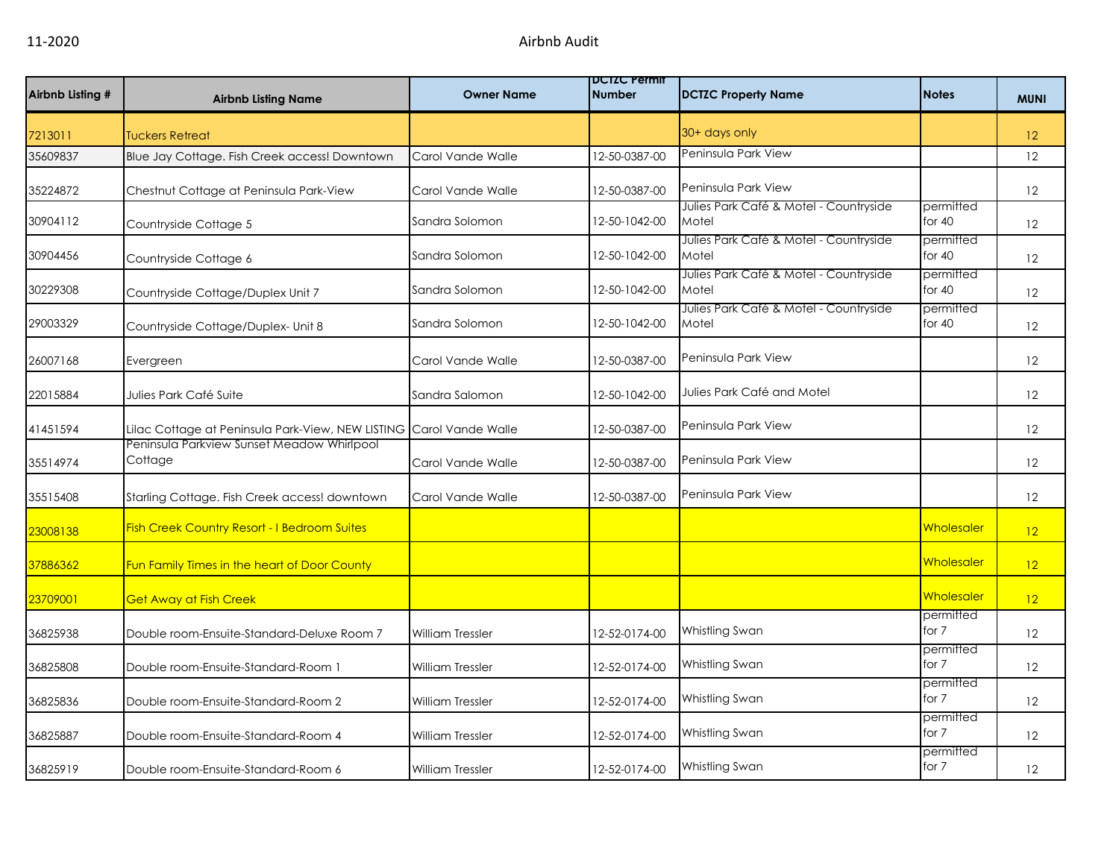| Airbnb Listing # | <b>Airbnb Listing Name</b>                            | <b>Owner Name</b>       | <b>DUIZU Permit</b><br><b>Number</b> | <b>DCTZC Property Name</b>                      | <b>Notes</b>          | <b>MUNI</b>       |
|------------------|-------------------------------------------------------|-------------------------|--------------------------------------|-------------------------------------------------|-----------------------|-------------------|
| 7213011          | <b>Tuckers Retreat</b>                                |                         |                                      | 30+ days only                                   |                       | 12 <sup>2</sup>   |
| 35609837         | Blue Jay Cottage. Fish Creek access! Downtown         | Carol Vande Walle       | 12-50-0387-00                        | Peninsula Park View                             |                       | 12                |
| 35224872         | Chestnut Cottage at Peninsula Park-View               | Carol Vande Walle       | 12-50-0387-00                        | Peninsula Park View                             |                       | 12                |
| 30904112         | Countryside Cottage 5                                 | Sandra Solomon          | 12-50-1042-00                        | Julies Park Café & Motel - Countryside<br>Motel | permitted<br>for $40$ | 12                |
| 30904456         | Countryside Cottage 6                                 | Sandra Solomon          | 12-50-1042-00                        | Julies Park Café & Motel - Countryside<br>Motel | permitted<br>for $40$ | 12                |
| 30229308         | Countryside Cottage/Duplex Unit 7                     | Sandra Solomon          | 12-50-1042-00                        | Julies Park Café & Motel - Countryside<br>Motel | permitted<br>for 40   | 12                |
| 29003329         | Countryside Cottage/Duplex- Unit 8                    | Sandra Solomon          | 12-50-1042-00                        | Julies Park Café & Motel - Countryside<br>Motel | permitted<br>for $40$ | 12                |
| 26007168         | Evergreen                                             | Carol Vande Walle       | 12-50-0387-00                        | Peninsula Park View                             |                       | 12                |
| 22015884         | Julies Park Café Suite                                | Sandra Salomon          | 12-50-1042-00                        | Julies Park Café and Motel                      |                       | 12                |
| 41451594         | Lilac Cottage at Peninsula Park-View, NEW LISTING     | Carol Vande Walle       | 12-50-0387-00                        | Peninsula Park View                             |                       | $12 \overline{ }$ |
| 35514974         | Peninsula Parkview Sunset Meadow Whirlpool<br>Cottage | Carol Vande Walle       | 12-50-0387-00                        | Peninsula Park View                             |                       | 12                |
| 35515408         | Starling Cottage. Fish Creek access! downtown         | Carol Vande Walle       | 12-50-0387-00                        | Peninsula Park View                             |                       | 12                |
| 23008138         | <b>Fish Creek Country Resort - I Bedroom Suites</b>   |                         |                                      |                                                 | Wholesaler            | 12                |
| 37886362         | Fun Family Times in the heart of Door County          |                         |                                      |                                                 | Wholesaler            | 12                |
| 23709001         | <b>Get Away at Fish Creek</b>                         |                         |                                      |                                                 | <b>Wholesaler</b>     | 12                |
| 36825938         | Double room-Ensuite-Standard-Deluxe Room 7            | <b>William Tressler</b> | 12-52-0174-00                        | Whistling Swan                                  | permitted<br>for 7    | 12                |
| 36825808         | Double room-Ensuite-Standard-Room 1                   | <b>William Tressler</b> | 12-52-0174-00                        | Whistling Swan                                  | permitted<br>for 7    | 12                |
| 36825836         | Double room-Ensuite-Standard-Room 2                   | William Tressler        | 12-52-0174-00                        | Whistling Swan                                  | permitted<br>for 7    | 12                |
| 36825887         | Double room-Ensuite-Standard-Room 4                   | William Tressler        | 12-52-0174-00                        | Whistling Swan                                  | permitted<br>for 7    | 12                |
| 36825919         | Double room-Ensuite-Standard-Room 6                   | <b>William Tressler</b> | 12-52-0174-00                        | Whistling Swan                                  | permitted<br>for 7    | $12 \overline{ }$ |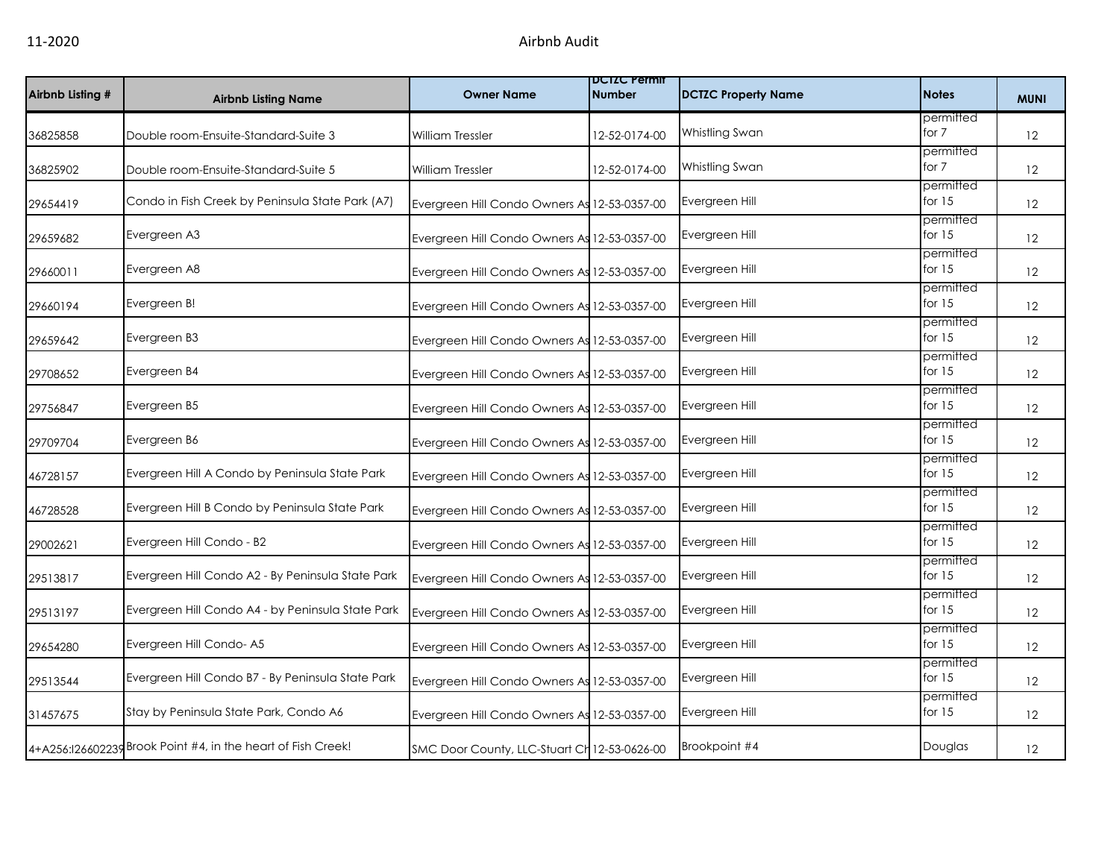| Airbnb Listing # | <b>Airbnb Listing Name</b>                                   | <b>Owner Name</b>                            | <b>DCIZC Permit</b><br><b>Number</b> | <b>DCTZC Property Name</b> | <b>Notes</b>          | <b>MUNI</b>       |
|------------------|--------------------------------------------------------------|----------------------------------------------|--------------------------------------|----------------------------|-----------------------|-------------------|
| 36825858         | Double room-Ensuite-Standard-Suite 3                         | William Tressler                             | 12-52-0174-00                        | Whistling Swan             | permitted<br>for $7$  | 12                |
| 36825902         | Double room-Ensuite-Standard-Suite 5                         | William Tressler                             | 12-52-0174-00                        | Whistling Swan             | permitted<br>for 7    | 12                |
| 29654419         | Condo in Fish Creek by Peninsula State Park (A7)             | Evergreen Hill Condo Owners As 12-53-0357-00 |                                      | Evergreen Hill             | permitted<br>for $15$ | 12                |
| 29659682         | Evergreen A3                                                 | Evergreen Hill Condo Owners As 12-53-0357-00 |                                      | Evergreen Hill             | permitted<br>for $15$ | 12                |
| 29660011         | Evergreen A8                                                 | Evergreen Hill Condo Owners As 12-53-0357-00 |                                      | Evergreen Hill             | permitted<br>for $15$ | $12 \overline{ }$ |
| 29660194         | Evergreen B!                                                 | Evergreen Hill Condo Owners As 12-53-0357-00 |                                      | Evergreen Hill             | permitted<br>for $15$ | 12                |
| 29659642         | Evergreen B3                                                 | Evergreen Hill Condo Owners As 12-53-0357-00 |                                      | Evergreen Hill             | permitted<br>for $15$ | 12                |
| 29708652         | Evergreen B4                                                 | Evergreen Hill Condo Owners As 12-53-0357-00 |                                      | Evergreen Hill             | permitted<br>for $15$ | 12                |
| 29756847         | Evergreen B5                                                 | Evergreen Hill Condo Owners As 12-53-0357-00 |                                      | Evergreen Hill             | permitted<br>for $15$ | 12                |
| 29709704         | Evergreen B6                                                 | Evergreen Hill Condo Owners As 12-53-0357-00 |                                      | Evergreen Hill             | permitted<br>for $15$ | 12                |
| 46728157         | Evergreen Hill A Condo by Peninsula State Park               | Evergreen Hill Condo Owners As 12-53-0357-00 |                                      | Evergreen Hill             | permitted<br>for $15$ | 12                |
| 46728528         | Evergreen Hill B Condo by Peninsula State Park               | Evergreen Hill Condo Owners As 12-53-0357-00 |                                      | Evergreen Hill             | permitted<br>for $15$ | 12                |
| 29002621         | Evergreen Hill Condo - B2                                    | Evergreen Hill Condo Owners As 12-53-0357-00 |                                      | Evergreen Hill             | permitted<br>for $15$ | 12                |
| 29513817         | Evergreen Hill Condo A2 - By Peninsula State Park            | Evergreen Hill Condo Owners As 12-53-0357-00 |                                      | Evergreen Hill             | permitted<br>for $15$ | 12                |
| 29513197         | Evergreen Hill Condo A4 - by Peninsula State Park            | Evergreen Hill Condo Owners As 12-53-0357-00 |                                      | Evergreen Hill             | permitted<br>for $15$ | 12                |
| 29654280         | Evergreen Hill Condo-A5                                      | Evergreen Hill Condo Owners As 12-53-0357-00 |                                      | Evergreen Hill             | permitted<br>for $15$ | 12                |
| 29513544         | Evergreen Hill Condo B7 - By Peninsula State Park            | Evergreen Hill Condo Owners As 12-53-0357-00 |                                      | Evergreen Hill             | permitted<br>for $15$ | $12 \overline{ }$ |
| 31457675         | Stay by Peninsula State Park, Condo A6                       | Evergreen Hill Condo Owners As 12-53-0357-00 |                                      | Evergreen Hill             | permitted<br>for $15$ | 12                |
|                  | 4+A256:126602239 Brook Point #4, in the heart of Fish Creek! | SMC Door County, LLC-Stuart Ch 12-53-0626-00 |                                      | Brookpoint #4              | Douglas               | 12 <sup>°</sup>   |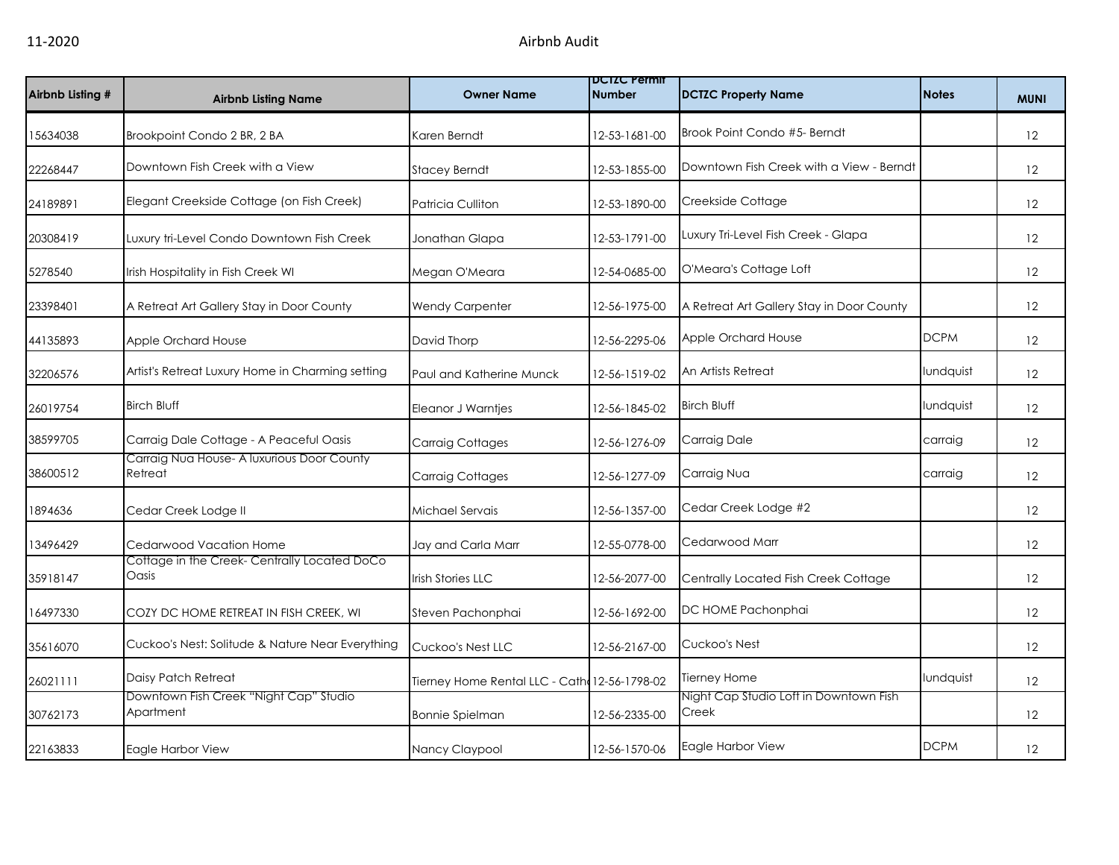| Airbnb Listing # | <b>Airbnb Listing Name</b>                            | <b>Owner Name</b>                             | <b>DUIZU Permit</b><br><b>Number</b> | <b>DCTZC Property Name</b>                      | <b>Notes</b> | <b>MUNI</b>       |
|------------------|-------------------------------------------------------|-----------------------------------------------|--------------------------------------|-------------------------------------------------|--------------|-------------------|
| 15634038         | Brookpoint Condo 2 BR, 2 BA                           | Karen Berndt                                  | 12-53-1681-00                        | Brook Point Condo #5- Berndt                    |              | 12                |
| 22268447         | Downtown Fish Creek with a View                       | <b>Stacey Berndt</b>                          | 12-53-1855-00                        | Downtown Fish Creek with a View - Berndt        |              | 12                |
| 24189891         | Elegant Creekside Cottage (on Fish Creek)             | Patricia Culliton                             | 12-53-1890-00                        | Creekside Cottage                               |              | 12                |
| 20308419         | Luxury tri-Level Condo Downtown Fish Creek            | Jonathan Glapa                                | 12-53-1791-00                        | Luxury Tri-Level Fish Creek - Glapa             |              | 12                |
| 5278540          | Irish Hospitality in Fish Creek WI                    | Megan O'Meara                                 | 12-54-0685-00                        | O'Meara's Cottage Loft                          |              | $12 \overline{ }$ |
| 23398401         | A Retreat Art Gallery Stay in Door County             | <b>Wendy Carpenter</b>                        | 12-56-1975-00                        | A Retreat Art Gallery Stay in Door County       |              | 12                |
| 44135893         | Apple Orchard House                                   | David Thorp                                   | 12-56-2295-06                        | Apple Orchard House                             | <b>DCPM</b>  | 12                |
| 32206576         | Artist's Retreat Luxury Home in Charming setting      | Paul and Katherine Munck                      | 12-56-1519-02                        | An Artists Retreat                              | lundquist    | 12                |
| 26019754         | <b>Birch Bluff</b>                                    | Eleanor J Warntjes                            | 12-56-1845-02                        | <b>Birch Bluff</b>                              | lundquist    | 12                |
| 38599705         | Carraig Dale Cottage - A Peaceful Oasis               | Carraig Cottages                              | 12-56-1276-09                        | Carraig Dale                                    | carraig      | 12                |
| 38600512         | Carraig Nua House- A luxurious Door County<br>Retreat | Carraig Cottages                              | 12-56-1277-09                        | Carraig Nua                                     | carraig      | 12                |
| 1894636          | Cedar Creek Lodge II                                  | Michael Servais                               | 12-56-1357-00                        | Cedar Creek Lodge #2                            |              | 12                |
| 13496429         | Cedarwood Vacation Home                               | Jay and Carla Marr                            | 12-55-0778-00                        | Cedarwood Marr                                  |              | 12                |
| 35918147         | Cottage in the Creek- Centrally Located DoCo<br>Oasis | Irish Stories LLC                             | 12-56-2077-00                        | Centrally Located Fish Creek Cottage            |              | 12                |
| 16497330         | COZY DC HOME RETREAT IN FISH CREEK, WI                | Steven Pachonphai                             | 12-56-1692-00                        | DC HOME Pachonphai                              |              | 12                |
| 35616070         | Cuckoo's Nest: Solitude & Nature Near Everything      | Cuckoo's Nest LLC                             | 12-56-2167-00                        | Cuckoo's Nest                                   |              | 12                |
| 26021111         | Daisy Patch Retreat                                   | Tierney Home Rental LLC - Cath: 12-56-1798-02 |                                      | Tierney Home                                    | lundquist    | 12                |
| 30762173         | Downtown Fish Creek "Night Cap" Studio<br>Apartment   | <b>Bonnie Spielman</b>                        | 12-56-2335-00                        | Night Cap Studio Loft in Downtown Fish<br>Creek |              | 12                |
| 22163833         | Eagle Harbor View                                     | Nancy Claypool                                | 12-56-1570-06                        | Eagle Harbor View                               | <b>DCPM</b>  | 12                |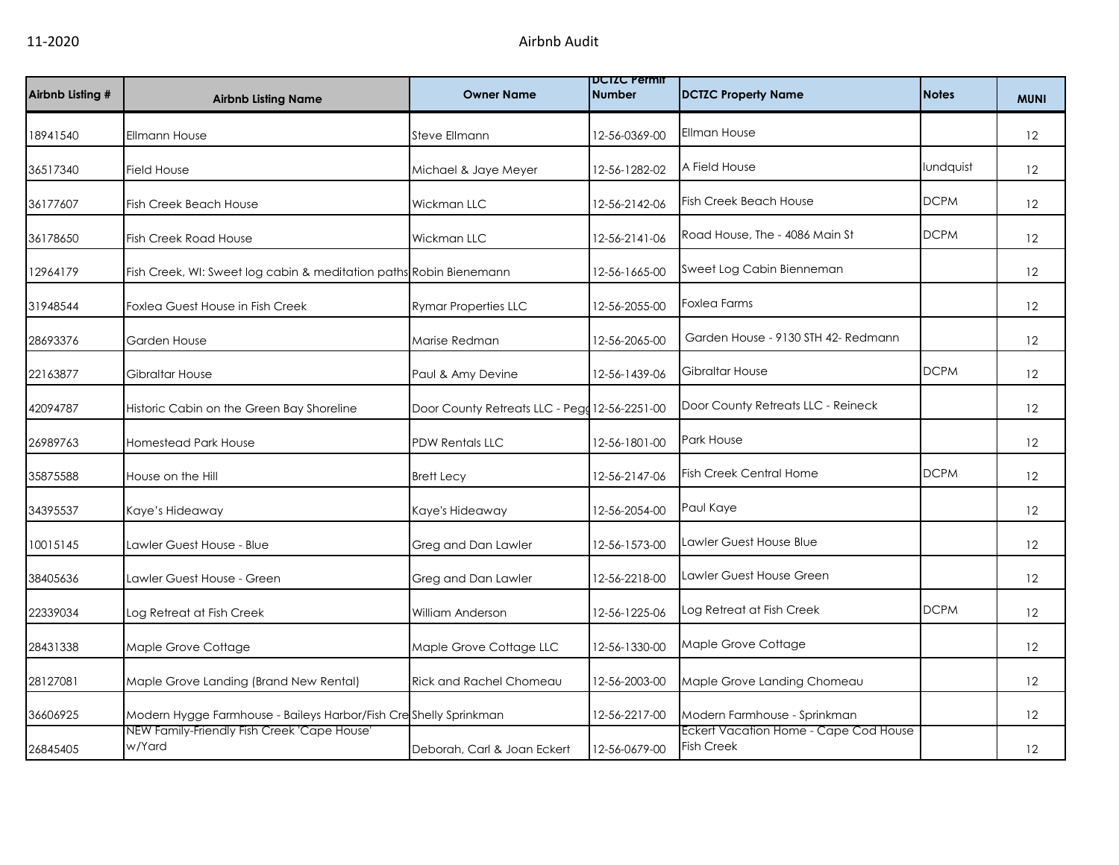| Airbnb Listing # | <b>Airbnb Listing Name</b>                                         | <b>Owner Name</b>                             | <b>DCIZC Permit</b><br><b>Number</b> | <b>DCTZC Property Name</b>                                 | <b>Notes</b> | <b>MUNI</b>       |
|------------------|--------------------------------------------------------------------|-----------------------------------------------|--------------------------------------|------------------------------------------------------------|--------------|-------------------|
| 18941540         | Ellmann House                                                      | Steve Ellmann                                 | 12-56-0369-00                        | Ellman House                                               |              | 12                |
| 36517340         | <b>Field House</b>                                                 | Michael & Jaye Meyer                          | 12-56-1282-02                        | A Field House                                              | lundquist    | 12                |
| 36177607         | <b>Fish Creek Beach House</b>                                      | Wickman LLC                                   | 12-56-2142-06                        | <b>Fish Creek Beach House</b>                              | <b>DCPM</b>  | 12                |
| 36178650         | <b>Fish Creek Road House</b>                                       | Wickman LLC                                   | 12-56-2141-06                        | Road House, The - 4086 Main St                             | <b>DCPM</b>  | 12                |
| 12964179         | Fish Creek, WI: Sweet log cabin & meditation paths Robin Bienemann |                                               | 12-56-1665-00                        | Sweet Log Cabin Bienneman                                  |              | $12 \overline{ }$ |
| 31948544         | Foxlea Guest House in Fish Creek                                   | <b>Rymar Properties LLC</b>                   | 12-56-2055-00                        | Foxlea Farms                                               |              | 12                |
| 28693376         | Garden House                                                       | Marise Redman                                 | 12-56-2065-00                        | Garden House - 9130 STH 42- Redmann                        |              | 12                |
| 22163877         | <b>Gibraltar House</b>                                             | Paul & Amy Devine                             | 12-56-1439-06                        | Gibraltar House                                            | <b>DCPM</b>  | 12                |
| 42094787         | Historic Cabin on the Green Bay Shoreline                          | Door County Retreats LLC - Pegg 12-56-2251-00 |                                      | Door County Retreats LLC - Reineck                         |              | 12                |
| 26989763         | <b>Homestead Park House</b>                                        | <b>PDW Rentals LLC</b>                        | 12-56-1801-00                        | <b>Park House</b>                                          |              | 12                |
| 35875588         | House on the Hill                                                  | <b>Brett Lecy</b>                             | 12-56-2147-06                        | Fish Creek Central Home                                    | <b>DCPM</b>  | 12                |
| 34395537         | Kaye's Hideaway                                                    | Kaye's Hideaway                               | 12-56-2054-00                        | Paul Kaye                                                  |              | 12                |
| 10015145         | Lawler Guest House - Blue                                          | Greg and Dan Lawler                           | 12-56-1573-00                        | Lawler Guest House Blue                                    |              | 12                |
| 38405636         | Lawler Guest House - Green                                         | Greg and Dan Lawler                           | 12-56-2218-00                        | Lawler Guest House Green                                   |              | 12                |
| 22339034         | Log Retreat at Fish Creek                                          | William Anderson                              | 12-56-1225-06                        | Log Retreat at Fish Creek                                  | <b>DCPM</b>  | $12 \overline{ }$ |
| 28431338         | Maple Grove Cottage                                                | Maple Grove Cottage LLC                       | 12-56-1330-00                        | Maple Grove Cottage                                        |              | 12                |
| 28127081         | Maple Grove Landing (Brand New Rental)                             | <b>Rick and Rachel Chomeau</b>                | 12-56-2003-00                        | Maple Grove Landing Chomeau                                |              | 12                |
| 36606925         | Modern Hygge Farmhouse - Baileys Harbor/Fish Creshelly Sprinkman   |                                               | 12-56-2217-00                        | Modern Farmhouse - Sprinkman                               |              | 12                |
| 26845405         | NEW Family-Friendly Fish Creek 'Cape House'<br>w/Yard              | Deborah, Carl & Joan Eckert                   | 12-56-0679-00                        | Eckert Vacation Home - Cape Cod House<br><b>Fish Creek</b> |              | $12 \overline{ }$ |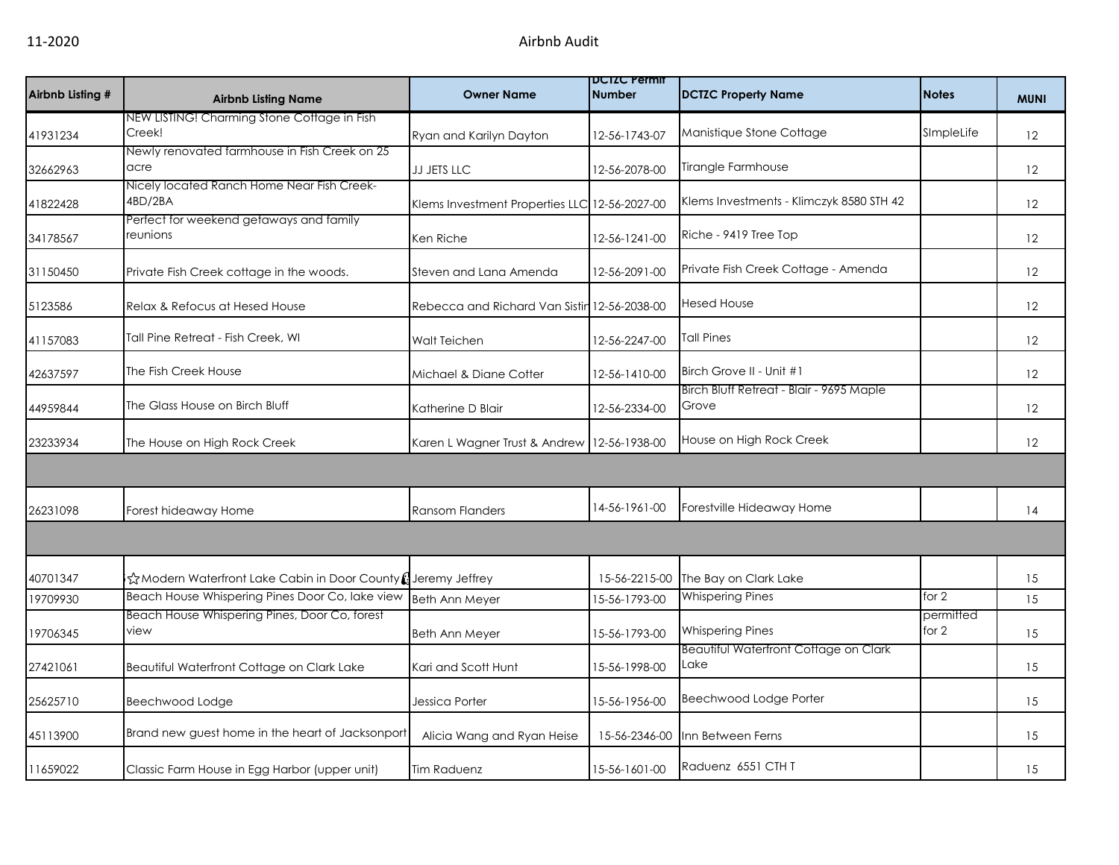| Airbnb Listing # | <b>Airbnb Listing Name</b>                                   | <b>Owner Name</b>                            | <b>DCIZC Permit</b><br><b>Number</b> | <b>DCTZC Property Name</b>                        | <b>Notes</b>       | <b>MUNI</b> |
|------------------|--------------------------------------------------------------|----------------------------------------------|--------------------------------------|---------------------------------------------------|--------------------|-------------|
|                  | NEW LISTING! Charming Stone Cottage in Fish                  |                                              |                                      |                                                   |                    |             |
| 41931234         | Creek!                                                       | Ryan and Karilyn Dayton                      | 12-56-1743-07                        | Manistique Stone Cottage                          | SImpleLife         | 12          |
|                  | Newly renovated farmhouse in Fish Creek on 25                |                                              |                                      |                                                   |                    |             |
| 32662963         | acre                                                         | JJ JETS LLC                                  | 12-56-2078-00                        | Tirangle Farmhouse                                |                    | 12          |
| 41822428         | Nicely located Ranch Home Near Fish Creek-<br>4BD/2BA        | Klems Investment Properties LLC              | 12-56-2027-00                        | Klems Investments - Klimczyk 8580 STH 42          |                    | 12          |
| 34178567         | Perfect for weekend getaways and family<br>reunions          | Ken Riche                                    | 12-56-1241-00                        | Riche - 9419 Tree Top                             |                    | 12          |
| 31150450         | Private Fish Creek cottage in the woods.                     | Steven and Lana Amenda                       | 12-56-2091-00                        | Private Fish Creek Cottage - Amenda               |                    | 12          |
| 5123586          | Relax & Refocus at Hesed House                               | Rebecca and Richard Van Sistin 12-56-2038-00 |                                      | <b>Hesed House</b>                                |                    | 12          |
| 41157083         | Tall Pine Retreat - Fish Creek, WI                           | <b>Walt Teichen</b>                          | 12-56-2247-00                        | <b>Tall Pines</b>                                 |                    | 12          |
| 42637597         | The Fish Creek House                                         | Michael & Diane Cotter                       | 12-56-1410-00                        | Birch Grove II - Unit #1                          |                    | 12          |
| 44959844         | The Glass House on Birch Bluff                               | Katherine D Blair                            | 12-56-2334-00                        | Birch Bluff Retreat - Blair - 9695 Maple<br>Grove |                    | 12          |
| 23233934         | The House on High Rock Creek                                 | Karen L Wagner Trust & Andrew                | 12-56-1938-00                        | House on High Rock Creek                          |                    | 12          |
|                  |                                                              |                                              |                                      |                                                   |                    |             |
| 26231098         | Forest hideaway Home                                         | <b>Ransom Flanders</b>                       | 14-56-1961-00                        | Forestville Hideaway Home                         |                    | 14          |
|                  |                                                              |                                              |                                      |                                                   |                    |             |
| 40701347         | ☆Modern Waterfront Lake Cabin in Door County (Jeremy Jeffrey |                                              | 15-56-2215-00                        | The Bay on Clark Lake                             |                    | 15          |
| 19709930         | Beach House Whispering Pines Door Co, lake view              | <b>Beth Ann Meyer</b>                        | 15-56-1793-00                        | <b>Whispering Pines</b>                           | for $2$            | 15          |
| 19706345         | Beach House Whispering Pines, Door Co, forest<br>view        | <b>Beth Ann Meyer</b>                        | 15-56-1793-00                        | <b>Whispering Pines</b>                           | permitted<br>for 2 | 15          |
| 27421061         | Beautiful Waterfront Cottage on Clark Lake                   | Kari and Scott Hunt                          | 15-56-1998-00                        | Beautiful Waterfront Cottage on Clark<br>Lake     |                    | 15          |
| 25625710         | Beechwood Lodge                                              | Jessica Porter                               | 15-56-1956-00                        | Beechwood Lodge Porter                            |                    | 15          |
| 45113900         | Brand new guest home in the heart of Jacksonport             | Alicia Wang and Ryan Heise                   | 15-56-2346-00                        | Inn Between Ferns                                 |                    | 15          |
| 11659022         | Classic Farm House in Egg Harbor (upper unit)                | <b>Tim Raduenz</b>                           | 15-56-1601-00                        | Raduenz 6551 CTH T                                |                    | 15          |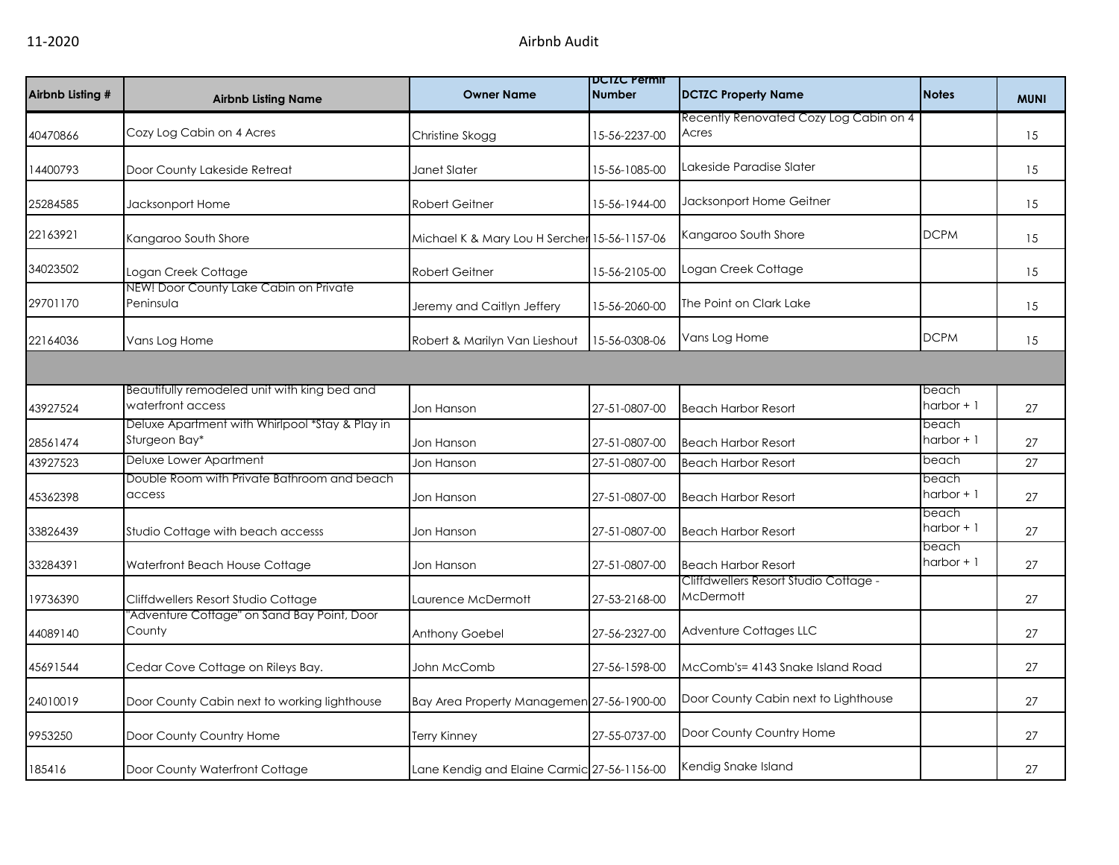| Airbnb Listing # | <b>Airbnb Listing Name</b>                                        | <b>Owner Name</b>                            | <b>DCIZC Permit</b><br><b>Number</b> | <b>DCTZC Property Name</b>                                | <b>Notes</b>          | <b>MUNI</b> |
|------------------|-------------------------------------------------------------------|----------------------------------------------|--------------------------------------|-----------------------------------------------------------|-----------------------|-------------|
| 40470866         | Cozy Log Cabin on 4 Acres                                         | Christine Skogg                              | 15-56-2237-00                        | Recently Renovated Cozy Log Cabin on 4<br>Acres           |                       | 15          |
| 14400793         | Door County Lakeside Retreat                                      | Janet Slater                                 | 15-56-1085-00                        | Lakeside Paradise Slater                                  |                       | 15          |
| 25284585         | Jacksonport Home                                                  | <b>Robert Geitner</b>                        | 15-56-1944-00                        | Jacksonport Home Geitner                                  |                       | 15          |
| 22163921         | Kangaroo South Shore                                              | Michael K & Mary Lou H Sercher 15-56-1157-06 |                                      | Kangaroo South Shore                                      | <b>DCPM</b>           | 15          |
| 34023502         | Logan Creek Cottage                                               | <b>Robert Geitner</b>                        | 15-56-2105-00                        | Logan Creek Cottage                                       |                       | 15          |
| 29701170         | NEW! Door County Lake Cabin on Private<br>Peninsula               | Jeremy and Caitlyn Jeffery                   | 15-56-2060-00                        | The Point on Clark Lake                                   |                       | 15          |
| 22164036         | Vans Log Home                                                     | Robert & Marilyn Van Lieshout                | 15-56-0308-06                        | Vans Log Home                                             | <b>DCPM</b>           | 15          |
|                  |                                                                   |                                              |                                      |                                                           |                       |             |
| 43927524         | Beautifully remodeled unit with king bed and<br>waterfront access | Jon Hanson                                   | 27-51-0807-00                        | <b>Beach Harbor Resort</b>                                | beach<br>harbor + 1   | 27          |
| 28561474         | Deluxe Apartment with Whirlpool *Stay & Play in<br>Sturgeon Bay*  | Jon Hanson                                   | 27-51-0807-00                        | <b>Beach Harbor Resort</b>                                | beach<br>harbor + 1   | 27          |
| 43927523         | Deluxe Lower Apartment                                            | Jon Hanson                                   | 27-51-0807-00                        | <b>Beach Harbor Resort</b>                                | beach                 | 27          |
| 45362398         | Double Room with Private Bathroom and beach<br>access             | Jon Hanson                                   | 27-51-0807-00                        | <b>Beach Harbor Resort</b>                                | beach<br>harbor + 1   | 27          |
| 33826439         | Studio Cottage with beach accesss                                 | Jon Hanson                                   | 27-51-0807-00                        | <b>Beach Harbor Resort</b>                                | beach<br>$harbor + 1$ | 27          |
| 33284391         | Waterfront Beach House Cottage                                    | Jon Hanson                                   | 27-51-0807-00                        | <b>Beach Harbor Resort</b>                                | beach<br>$harbor + 1$ | 27          |
| 19736390         | Cliffdwellers Resort Studio Cottage                               | Laurence McDermott                           | 27-53-2168-00                        | Cliffdwellers Resort Studio Cottage -<br><b>McDermott</b> |                       | 27          |
| 44089140         | "Adventure Cottage" on Sand Bay Point, Door<br>County             | Anthony Goebel                               | 27-56-2327-00                        | Adventure Cottages LLC                                    |                       | 27          |
| 45691544         | Cedar Cove Cottage on Rileys Bay.                                 | John McComb                                  | 27-56-1598-00                        | McComb's= 4143 Snake Island Road                          |                       | 27          |
| 24010019         | Door County Cabin next to working lighthouse                      | Bay Area Property Managemen 27-56-1900-00    |                                      | Door County Cabin next to Lighthouse                      |                       | 27          |
| 9953250          | Door County Country Home                                          | <b>Terry Kinney</b>                          | 27-55-0737-00                        | Door County Country Home                                  |                       | 27          |
| 185416           | Door County Waterfront Cottage                                    | Lane Kendig and Elaine Carmic 27-56-1156-00  |                                      | Kendig Snake Island                                       |                       | 27          |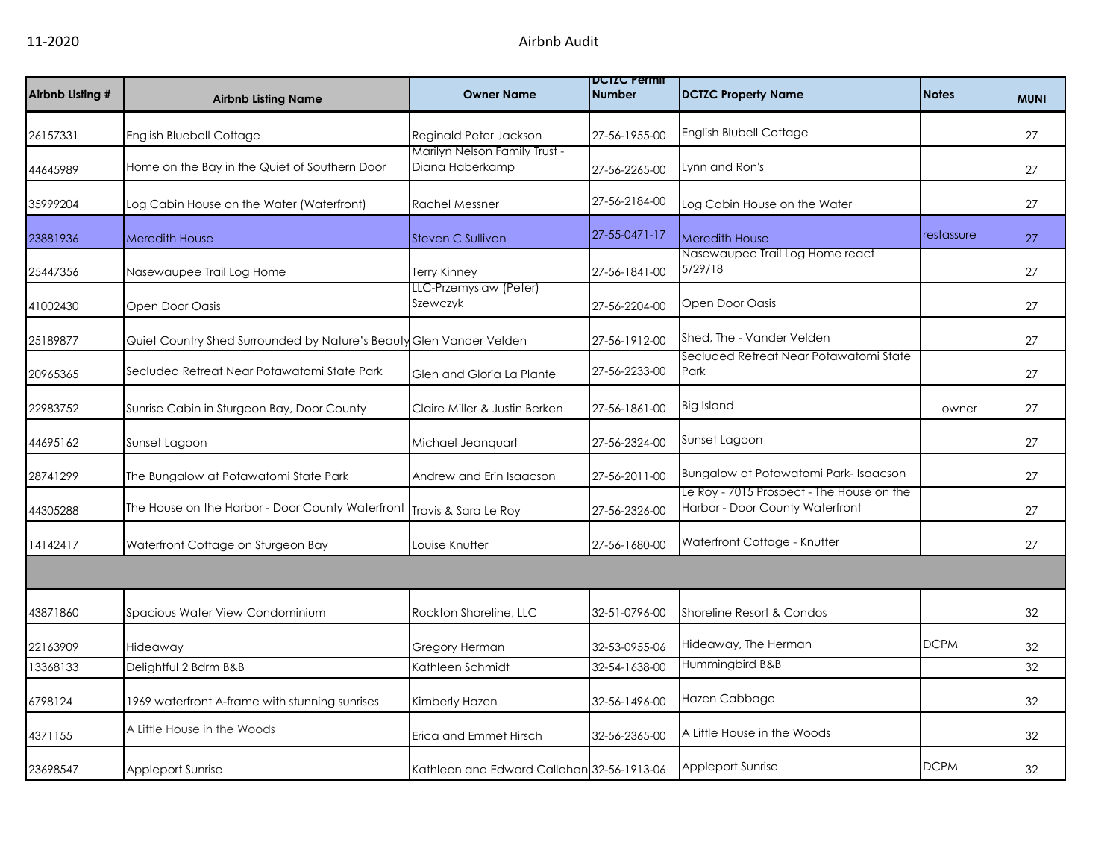|                  |                                                                         |                                                  | <b>DUIZU Permit</b> |                                                                              |              |             |
|------------------|-------------------------------------------------------------------------|--------------------------------------------------|---------------------|------------------------------------------------------------------------------|--------------|-------------|
| Airbnb Listing # | <b>Airbnb Listing Name</b>                                              | <b>Owner Name</b>                                | <b>Number</b>       | <b>DCTZC Property Name</b>                                                   | <b>Notes</b> | <b>MUNI</b> |
| 26157331         | <b>English Bluebell Cottage</b>                                         | Reginald Peter Jackson                           | 27-56-1955-00       | English Blubell Cottage                                                      |              | 27          |
| 44645989         | Home on the Bay in the Quiet of Southern Door                           | Marilyn Nelson Family Trust -<br>Diana Haberkamp | 27-56-2265-00       | Lynn and Ron's                                                               |              | 27          |
| 35999204         | Log Cabin House on the Water (Waterfront)                               | <b>Rachel Messner</b>                            | 27-56-2184-00       | Log Cabin House on the Water                                                 |              | 27          |
| 23881936         | <b>Meredith House</b>                                                   | Steven C Sullivan                                | 27-55-0471-17       | <b>Meredith House</b>                                                        | restassure   | 27          |
| 25447356         | Nasewaupee Trail Log Home                                               | Terry Kinney                                     | 27-56-1841-00       | Nasewaupee Trail Log Home react<br>5/29/18                                   |              | 27          |
| 41002430         | Open Door Oasis                                                         | LLC-Przemyslaw (Peter)<br>Szewczyk               | 27-56-2204-00       | Open Door Oasis                                                              |              | 27          |
| 25189877         | Quiet Country Shed Surrounded by Nature's Beauty Glen Vander Velden     |                                                  | 27-56-1912-00       | Shed, The - Vander Velden                                                    |              | 27          |
| 20965365         | Secluded Retreat Near Potawatomi State Park                             | Glen and Gloria La Plante                        | 27-56-2233-00       | Secluded Retreat Near Potawatomi State<br>Park                               |              | 27          |
| 22983752         | Sunrise Cabin in Sturgeon Bay, Door County                              | Claire Miller & Justin Berken                    | 27-56-1861-00       | <b>Big Island</b>                                                            | owner        | 27          |
| 44695162         | Sunset Lagoon                                                           | Michael Jeanquart                                | 27-56-2324-00       | Sunset Lagoon                                                                |              | 27          |
| 28741299         | The Bungalow at Potawatomi State Park                                   | Andrew and Erin Isaacson                         | 27-56-2011-00       | Bungalow at Potawatomi Park-Isaacson                                         |              | 27          |
| 44305288         | The House on the Harbor - Door County Waterfront   Travis & Sara Le Roy |                                                  | 27-56-2326-00       | Le Roy - 7015 Prospect - The House on the<br>Harbor - Door County Waterfront |              | 27          |
| 14142417         | Waterfront Cottage on Sturgeon Bay                                      | Louise Knutter                                   | 27-56-1680-00       | Waterfront Cottage - Knutter                                                 |              | 27          |
|                  |                                                                         |                                                  |                     |                                                                              |              |             |
| 43871860         | Spacious Water View Condominium                                         | Rockton Shoreline, LLC                           | 32-51-0796-00       | Shoreline Resort & Condos                                                    |              | 32          |
| 22163909         | Hideaway                                                                | Gregory Herman                                   | 32-53-0955-06       | Hideaway, The Herman                                                         | <b>DCPM</b>  | 32          |
| 13368133         | Delightful 2 Bdrm B&B                                                   | Kathleen Schmidt                                 | 32-54-1638-00       | Hummingbird B&B                                                              |              | 32          |
| 6798124          | 1969 waterfront A-frame with stunning sunrises                          | Kimberly Hazen                                   | 32-56-1496-00       | Hazen Cabbage                                                                |              | 32          |
| 4371155          | A Little House in the Woods                                             | Erica and Emmet Hirsch                           | 32-56-2365-00       | A Little House in the Woods                                                  |              | 32          |
| 23698547         | Appleport Sunrise                                                       | Kathleen and Edward Callahan 32-56-1913-06       |                     | Appleport Sunrise                                                            | <b>DCPM</b>  | 32          |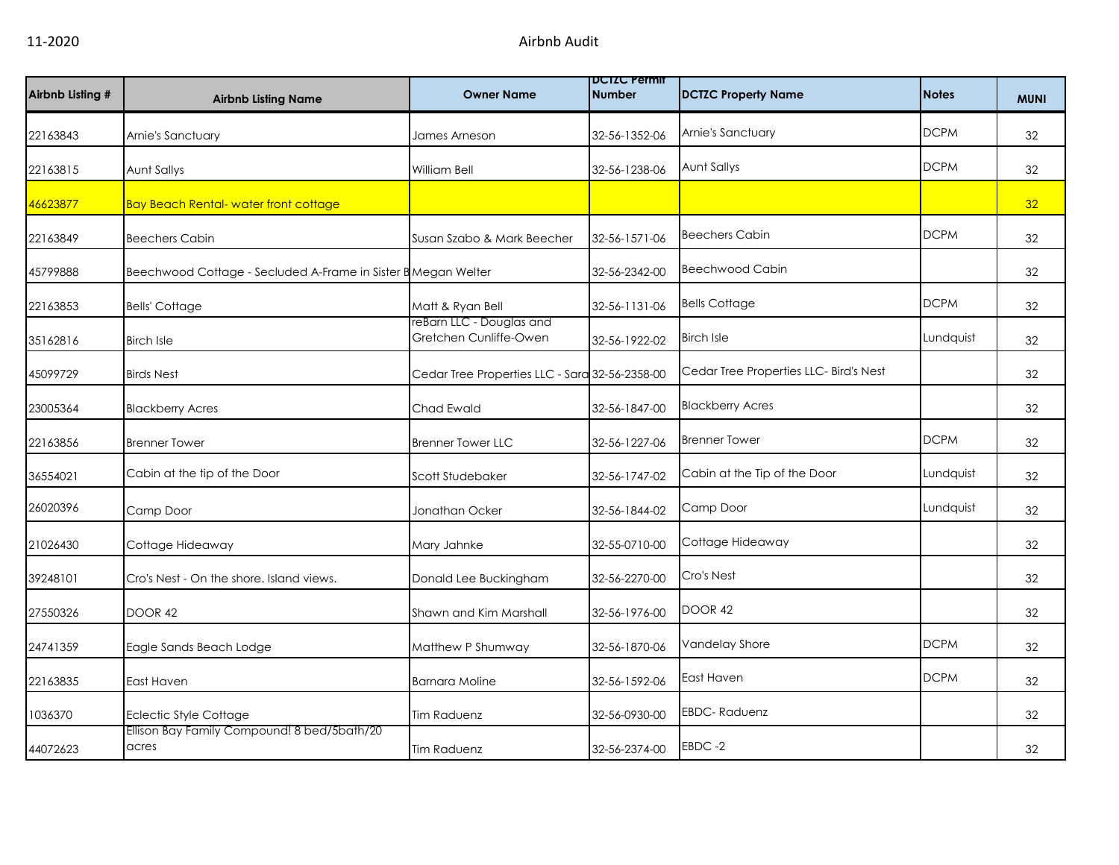| Airbnb Listing # | <b>Airbnb Listing Name</b>                                    | <b>Owner Name</b>                                  | <b>DCIZC Permit</b><br><b>Number</b> | <b>DCTZC Property Name</b>             | <b>Notes</b> | <b>MUNI</b> |
|------------------|---------------------------------------------------------------|----------------------------------------------------|--------------------------------------|----------------------------------------|--------------|-------------|
| 22163843         | Arnie's Sanctuary                                             | James Arneson                                      | 32-56-1352-06                        | Arnie's Sanctuary                      | <b>DCPM</b>  | 32          |
| 22163815         | Aunt Sallys                                                   | <b>William Bell</b>                                | 32-56-1238-06                        | Aunt Sallys                            | <b>DCPM</b>  | 32          |
| 46623877         | <b>Bay Beach Rental- water front cottage</b>                  |                                                    |                                      |                                        |              | 32          |
| 22163849         | <b>Beechers Cabin</b>                                         | Susan Szabo & Mark Beecher                         | 32-56-1571-06                        | <b>Beechers Cabin</b>                  | <b>DCPM</b>  | 32          |
| 45799888         | Beechwood Cottage - Secluded A-Frame in Sister B Megan Welter |                                                    | 32-56-2342-00                        | <b>Beechwood Cabin</b>                 |              | 32          |
| 22163853         | <b>Bells' Cottage</b>                                         | Matt & Ryan Bell                                   | 32-56-1131-06                        | <b>Bells Cottage</b>                   | <b>DCPM</b>  | 32          |
| 35162816         | <b>Birch Isle</b>                                             | reBarn LLC - Douglas and<br>Gretchen Cunliffe-Owen | 32-56-1922-02                        | <b>Birch Isle</b>                      | Lundquist    | 32          |
| 45099729         | <b>Birds Nest</b>                                             | Cedar Tree Properties LLC - Sara 32-56-2358-00     |                                      | Cedar Tree Properties LLC- Bird's Nest |              | 32          |
| 23005364         | <b>Blackberry Acres</b>                                       | Chad Ewald                                         | 32-56-1847-00                        | <b>Blackberry Acres</b>                |              | 32          |
| 22163856         | <b>Brenner Tower</b>                                          | <b>Brenner Tower LLC</b>                           | 32-56-1227-06                        | <b>Brenner Tower</b>                   | <b>DCPM</b>  | 32          |
| 36554021         | Cabin at the tip of the Door                                  | Scott Studebaker                                   | 32-56-1747-02                        | Cabin at the Tip of the Door           | Lundquist    | 32          |
| 26020396         | Camp Door                                                     | Jonathan Ocker                                     | 32-56-1844-02                        | Camp Door                              | Lundquist    | 32          |
| 21026430         | Cottage Hideaway                                              | Mary Jahnke                                        | 32-55-0710-00                        | Cottage Hideaway                       |              | 32          |
| 39248101         | Cro's Nest - On the shore, Island views.                      | Donald Lee Buckingham                              | 32-56-2270-00                        | Cro's Nest                             |              | 32          |
| 27550326         | DOOR 42                                                       | Shawn and Kim Marshall                             | 32-56-1976-00                        | <b>DOOR 42</b>                         |              | 32          |
| 24741359         | Eagle Sands Beach Lodge                                       | Matthew P Shumway                                  | 32-56-1870-06                        | Vandelay Shore                         | <b>DCPM</b>  | 32          |
| 22163835         | East Haven                                                    | Barnara Moline                                     | 32-56-1592-06                        | East Haven                             | <b>DCPM</b>  | 32          |
| 1036370          | Eclectic Style Cottage                                        | <b>Tim Raduenz</b>                                 | 32-56-0930-00                        | <b>EBDC-Raduenz</b>                    |              | 32          |
| 44072623         | Ellison Bay Family Compound! 8 bed/5bath/20<br>acres          | <b>Tim Raduenz</b>                                 | 32-56-2374-00                        | EBDC-2                                 |              | 32          |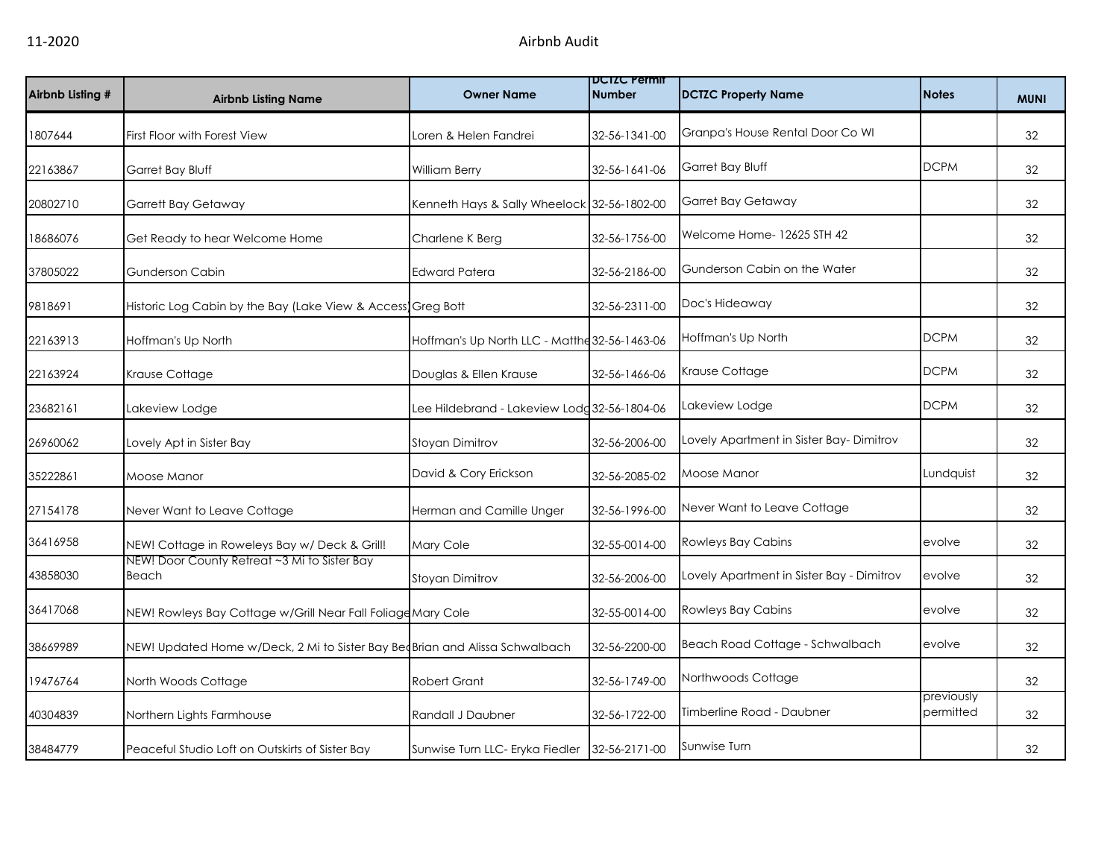| Airbnb Listing # | <b>Airbnb Listing Name</b>                                                   | <b>Owner Name</b>                             | <b>DCTZC Permit</b><br><b>Number</b> | <b>DCTZC Property Name</b>                | <b>Notes</b>            | <b>MUNI</b> |
|------------------|------------------------------------------------------------------------------|-----------------------------------------------|--------------------------------------|-------------------------------------------|-------------------------|-------------|
| 1807644          | First Floor with Forest View                                                 | Loren & Helen Fandrei                         | 32-56-1341-00                        | Granpa's House Rental Door Co WI          |                         | 32          |
| 22163867         | Garret Bay Bluff                                                             | William Berry                                 | 32-56-1641-06                        | Garret Bay Bluff                          | <b>DCPM</b>             | 32          |
| 20802710         | <b>Garrett Bay Getaway</b>                                                   | Kenneth Hays & Sally Wheelock 32-56-1802-00   |                                      | Garret Bay Getaway                        |                         | 32          |
| 18686076         | Get Ready to hear Welcome Home                                               | Charlene K Berg                               | 32-56-1756-00                        | Welcome Home-12625 STH 42                 |                         | 32          |
| 37805022         | <b>Gunderson Cabin</b>                                                       | <b>Edward Patera</b>                          | 32-56-2186-00                        | Gunderson Cabin on the Water              |                         | 32          |
| 9818691          | Historic Log Cabin by the Bay (Lake View & Access Greg Bott                  |                                               | 32-56-2311-00                        | Doc's Hideaway                            |                         | 32          |
| 22163913         | Hoffman's Up North                                                           | Hoffman's Up North LLC - Matthe 32-56-1463-06 |                                      | Hoffman's Up North                        | <b>DCPM</b>             | 32          |
| 22163924         | Krause Cottage                                                               | Douglas & Ellen Krause                        | 32-56-1466-06                        | Krause Cottage                            | <b>DCPM</b>             | 32          |
| 23682161         | Lakeview Lodge                                                               | Lee Hildebrand - Lakeview Lodg 32-56-1804-06  |                                      | Lakeview Lodge                            | <b>DCPM</b>             | 32          |
| 26960062         | Lovely Apt in Sister Bay                                                     | Stoyan Dimitrov                               | 32-56-2006-00                        | Lovely Apartment in Sister Bay-Dimitrov   |                         | 32          |
| 35222861         | Moose Manor                                                                  | David & Cory Erickson                         | 32-56-2085-02                        | Moose Manor                               | Lundquist               | 32          |
| 27154178         | Never Want to Leave Cottage                                                  | Herman and Camille Unger                      | 32-56-1996-00                        | Never Want to Leave Cottage               |                         | 32          |
| 36416958         | NEW! Cottage in Roweleys Bay w/ Deck & Grill!                                | Mary Cole                                     | 32-55-0014-00                        | Rowleys Bay Cabins                        | evolve                  | 32          |
| 43858030         | NEW! Door County Retreat ~3 Mi to Sister Bay<br>Beach                        | Stoyan Dimitrov                               | 32-56-2006-00                        | Lovely Apartment in Sister Bay - Dimitrov | evolve                  | 32          |
| 36417068         | NEW! Rowleys Bay Cottage w/Grill Near Fall Foliage Mary Cole                 |                                               | 32-55-0014-00                        | Rowleys Bay Cabins                        | evolve                  | 32          |
| 38669989         | NEW! Updated Home w/Deck, 2 Mi to Sister Bay Bed Brian and Alissa Schwalbach |                                               | 32-56-2200-00                        | Beach Road Cottage - Schwalbach           | evolve                  | 32          |
| 19476764         | North Woods Cottage                                                          | <b>Robert Grant</b>                           | 32-56-1749-00                        | Northwoods Cottage                        |                         | 32          |
| 40304839         | Northern Lights Farmhouse                                                    | Randall J Daubner                             | 32-56-1722-00                        | Timberline Road - Daubner                 | previously<br>permitted | 32          |
| 38484779         | Peaceful Studio Loft on Outskirts of Sister Bay                              | Sunwise Turn LLC- Eryka Fiedler               | 32-56-2171-00                        | Sunwise Turn                              |                         | 32          |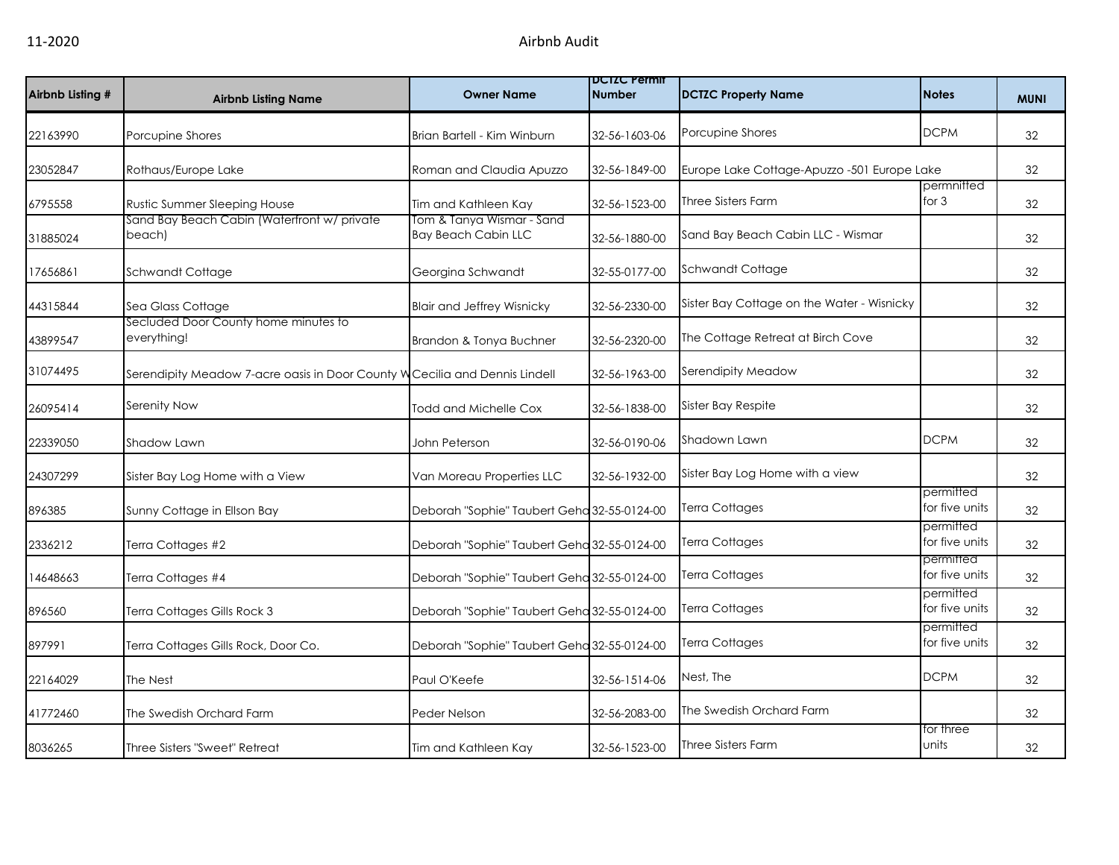| Airbnb Listing # | <b>Airbnb Listing Name</b>                                                  | <b>Owner Name</b>                                       | <b>DCIZC Permit</b><br><b>Number</b> | <b>DCTZC Property Name</b>                  | <b>Notes</b>                | <b>MUNI</b> |
|------------------|-----------------------------------------------------------------------------|---------------------------------------------------------|--------------------------------------|---------------------------------------------|-----------------------------|-------------|
| 22163990         | Porcupine Shores                                                            | Brian Bartell - Kim Winburn                             | 32-56-1603-06                        | Porcupine Shores                            | <b>DCPM</b>                 | 32          |
| 23052847         | Rothaus/Europe Lake                                                         | Roman and Claudia Apuzzo                                | 32-56-1849-00                        | Europe Lake Cottage-Apuzzo -501 Europe Lake |                             | 32          |
| 6795558          | Rustic Summer Sleeping House                                                | Tim and Kathleen Kay                                    | 32-56-1523-00                        | <b>Three Sisters Farm</b>                   | permnitted<br>for $3$       | 32          |
| 31885024         | Sand Bay Beach Cabin (Waterfront w/ private<br>beach)                       | Tom & Tanya Wismar - Sand<br><b>Bay Beach Cabin LLC</b> | 32-56-1880-00                        | Sand Bay Beach Cabin LLC - Wismar           |                             | 32          |
| 17656861         | Schwandt Cottage                                                            | Georgina Schwandt                                       | 32-55-0177-00                        | Schwandt Cottage                            |                             | 32          |
| 44315844         | Sea Glass Cottage                                                           | <b>Blair and Jeffrey Wisnicky</b>                       | 32-56-2330-00                        | Sister Bay Cottage on the Water - Wisnicky  |                             | 32          |
| 43899547         | Secluded Door County home minutes to<br>everything!                         | Brandon & Tonya Buchner                                 | 32-56-2320-00                        | The Cottage Retreat at Birch Cove           |                             | 32          |
| 31074495         | Serendipity Meadow 7-acre oasis in Door County W Cecilia and Dennis Lindell |                                                         | 32-56-1963-00                        | Serendipity Meadow                          |                             | 32          |
| 26095414         | Serenity Now                                                                | Todd and Michelle Cox                                   | 32-56-1838-00                        | Sister Bay Respite                          |                             | 32          |
| 22339050         | Shadow Lawn                                                                 | John Peterson                                           | 32-56-0190-06                        | Shadown Lawn                                | <b>DCPM</b>                 | 32          |
| 24307299         | Sister Bay Log Home with a View                                             | Van Moreau Properties LLC                               | 32-56-1932-00                        | Sister Bay Log Home with a view             |                             | 32          |
| 896385           | Sunny Cottage in Ellson Bay                                                 | Deborah "Sophie" Taubert Geha 32-55-0124-00             |                                      | <b>Terra Cottages</b>                       | permitted<br>for five units | 32          |
| 2336212          | Terra Cottages #2                                                           | Deborah "Sophie" Taubert Geha 32-55-0124-00             |                                      | <b>Terra Cottages</b>                       | permitted<br>for five units | 32          |
| 14648663         | Terra Cottages #4                                                           | Deborah "Sophie" Taubert Geha 32-55-0124-00             |                                      | Terra Cottages                              | permitted<br>for five units | 32          |
| 896560           | Terra Cottages Gills Rock 3                                                 | Deborah "Sophie" Taubert Geha 32-55-0124-00             |                                      | Terra Cottages                              | permitted<br>for five units | 32          |
| 897991           | Terra Cottages Gills Rock, Door Co.                                         | Deborah "Sophie" Taubert Geha 32-55-0124-00             |                                      | <b>Terra Cottages</b>                       | permitted<br>for five units | 32          |
| 22164029         | The Nest                                                                    | Paul O'Keefe                                            | 32-56-1514-06                        | Nest, The                                   | <b>DCPM</b>                 | 32          |
| 41772460         | The Swedish Orchard Farm                                                    | Peder Nelson                                            | 32-56-2083-00                        | The Swedish Orchard Farm                    |                             | 32          |
| 8036265          | Three Sisters "Sweet" Retreat                                               | Tim and Kathleen Kay                                    | 32-56-1523-00                        | <b>Three Sisters Farm</b>                   | for three<br>units          | 32          |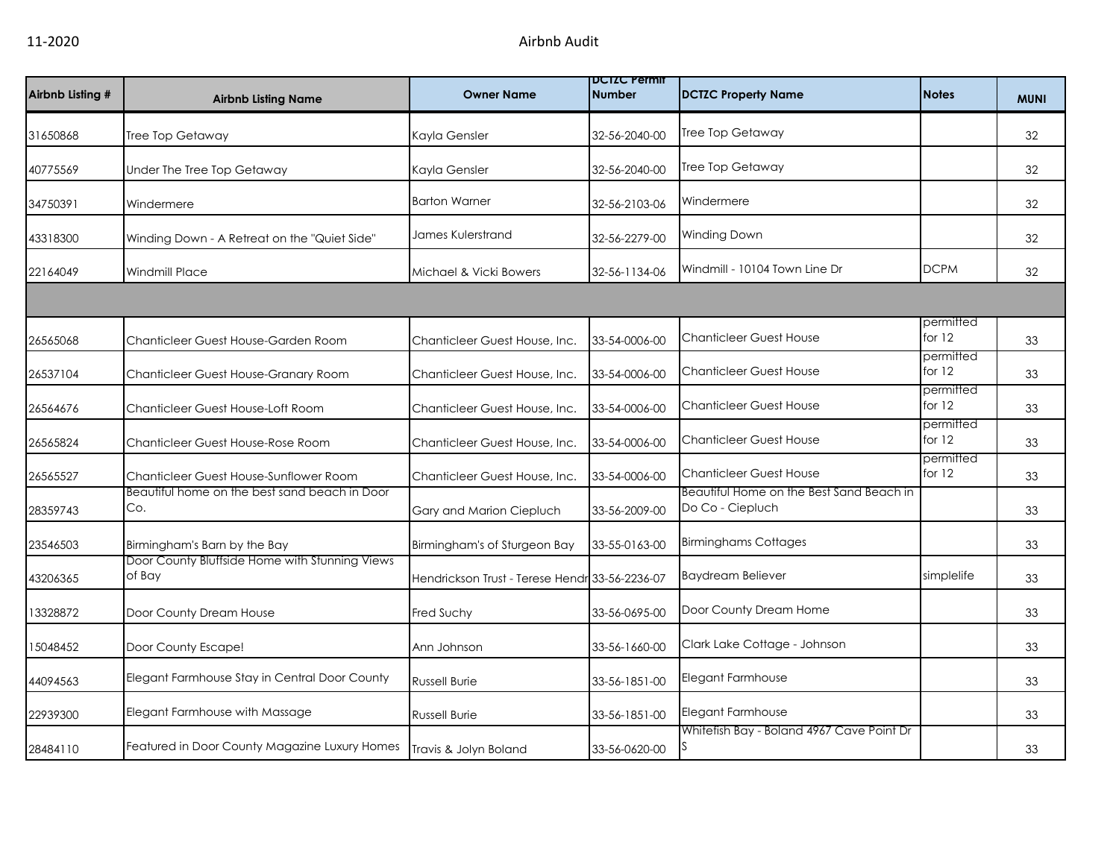| Airbnb Listing # | <b>Airbnb Listing Name</b>                               | <b>Owner Name</b>                              | <b>DCIZC Permit</b><br><b>Number</b> | <b>DCTZC Property Name</b>                                   | <b>Notes</b>          | <b>MUNI</b> |
|------------------|----------------------------------------------------------|------------------------------------------------|--------------------------------------|--------------------------------------------------------------|-----------------------|-------------|
| 31650868         | Tree Top Getaway                                         | Kayla Gensler                                  | 32-56-2040-00                        | Tree Top Getaway                                             |                       | 32          |
| 40775569         | Under The Tree Top Getaway                               | Kayla Gensler                                  | 32-56-2040-00                        | Tree Top Getaway                                             |                       | 32          |
| 34750391         | Windermere                                               | <b>Barton Warner</b>                           | 32-56-2103-06                        | Windermere                                                   |                       | 32          |
| 43318300         | Winding Down - A Retreat on the "Quiet Side"             | James Kulerstrand                              | 32-56-2279-00                        | Winding Down                                                 |                       | 32          |
| 22164049         | <b>Windmill Place</b>                                    | Michael & Vicki Bowers                         | 32-56-1134-06                        | Windmill - 10104 Town Line Dr                                | <b>DCPM</b>           | 32          |
|                  |                                                          |                                                |                                      |                                                              |                       |             |
| 26565068         | Chanticleer Guest House-Garden Room                      | Chanticleer Guest House, Inc.                  | 33-54-0006-00                        | <b>Chanticleer Guest House</b>                               | permitted<br>for $12$ | 33          |
| 26537104         | Chanticleer Guest House-Granary Room                     | Chanticleer Guest House, Inc.                  | 33-54-0006-00                        | <b>Chanticleer Guest House</b>                               | permitted<br>for 12   | 33          |
| 26564676         | Chanticleer Guest House-Loft Room                        | Chanticleer Guest House, Inc.                  | 33-54-0006-00                        | <b>Chanticleer Guest House</b>                               | permitted<br>for 12   | 33          |
| 26565824         | Chanticleer Guest House-Rose Room                        | Chanticleer Guest House, Inc.                  | 33-54-0006-00                        | <b>Chanticleer Guest House</b>                               | permitted<br>for $12$ | 33          |
| 26565527         | Chanticleer Guest House-Sunflower Room                   | Chanticleer Guest House, Inc.                  | 33-54-0006-00                        | <b>Chanticleer Guest House</b>                               | permitted<br>for $12$ | 33          |
| 28359743         | Beautiful home on the best sand beach in Door<br>Co.     | Gary and Marion Ciepluch                       | 33-56-2009-00                        | Beautiful Home on the Best Sand Beach in<br>Do Co - Ciepluch |                       | 33          |
| 23546503         | Birmingham's Barn by the Bay                             | Birmingham's of Sturgeon Bay                   | 33-55-0163-00                        | <b>Birminghams Cottages</b>                                  |                       | 33          |
| 43206365         | Door County Bluffside Home with Stunning Views<br>of Bay | Hendrickson Trust - Terese Hendr 33-56-2236-07 |                                      | <b>Baydream Believer</b>                                     | simplelife            | 33          |
| 13328872         | Door County Dream House                                  | Fred Suchy                                     | 33-56-0695-00                        | Door County Dream Home                                       |                       | 33          |
| 15048452         | Door County Escape!                                      | Ann Johnson                                    | 33-56-1660-00                        | Clark Lake Cottage - Johnson                                 |                       | 33          |
| 44094563         | Elegant Farmhouse Stay in Central Door County            | <b>Russell Burie</b>                           | 33-56-1851-00                        | Elegant Farmhouse                                            |                       | 33          |
| 22939300         | Elegant Farmhouse with Massage                           | <b>Russell Burie</b>                           | 33-56-1851-00                        | Elegant Farmhouse                                            |                       | 33          |
| 28484110         | Featured in Door County Magazine Luxury Homes            | Travis & Jolyn Boland                          | 33-56-0620-00                        | Whitefish Bay - Boland 4967 Cave Point Dr<br>S.              |                       | 33          |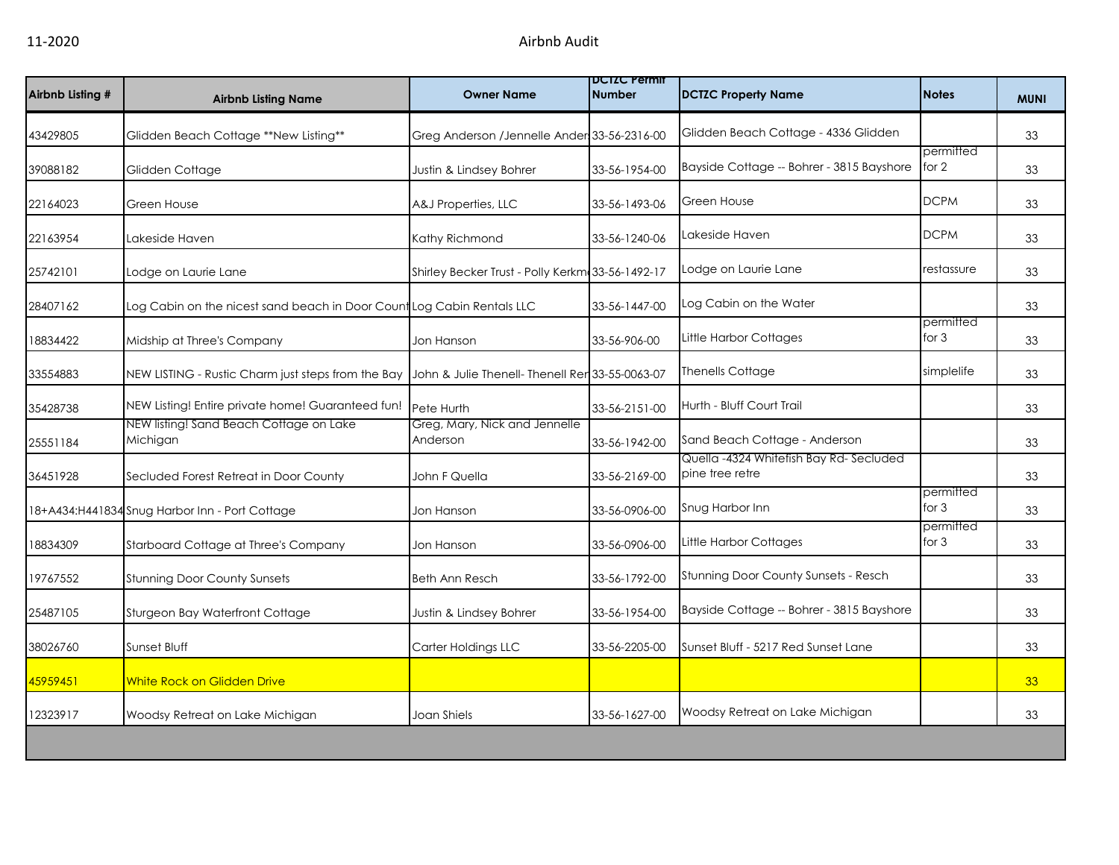| Airbnb Listing # | <b>Airbnb Listing Name</b>                                             | <b>Owner Name</b>                                | <b>DCIZC Permit</b><br><b>Number</b> | <b>DCTZC Property Name</b>                                | <b>Notes</b>         | <b>MUNI</b> |
|------------------|------------------------------------------------------------------------|--------------------------------------------------|--------------------------------------|-----------------------------------------------------------|----------------------|-------------|
| 43429805         | Glidden Beach Cottage **New Listing**                                  | Greg Anderson / Jennelle Ander 33-56-2316-00     |                                      | Glidden Beach Cottage - 4336 Glidden                      |                      | 33          |
| 39088182         | Glidden Cottage                                                        | Justin & Lindsey Bohrer                          | 33-56-1954-00                        | Bayside Cottage -- Bohrer - 3815 Bayshore                 | permitted<br>for 2   | 33          |
| 22164023         | Green House                                                            | A&J Properties, LLC                              | 33-56-1493-06                        | Green House                                               | <b>DCPM</b>          | 33          |
| 22163954         | Lakeside Haven                                                         | Kathy Richmond                                   | 33-56-1240-06                        | Lakeside Haven                                            | <b>DCPM</b>          | 33          |
| 25742101         | Lodge on Laurie Lane                                                   | Shirley Becker Trust - Polly Kerkm 33-56-1492-17 |                                      | Lodge on Laurie Lane                                      | restassure           | 33          |
| 28407162         | Log Cabin on the nicest sand beach in Door Count Log Cabin Rentals LLC |                                                  | 33-56-1447-00                        | Log Cabin on the Water                                    |                      | 33          |
| 18834422         | Midship at Three's Company                                             | Jon Hanson                                       | 33-56-906-00                         | Little Harbor Cottages                                    | permitted<br>for $3$ | 33          |
| 33554883         | NEW LISTING - Rustic Charm just steps from the Bay                     | John & Julie Thenell- Thenell Rer 33-55-0063-07  |                                      | <b>Thenells Cottage</b>                                   | simplelife           | 33          |
| 35428738         | NEW Listing! Entire private home! Guaranteed fun!                      | Pete Hurth                                       | 33-56-2151-00                        | Hurth - Bluff Court Trail                                 |                      | 33          |
| 25551184         | NEW listing! Sand Beach Cottage on Lake<br>Michigan                    | Greg, Mary, Nick and Jennelle<br>Anderson        | 33-56-1942-00                        | Sand Beach Cottage - Anderson                             |                      | 33          |
| 36451928         | Secluded Forest Retreat in Door County                                 | John F Quella                                    | 33-56-2169-00                        | Quella -4324 Whitefish Bay Rd-Secluded<br>pine tree retre |                      | 33          |
|                  | 18+A434:H441834 Snug Harbor Inn - Port Cottage                         | Jon Hanson                                       | 33-56-0906-00                        | Snug Harbor Inn                                           | permitted<br>for $3$ | 33          |
| 18834309         | Starboard Cottage at Three's Company                                   | Jon Hanson                                       | 33-56-0906-00                        | Little Harbor Cottages                                    | permitted<br>for $3$ | 33          |
| 19767552         | <b>Stunning Door County Sunsets</b>                                    | <b>Beth Ann Resch</b>                            | 33-56-1792-00                        | Stunning Door County Sunsets - Resch                      |                      | 33          |
| 25487105         | Sturgeon Bay Waterfront Cottage                                        | Justin & Lindsey Bohrer                          | 33-56-1954-00                        | Bayside Cottage -- Bohrer - 3815 Bayshore                 |                      | 33          |
| 38026760         | Sunset Bluff                                                           | Carter Holdings LLC                              | 33-56-2205-00                        | Sunset Bluff - 5217 Red Sunset Lane                       |                      | 33          |
| 45959451         | <b>White Rock on Glidden Drive</b>                                     |                                                  |                                      |                                                           |                      | 33          |
| 12323917         | Woodsy Retreat on Lake Michigan                                        | Joan Shiels                                      | 33-56-1627-00                        | Woodsy Retreat on Lake Michigan                           |                      | 33          |
|                  |                                                                        |                                                  |                                      |                                                           |                      |             |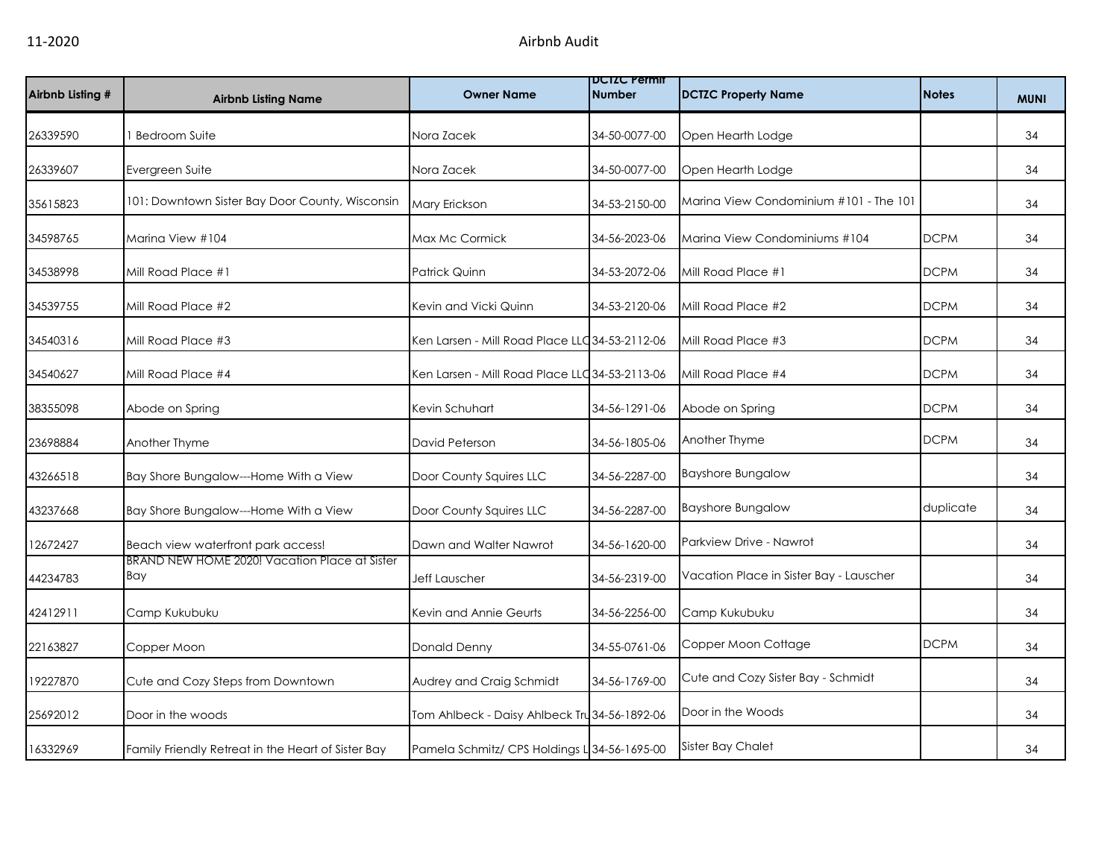| Airbnb Listing # | <b>Airbnb Listing Name</b>                           | <b>Owner Name</b>                              | <b>DCIZC Permit</b><br><b>Number</b> | <b>DCTZC Property Name</b>              | <b>Notes</b> | <b>MUNI</b> |
|------------------|------------------------------------------------------|------------------------------------------------|--------------------------------------|-----------------------------------------|--------------|-------------|
| 26339590         | <b>Bedroom Suite</b>                                 | Nora Zacek                                     | 34-50-0077-00                        | Open Hearth Lodge                       |              | 34          |
| 26339607         | Evergreen Suite                                      | Nora Zacek                                     | 34-50-0077-00                        | Open Hearth Lodge                       |              | 34          |
| 35615823         | 101: Downtown Sister Bay Door County, Wisconsin      | Mary Erickson                                  | 34-53-2150-00                        | Marina View Condominium #101 - The 101  |              | 34          |
| 34598765         | Marina View #104                                     | Max Mc Cormick                                 | 34-56-2023-06                        | Marina View Condominiums #104           | <b>DCPM</b>  | 34          |
| 34538998         | Mill Road Place #1                                   | Patrick Quinn                                  | 34-53-2072-06                        | Mill Road Place #1                      | <b>DCPM</b>  | 34          |
| 34539755         | Mill Road Place #2                                   | Kevin and Vicki Quinn                          | 34-53-2120-06                        | Mill Road Place #2                      | <b>DCPM</b>  | 34          |
| 34540316         | Mill Road Place #3                                   | Ken Larsen - Mill Road Place LLC 34-53-2112-06 |                                      | Mill Road Place #3                      | <b>DCPM</b>  | 34          |
| 34540627         | Mill Road Place #4                                   | Ken Larsen - Mill Road Place LLC 34-53-2113-06 |                                      | Mill Road Place #4                      | <b>DCPM</b>  | 34          |
| 38355098         | Abode on Spring                                      | Kevin Schuhart                                 | 34-56-1291-06                        | Abode on Spring                         | <b>DCPM</b>  | 34          |
| 23698884         | Another Thyme                                        | David Peterson                                 | 34-56-1805-06                        | Another Thyme                           | <b>DCPM</b>  | 34          |
| 43266518         | Bay Shore Bungalow---Home With a View                | Door County Squires LLC                        | 34-56-2287-00                        | <b>Bayshore Bungalow</b>                |              | 34          |
| 43237668         | Bay Shore Bungalow---Home With a View                | Door County Squires LLC                        | 34-56-2287-00                        | <b>Bayshore Bungalow</b>                | duplicate    | 34          |
| 12672427         | Beach view waterfront park access!                   | Dawn and Walter Nawrot                         | 34-56-1620-00                        | Parkview Drive - Nawrot                 |              | 34          |
| 44234783         | BRAND NEW HOME 2020! Vacation Place at Sister<br>Bay | Jeff Lauscher                                  | 34-56-2319-00                        | Vacation Place in Sister Bay - Lauscher |              | 34          |
| 42412911         | Camp Kukubuku                                        | Kevin and Annie Geurts                         | 34-56-2256-00                        | Camp Kukubuku                           |              | 34          |
| 22163827         | Copper Moon                                          | <b>Donald Denny</b>                            | 34-55-0761-06                        | Copper Moon Cottage                     | <b>DCPM</b>  | 34          |
| 19227870         | Cute and Cozy Steps from Downtown                    | Audrey and Craig Schmidt                       | 34-56-1769-00                        | Cute and Cozy Sister Bay - Schmidt      |              | 34          |
| 25692012         | Door in the woods                                    | Tom Ahlbeck - Daisy Ahlbeck Tru 34-56-1892-06  |                                      | Door in the Woods                       |              | 34          |
| 16332969         | Family Friendly Retreat in the Heart of Sister Bay   | Pamela Schmitz/ CPS Holdings L 34-56-1695-00   |                                      | <b>Sister Bay Chalet</b>                |              | 34          |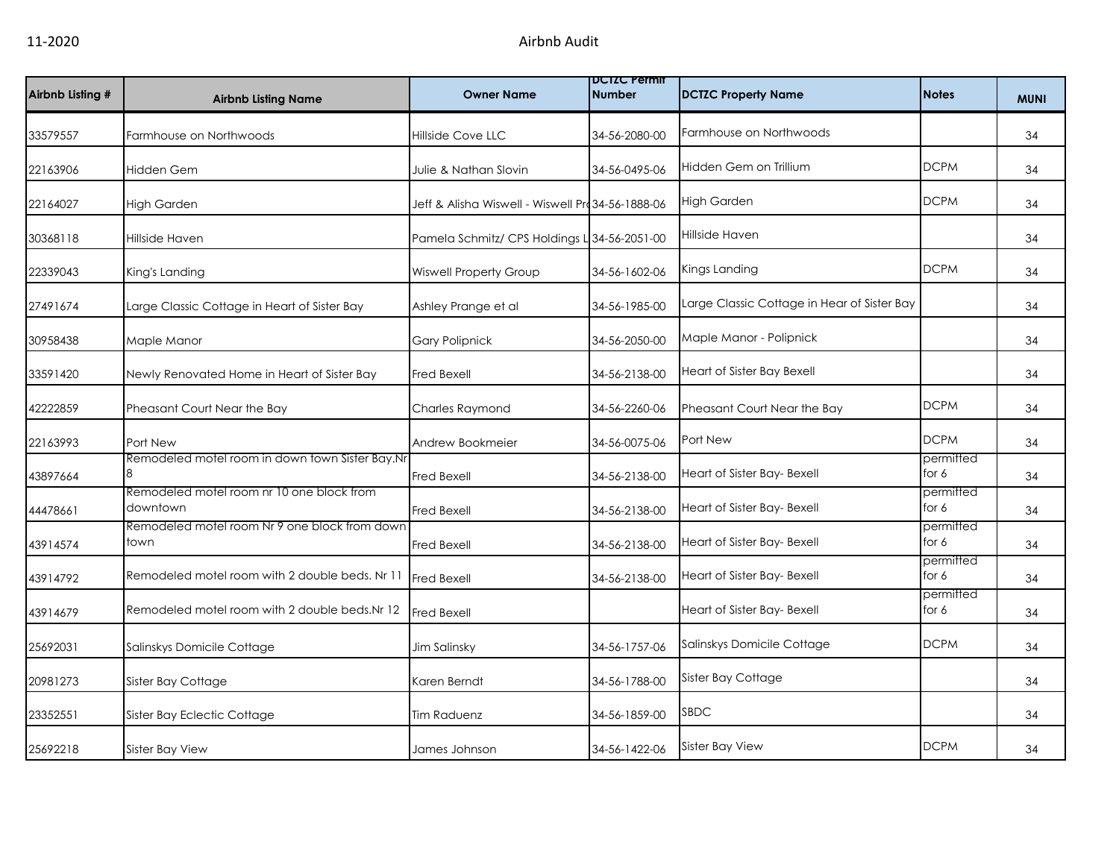| Airbnb Listing # | <b>Airbnb Listing Name</b>                            | <b>Owner Name</b>                                 | <b>DUIZU Permit</b><br><b>Number</b> | <b>DCTZC Property Name</b>                  | <b>Notes</b>       | <b>MUNI</b> |
|------------------|-------------------------------------------------------|---------------------------------------------------|--------------------------------------|---------------------------------------------|--------------------|-------------|
| 33579557         | Farmhouse on Northwoods                               | Hillside Cove LLC                                 | 34-56-2080-00                        | Farmhouse on Northwoods                     |                    | 34          |
| 22163906         | Hidden Gem                                            | Julie & Nathan Slovin                             | 34-56-0495-06                        | Hidden Gem on Trillium                      | <b>DCPM</b>        | 34          |
| 22164027         | <b>High Garden</b>                                    | Jeff & Alisha Wiswell - Wiswell Pro 34-56-1888-06 |                                      | <b>High Garden</b>                          | <b>DCPM</b>        | 34          |
| 30368118         | Hillside Haven                                        | Pamela Schmitz/ CPS Holdings L 34-56-2051-00      |                                      | Hillside Haven                              |                    | 34          |
| 22339043         | King's Landing                                        | Wiswell Property Group                            | 34-56-1602-06                        | Kings Landing                               | <b>DCPM</b>        | 34          |
| 27491674         | Large Classic Cottage in Heart of Sister Bay          | Ashley Prange et al                               | 34-56-1985-00                        | Large Classic Cottage in Hear of Sister Bay |                    | 34          |
| 30958438         | Maple Manor                                           | <b>Gary Polipnick</b>                             | 34-56-2050-00                        | Maple Manor - Polipnick                     |                    | 34          |
| 33591420         | Newly Renovated Home in Heart of Sister Bay           | <b>Fred Bexell</b>                                | 34-56-2138-00                        | Heart of Sister Bay Bexell                  |                    | 34          |
| 42222859         | Pheasant Court Near the Bay                           | Charles Raymond                                   | 34-56-2260-06                        | Pheasant Court Near the Bay                 | <b>DCPM</b>        | 34          |
| 22163993         | Port New                                              | Andrew Bookmeier                                  | 34-56-0075-06                        | Port New                                    | <b>DCPM</b>        | 34          |
| 43897664         | Remodeled motel room in down town Sister Bay.Nr       | <b>Fred Bexell</b>                                | 34-56-2138-00                        | Heart of Sister Bay- Bexell                 | permitted<br>for 6 | 34          |
| 44478661         | Remodeled motel room nr 10 one block from<br>downtown | <b>Fred Bexell</b>                                | 34-56-2138-00                        | Heart of Sister Bay- Bexell                 | permitted<br>for 6 | 34          |
| 43914574         | Remodeled motel room Nr 9 one block from down<br>town | Fred Bexell                                       | 34-56-2138-00                        | Heart of Sister Bay- Bexell                 | permitted<br>for 6 | 34          |
| 43914792         | Remodeled motel room with 2 double beds. Nr 11        | <b>Fred Bexell</b>                                | 34-56-2138-00                        | Heart of Sister Bay- Bexell                 | permitted<br>for 6 | 34          |
| 43914679         | Remodeled motel room with 2 double beds. Nr 12        | <b>Fred Bexell</b>                                |                                      | Heart of Sister Bay- Bexell                 | permitted<br>for 6 | 34          |
| 25692031         | Salinskys Domicile Cottage                            | Jim Salinsky                                      | 34-56-1757-06                        | Salinskys Domicile Cottage                  | <b>DCPM</b>        | 34          |
| 20981273         | Sister Bay Cottage                                    | Karen Berndt                                      | 34-56-1788-00                        | Sister Bay Cottage                          |                    | 34          |
| 23352551         | Sister Bay Eclectic Cottage                           | Tim Raduenz                                       | 34-56-1859-00                        | <b>SBDC</b>                                 |                    | 34          |
| 25692218         | <b>Sister Bay View</b>                                | James Johnson                                     | 34-56-1422-06                        | <b>Sister Bay View</b>                      | <b>DCPM</b>        | 34          |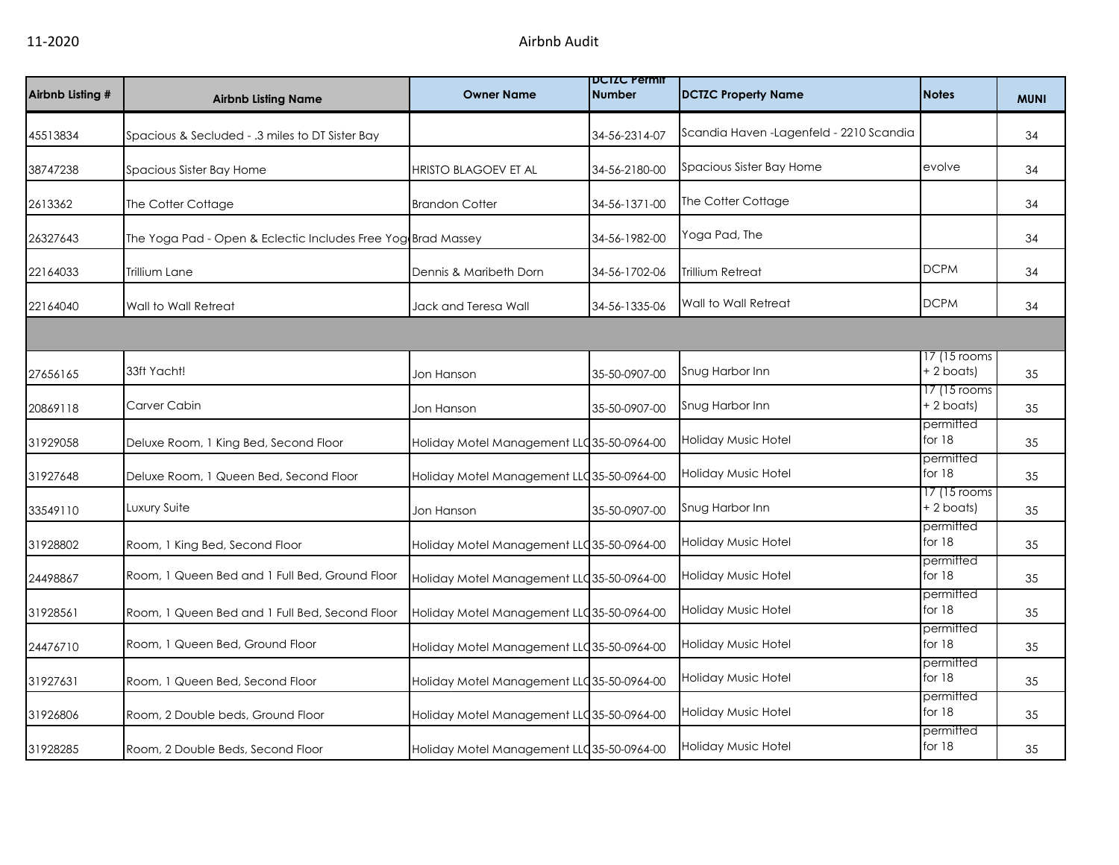| Airbnb Listing # | <b>Airbnb Listing Name</b>                                   | <b>Owner Name</b>                          | <b>DCIZC Permit</b><br><b>Number</b> | <b>DCTZC Property Name</b>               | <b>Notes</b>                 | <b>MUNI</b> |
|------------------|--------------------------------------------------------------|--------------------------------------------|--------------------------------------|------------------------------------------|------------------------------|-------------|
| 45513834         | Spacious & Secluded - .3 miles to DT Sister Bay              |                                            | 34-56-2314-07                        | Scandia Haven - Lagenfeld - 2210 Scandia |                              | 34          |
| 38747238         | Spacious Sister Bay Home                                     | HRISTO BLAGOEV ET AL                       | 34-56-2180-00                        | Spacious Sister Bay Home                 | evolve                       | 34          |
| 2613362          | The Cotter Cottage                                           | <b>Brandon Cotter</b>                      | 34-56-1371-00                        | The Cotter Cottage                       |                              | 34          |
| 26327643         | The Yoga Pad - Open & Eclectic Includes Free Yog Brad Massey |                                            | 34-56-1982-00                        | Yoga Pad, The                            |                              | 34          |
| 22164033         | Trillium Lane                                                | Dennis & Maribeth Dorn                     | 34-56-1702-06                        | Trillium Retreat                         | <b>DCPM</b>                  | 34          |
| 22164040         | Wall to Wall Retreat                                         | Jack and Teresa Wall                       | 34-56-1335-06                        | Wall to Wall Retreat                     | <b>DCPM</b>                  | 34          |
|                  |                                                              |                                            |                                      |                                          |                              |             |
| 27656165         | 33ft Yacht!                                                  | Jon Hanson                                 | 35-50-0907-00                        | Snug Harbor Inn                          | 17 (15 rooms<br>$+ 2$ boats) | 35          |
| 20869118         | Carver Cabin                                                 | Jon Hanson                                 | 35-50-0907-00                        | Snug Harbor Inn                          | 17 (15 rooms<br>+ 2 boats)   | 35          |
| 31929058         | Deluxe Room, 1 King Bed, Second Floor                        | Holiday Motel Management LLC 35-50-0964-00 |                                      | Holiday Music Hotel                      | permitted<br>for $18$        | 35          |
| 31927648         | Deluxe Room, 1 Queen Bed, Second Floor                       | Holiday Motel Management LLC 35-50-0964-00 |                                      | Holiday Music Hotel                      | permitted<br>for $18$        | 35          |
| 33549110         | Luxury Suite                                                 | Jon Hanson                                 | 35-50-0907-00                        | Snug Harbor Inn                          | 17 (15 rooms<br>+ 2 boats)   | 35          |
| 31928802         | Room, 1 King Bed, Second Floor                               | Holiday Motel Management LLC 35-50-0964-00 |                                      | Holiday Music Hotel                      | permitted<br>for $18$        | 35          |
| 24498867         | Room, 1 Queen Bed and 1 Full Bed, Ground Floor               | Holiday Motel Management LLC 35-50-0964-00 |                                      | Holiday Music Hotel                      | permitted<br>for $18$        | 35          |
| 31928561         | Room, 1 Queen Bed and 1 Full Bed, Second Floor               | Holiday Motel Management LLC 35-50-0964-00 |                                      | Holiday Music Hotel                      | permitted<br>for $18$        | 35          |
| 24476710         | Room, 1 Queen Bed, Ground Floor                              | Holiday Motel Management LLC 35-50-0964-00 |                                      | Holiday Music Hotel                      | permitted<br>for 18          | 35          |
| 31927631         | Room, 1 Queen Bed, Second Floor                              | Holiday Motel Management LLC 35-50-0964-00 |                                      | Holiday Music Hotel                      | permitted<br>for $18$        | 35          |
| 31926806         | Room, 2 Double beds, Ground Floor                            | Holiday Motel Management LLC 35-50-0964-00 |                                      | Holiday Music Hotel                      | permitted<br>for $18$        | 35          |
| 31928285         | Room, 2 Double Beds, Second Floor                            | Holiday Motel Management LLC 35-50-0964-00 |                                      | <b>Holiday Music Hotel</b>               | permitted<br>for $18$        | 35          |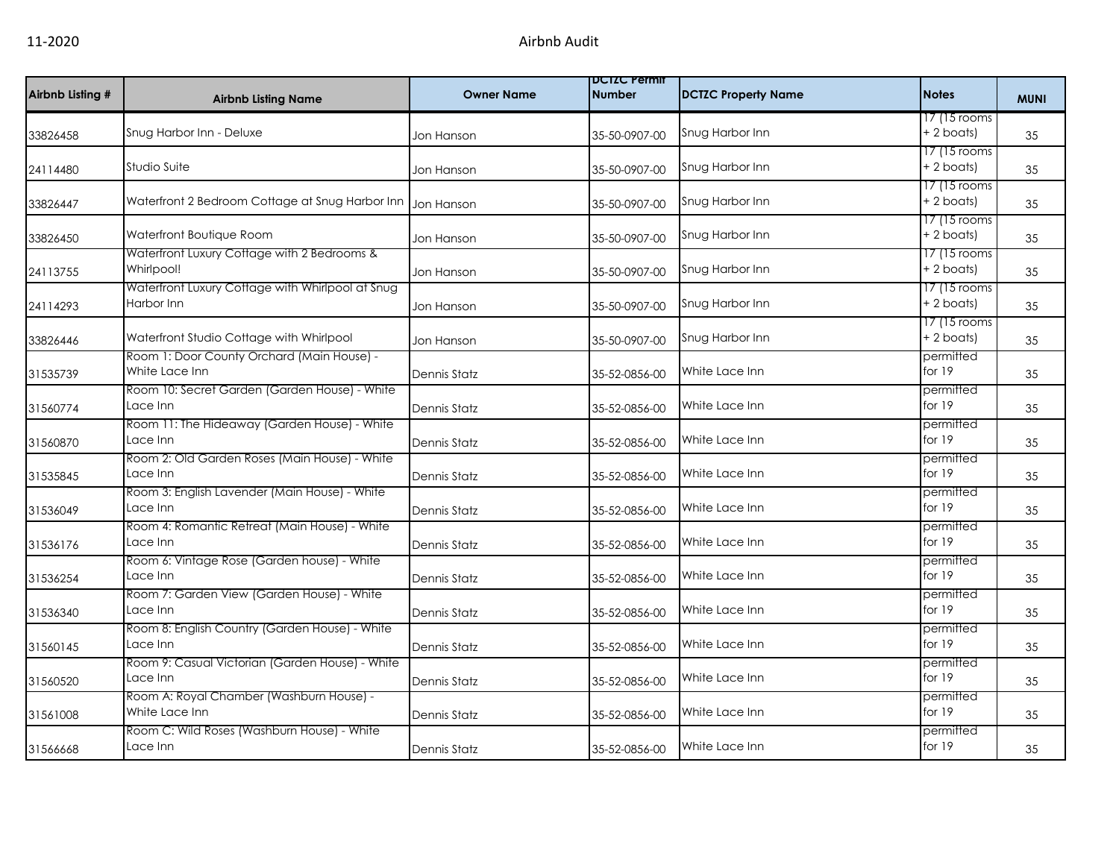| Airbnb Listing # | <b>Airbnb Listing Name</b>                                     | <b>Owner Name</b> | <b>DCIZC Permit</b><br><b>Number</b> | <b>DCTZC Property Name</b> | <b>Notes</b>                 | <b>MUNI</b> |
|------------------|----------------------------------------------------------------|-------------------|--------------------------------------|----------------------------|------------------------------|-------------|
| 33826458         | Snug Harbor Inn - Deluxe                                       | Jon Hanson        | 35-50-0907-00                        | Snug Harbor Inn            | 17 (15 rooms<br>$+ 2$ boats) | 35          |
| 24114480         | Studio Suite                                                   | Jon Hanson        | 35-50-0907-00                        | Snug Harbor Inn            | 17 (15 rooms<br>+ 2 boats)   | 35          |
| 33826447         | Waterfront 2 Bedroom Cottage at Snug Harbor Inn                | Jon Hanson        | 35-50-0907-00                        | Snug Harbor Inn            | 17 (15 rooms<br>+ 2 boats)   | 35          |
| 33826450         | Waterfront Boutique Room                                       | Jon Hanson        | 35-50-0907-00                        | Snug Harbor Inn            | 17 (15 rooms<br>+ 2 boats)   | 35          |
| 24113755         | Waterfront Luxury Cottage with 2 Bedrooms &<br>Whirlpool!      | Jon Hanson        | 35-50-0907-00                        | Snug Harbor Inn            | 17 (15 rooms<br>$+2$ boats)  | 35          |
| 24114293         | Waterfront Luxury Cottage with Whirlpool at Snug<br>Harbor Inn | Jon Hanson        | 35-50-0907-00                        | Snug Harbor Inn            | 17 (15 rooms<br>+ 2 boats)   | 35          |
| 33826446         | Waterfront Studio Cottage with Whirlpool                       | Jon Hanson        | 35-50-0907-00                        | Snug Harbor Inn            | 17 (15 rooms<br>+ 2 boats)   | 35          |
| 31535739         | Room 1: Door County Orchard (Main House) -<br>White Lace Inn   | Dennis Statz      | 35-52-0856-00                        | White Lace Inn             | permitted<br>for 19          | 35          |
| 31560774         | Room 10: Secret Garden (Garden House) - White<br>Lace Inn      | Dennis Statz      | 35-52-0856-00                        | White Lace Inn             | permitted<br>for 19          | 35          |
| 31560870         | Room 11: The Hideaway (Garden House) - White<br>Lace Inn       | Dennis Statz      | 35-52-0856-00                        | White Lace Inn             | permitted<br>for 19          | 35          |
| 31535845         | Room 2: Old Garden Roses (Main House) - White<br>Lace Inn      | Dennis Statz      | 35-52-0856-00                        | White Lace Inn             | permitted<br>for 19          | 35          |
| 31536049         | Room 3: English Lavender (Main House) - White<br>Lace Inn      | Dennis Statz      | 35-52-0856-00                        | White Lace Inn             | permitted<br>for 19          | 35          |
| 31536176         | Room 4: Romantic Retreat (Main House) - White<br>Lace Inn      | Dennis Statz      | 35-52-0856-00                        | White Lace Inn             | permitted<br>for 19          | 35          |
| 31536254         | Room 6: Vintage Rose (Garden house) - White<br>Lace Inn        | Dennis Statz      | 35-52-0856-00                        | White Lace Inn             | permitted<br>for 19          | 35          |
| 31536340         | Room 7: Garden View (Garden House) - White<br>Lace Inn         | Dennis Statz      | 35-52-0856-00                        | White Lace Inn             | permitted<br>for 19          | 35          |
| 31560145         | Room 8: English Country (Garden House) - White<br>Lace Inn     | Dennis Statz      | 35-52-0856-00                        | White Lace Inn             | permitted<br>for 19          | 35          |
| 31560520         | Room 9: Casual Victorian (Garden House) - White<br>Lace Inn    | Dennis Statz      | 35-52-0856-00                        | White Lace Inn             | permitted<br>for 19          | 35          |
| 31561008         | Room A: Royal Chamber (Washburn House) -<br>White Lace Inn     | Dennis Statz      | 35-52-0856-00                        | White Lace Inn             | permitted<br>for 19          | 35          |
| 31566668         | Room C: Wild Roses (Washburn House) - White<br>Lace Inn        | Dennis Statz      | 35-52-0856-00                        | White Lace Inn             | permitted<br>for 19          | 35          |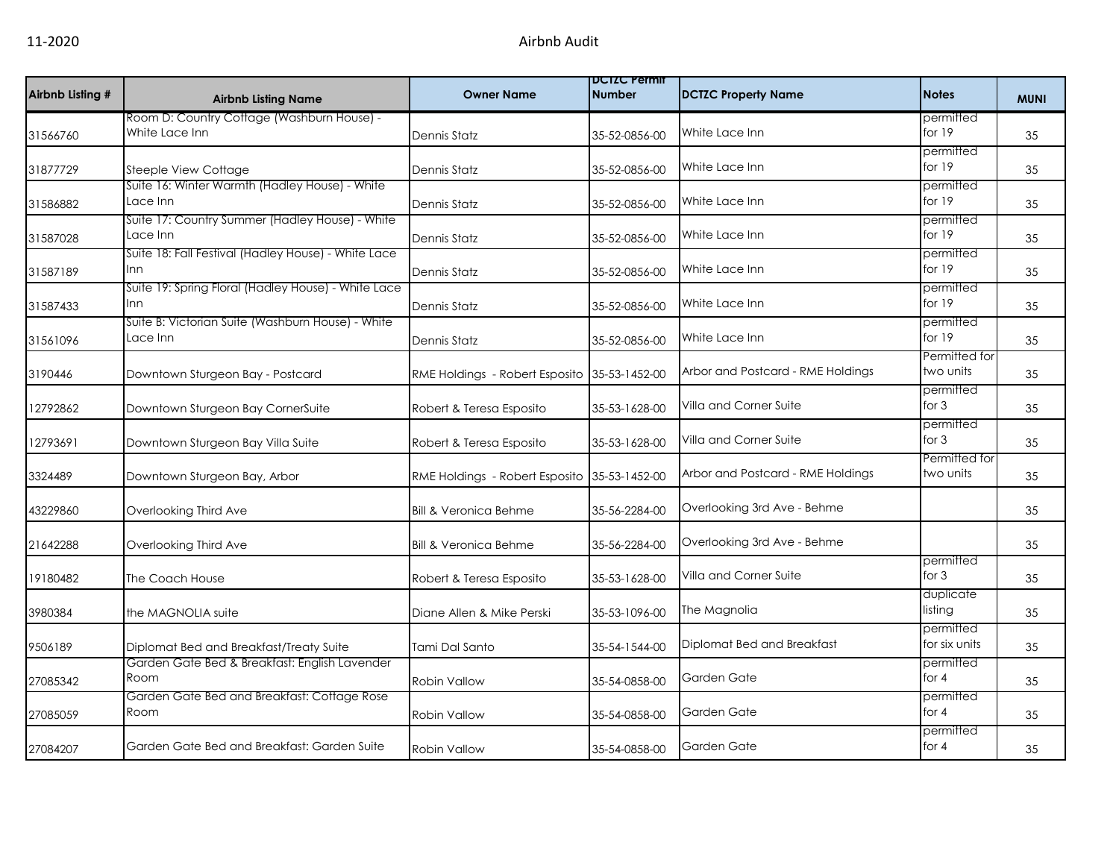| Airbnb Listing # | <b>Airbnb Listing Name</b>                                        | <b>Owner Name</b>                | <b>DUIZU Permit</b><br><b>Number</b> | <b>DCTZC Property Name</b>        | <b>Notes</b>               | <b>MUNI</b> |
|------------------|-------------------------------------------------------------------|----------------------------------|--------------------------------------|-----------------------------------|----------------------------|-------------|
| 31566760         | Room D: Country Cottage (Washburn House) -<br>White Lace Inn      | Dennis Statz                     | 35-52-0856-00                        | White Lace Inn                    | permitted<br>for 19        | 35          |
| 31877729         | <b>Steeple View Cottage</b>                                       | Dennis Statz                     | 35-52-0856-00                        | White Lace Inn                    | permitted<br>for 19        | 35          |
| 31586882         | Suite 16: Winter Warmth (Hadley House) - White<br>Lace Inn        | Dennis Statz                     | 35-52-0856-00                        | White Lace Inn                    | permitted<br>for 19        | 35          |
| 31587028         | Suite 17: Country Summer (Hadley House) - White<br>Lace Inn       | Dennis Statz                     | 35-52-0856-00                        | White Lace Inn                    | permitted<br>for $19$      | 35          |
| 31587189         | Suite 18: Fall Festival (Hadley House) - White Lace<br>Inn        | Dennis Statz                     | 35-52-0856-00                        | White Lace Inn                    | permitted<br>for 19        | 35          |
| 31587433         | Suite 19: Spring Floral (Hadley House) - White Lace<br><b>Inn</b> | Dennis Statz                     | 35-52-0856-00                        | White Lace Inn                    | permitted<br>for 19        | 35          |
| 31561096         | Suite B: Victorian Suite (Washburn House) - White<br>Lace Inn     | Dennis Statz                     | 35-52-0856-00                        | White Lace Inn                    | permitted<br>for 19        | 35          |
| 3190446          | Downtown Sturgeon Bay - Postcard                                  | RME Holdings - Robert Esposito   | 35-53-1452-00                        | Arbor and Postcard - RME Holdings | Permitted for<br>two units | 35          |
| 12792862         | Downtown Sturgeon Bay CornerSuite                                 | Robert & Teresa Esposito         | 35-53-1628-00                        | Villa and Corner Suite            | permitted<br>for $3$       | 35          |
| 12793691         | Downtown Sturgeon Bay Villa Suite                                 | Robert & Teresa Esposito         | 35-53-1628-00                        | Villa and Corner Suite            | permitted<br>for $3$       | 35          |
| 3324489          | Downtown Sturgeon Bay, Arbor                                      | RME Holdings - Robert Esposito   | 35-53-1452-00                        | Arbor and Postcard - RME Holdings | Permitted for<br>two units | 35          |
| 43229860         | Overlooking Third Ave                                             | <b>Bill &amp; Veronica Behme</b> | 35-56-2284-00                        | Overlooking 3rd Ave - Behme       |                            | 35          |
| 21642288         | Overlooking Third Ave                                             | <b>Bill &amp; Veronica Behme</b> | 35-56-2284-00                        | Overlooking 3rd Ave - Behme       |                            | 35          |
| 19180482         | The Coach House                                                   | Robert & Teresa Esposito         | 35-53-1628-00                        | Villa and Corner Suite            | permitted<br>for $3$       | 35          |
| 3980384          | the MAGNOLIA suite                                                | Diane Allen & Mike Perski        | 35-53-1096-00                        | The Magnolia                      | duplicate<br>listing       | 35          |
| 9506189          | Diplomat Bed and Breakfast/Treaty Suite                           | Tami Dal Santo                   | 35-54-1544-00                        | Diplomat Bed and Breakfast        | permitted<br>for six units | 35          |
| 27085342         | Garden Gate Bed & Breakfast: English Lavender<br>Room             | Robin Vallow                     | 35-54-0858-00                        | Garden Gate                       | permitted<br>for $4$       | 35          |
| 27085059         | Garden Gate Bed and Breakfast: Cottage Rose<br>Room               | <b>Robin Vallow</b>              | 35-54-0858-00                        | Garden Gate                       | permitted<br>for $4$       | 35          |
| 27084207         | Garden Gate Bed and Breakfast: Garden Suite                       | <b>Robin Vallow</b>              | 35-54-0858-00                        | Garden Gate                       | permitted<br>for $4$       | 35          |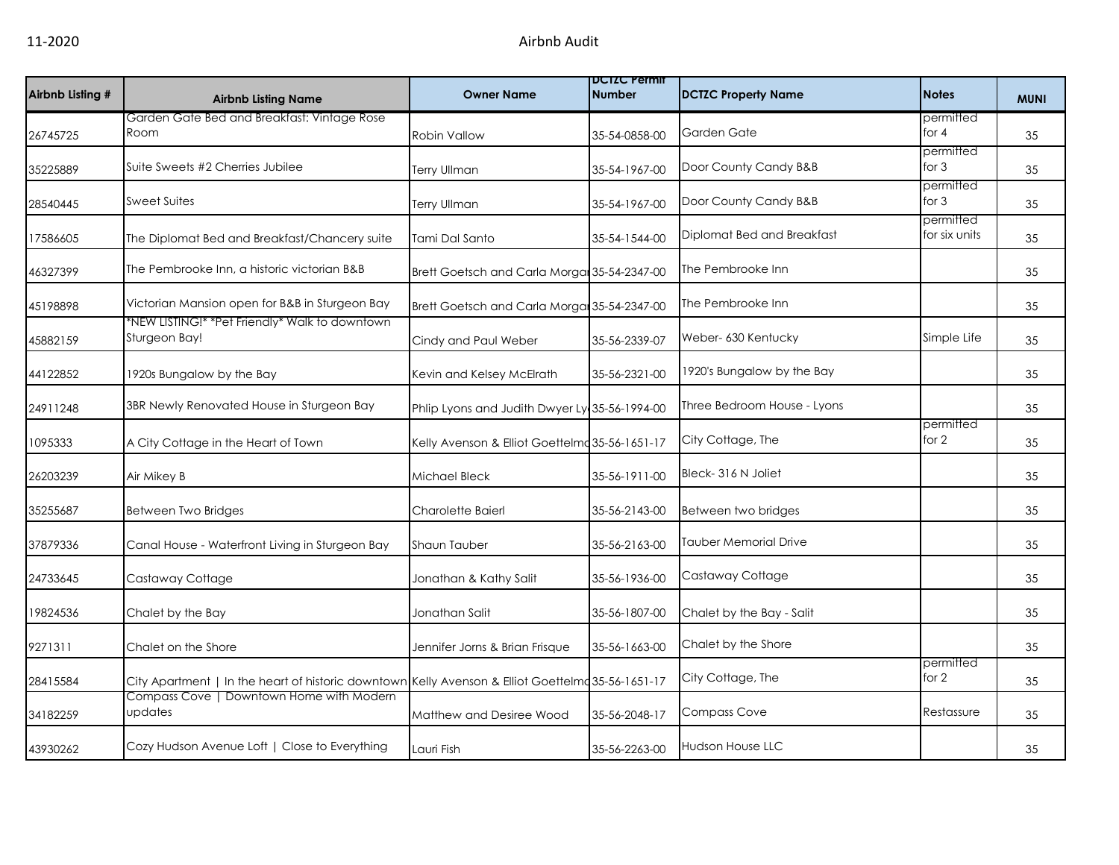| Airbnb Listing # | <b>Airbnb Listing Name</b>                                                                       | <b>Owner Name</b>                              | <b>DUIZU Permit</b><br><b>Number</b> | <b>DCTZC Property Name</b>   | <b>Notes</b>               | <b>MUNI</b> |
|------------------|--------------------------------------------------------------------------------------------------|------------------------------------------------|--------------------------------------|------------------------------|----------------------------|-------------|
| 26745725         | Garden Gate Bed and Breakfast: Vintage Rose<br>Room                                              | <b>Robin Vallow</b>                            | 35-54-0858-00                        | Garden Gate                  | permitted<br>for $4$       | 35          |
| 35225889         | Suite Sweets #2 Cherries Jubilee                                                                 | <b>Terry Ullman</b>                            | 35-54-1967-00                        | Door County Candy B&B        | permitted<br>for $3$       | 35          |
| 28540445         | Sweet Suites                                                                                     | <b>Terry Ullman</b>                            | 35-54-1967-00                        | Door County Candy B&B        | permitted<br>for $3$       | 35          |
| 17586605         | The Diplomat Bed and Breakfast/Chancery suite                                                    | Tami Dal Santo                                 | 35-54-1544-00                        | Diplomat Bed and Breakfast   | permitted<br>for six units | 35          |
| 46327399         | The Pembrooke Inn, a historic victorian B&B                                                      | Brett Goetsch and Carla Morgan 35-54-2347-00   |                                      | The Pembrooke Inn            |                            | 35          |
| 45198898         | Victorian Mansion open for B&B in Sturgeon Bay                                                   | Brett Goetsch and Carla Morgan 35-54-2347-00   |                                      | The Pembrooke Inn            |                            | 35          |
| 45882159         | *NEW LISTING!* *Pet Friendly* Walk to downtown<br>Sturgeon Bay!                                  | Cindy and Paul Weber                           | 35-56-2339-07                        | Weber- 630 Kentucky          | Simple Life                | 35          |
| 44122852         | 1920s Bungalow by the Bay                                                                        | Kevin and Kelsey McElrath                      | 35-56-2321-00                        | 1920's Bungalow by the Bay   |                            | 35          |
| 24911248         | 3BR Newly Renovated House in Sturgeon Bay                                                        | Phlip Lyons and Judith Dwyer Ly 35-56-1994-00  |                                      | Three Bedroom House - Lyons  |                            | 35          |
| 1095333          | A City Cottage in the Heart of Town                                                              | Kelly Avenson & Elliot Goettelma 35-56-1651-17 |                                      | City Cottage, The            | permitted<br>for 2         | 35          |
| 26203239         | Air Mikey B                                                                                      | Michael Bleck                                  | 35-56-1911-00                        | Bleck-316 N Joliet           |                            | 35          |
| 35255687         | Between Two Bridges                                                                              | Charolette Baierl                              | 35-56-2143-00                        | Between two bridges          |                            | 35          |
| 37879336         | Canal House - Waterfront Living in Sturgeon Bay                                                  | Shaun Tauber                                   | 35-56-2163-00                        | <b>Tauber Memorial Drive</b> |                            | 35          |
| 24733645         | Castaway Cottage                                                                                 | Jonathan & Kathy Salit                         | 35-56-1936-00                        | Castaway Cottage             |                            | 35          |
| 19824536         | Chalet by the Bay                                                                                | Jonathan Salit                                 | 35-56-1807-00                        | Chalet by the Bay - Salit    |                            | 35          |
| 9271311          | Chalet on the Shore                                                                              | Jennifer Jorns & Brian Frisque                 | 35-56-1663-00                        | Chalet by the Shore          |                            | 35          |
| 28415584         | City Apartment   In the heart of historic downtown Kelly Avenson & Elliot Goettelm 35-56-1651-17 |                                                |                                      | City Cottage, The            | permitted<br>for $2$       | 35          |
| 34182259         | Compass Cove   Downtown Home with Modern<br>updates                                              | Matthew and Desiree Wood                       | 35-56-2048-17                        | <b>Compass Cove</b>          | Restassure                 | 35          |
| 43930262         | Cozy Hudson Avenue Loft   Close to Everything                                                    | Lauri Fish                                     | 35-56-2263-00                        | <b>Hudson House LLC</b>      |                            | 35          |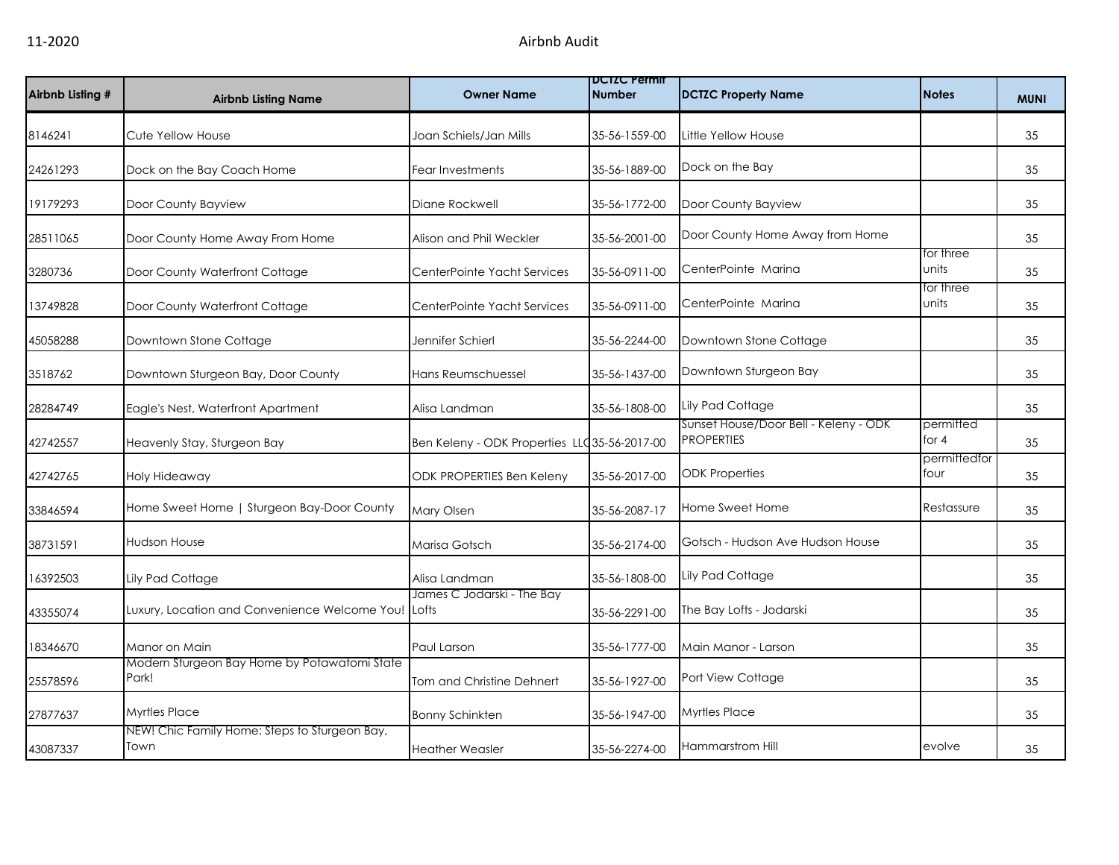| Airbnb Listing # | <b>Airbnb Listing Name</b>                            | <b>Owner Name</b>                            | DCTZC Permit<br><b>Number</b> | <b>DCTZC Property Name</b>                                 | <b>Notes</b>         | <b>MUNI</b> |
|------------------|-------------------------------------------------------|----------------------------------------------|-------------------------------|------------------------------------------------------------|----------------------|-------------|
| 8146241          | Cute Yellow House                                     | Joan Schiels/Jan Mills                       | 35-56-1559-00                 | Little Yellow House                                        |                      | 35          |
| 24261293         | Dock on the Bay Coach Home                            | Fear Investments                             | 35-56-1889-00                 | Dock on the Bay                                            |                      | 35          |
| 19179293         | Door County Bayview                                   | Diane Rockwell                               | 35-56-1772-00                 | Door County Bayview                                        |                      | 35          |
| 28511065         | Door County Home Away From Home                       | Alison and Phil Weckler                      | 35-56-2001-00                 | Door County Home Away from Home                            |                      | 35          |
| 3280736          | Door County Waterfront Cottage                        | CenterPointe Yacht Services                  | 35-56-0911-00                 | CenterPointe Marina                                        | for three<br>units   | 35          |
| 13749828         | Door County Waterfront Cottage                        | CenterPointe Yacht Services                  | 35-56-0911-00                 | CenterPointe Marina                                        | for three<br>units   | 35          |
| 45058288         | Downtown Stone Cottage                                | Jennifer Schierl                             | 35-56-2244-00                 | Downtown Stone Cottage                                     |                      | 35          |
| 3518762          | Downtown Sturgeon Bay, Door County                    | Hans Reumschuessel                           | 35-56-1437-00                 | Downtown Sturgeon Bay                                      |                      | 35          |
| 28284749         | Eagle's Nest, Waterfront Apartment                    | Alisa Landman                                | 35-56-1808-00                 | Lily Pad Cottage                                           |                      | 35          |
| 42742557         | Heavenly Stay, Sturgeon Bay                           | Ben Keleny - ODK Properties LLC35-56-2017-00 |                               | Sunset House/Door Bell - Keleny - ODK<br><b>PROPERTIES</b> | permitted<br>for $4$ | 35          |
| 42742765         | Holy Hideaway                                         | ODK PROPERTIES Ben Keleny                    | 35-56-2017-00                 | <b>ODK Properties</b>                                      | permittedfor<br>four | 35          |
| 33846594         | Home Sweet Home   Sturgeon Bay-Door County            | Mary Olsen                                   | 35-56-2087-17                 | Home Sweet Home                                            | Restassure           | 35          |
| 38731591         | <b>Hudson House</b>                                   | Marisa Gotsch                                | 35-56-2174-00                 | Gotsch - Hudson Ave Hudson House                           |                      | 35          |
| 16392503         | Lily Pad Cottage                                      | Alisa Landman                                | 35-56-1808-00                 | Lily Pad Cottage                                           |                      | 35          |
| 43355074         | Luxury, Location and Convenience Welcome You!         | James C Jodarski - The Bay<br>Lofts          | 35-56-2291-00                 | The Bay Lofts - Jodarski                                   |                      | 35          |
| 18346670         | Manor on Main                                         | Paul Larson                                  | 35-56-1777-00                 | Main Manor - Larson                                        |                      | 35          |
| 25578596         | Modern Sturgeon Bay Home by Potawatomi State<br>Park! | Tom and Christine Dehnert                    | 35-56-1927-00                 | Port View Cottage                                          |                      | 35          |
| 27877637         | <b>Myrtles Place</b>                                  | <b>Bonny Schinkten</b>                       | 35-56-1947-00                 | <b>Myrtles Place</b>                                       |                      | 35          |
| 43087337         | NEW! Chic Family Home: Steps to Sturgeon Bay,<br>Town | <b>Heather Weasler</b>                       | 35-56-2274-00                 | Hammarstrom Hill                                           | evolve               | 35          |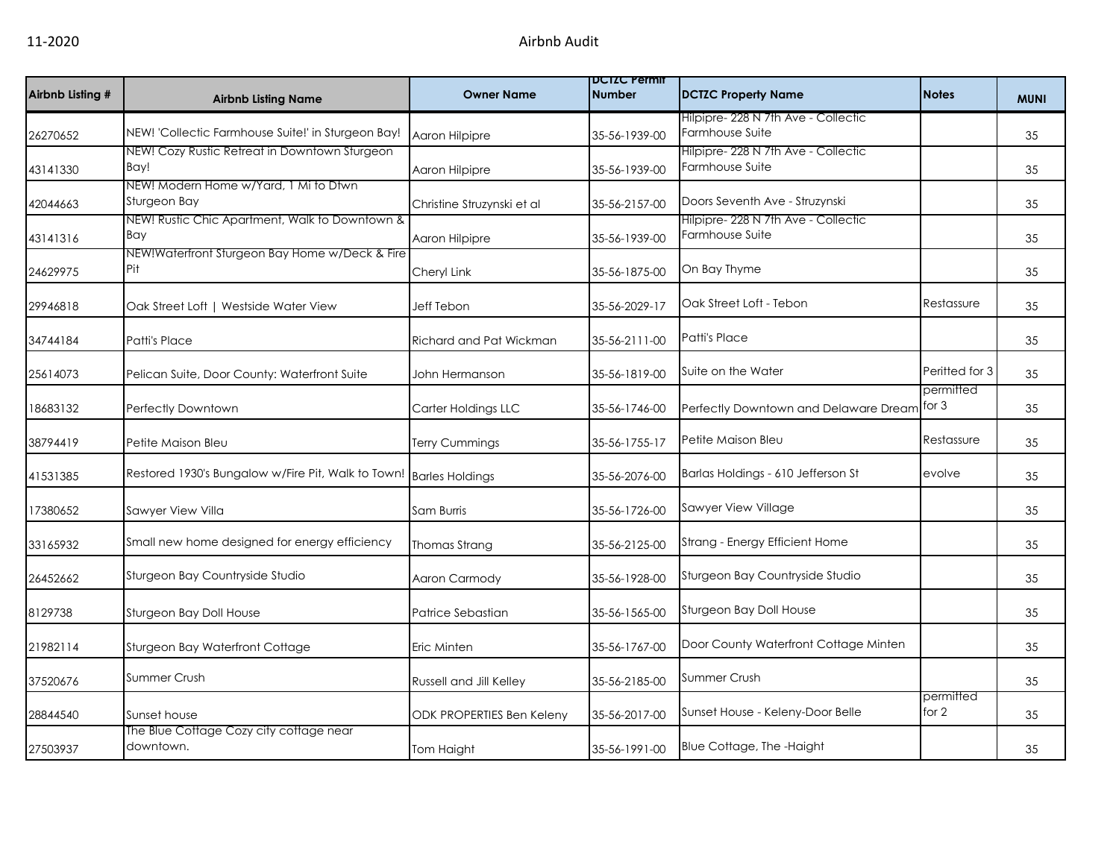| Airbnb Listing # | <b>Airbnb Listing Name</b>                            | <b>Owner Name</b>                | <b>DCIZC Permit</b><br><b>Number</b> | <b>DCTZC Property Name</b>                             | <b>Notes</b>         | <b>MUNI</b> |
|------------------|-------------------------------------------------------|----------------------------------|--------------------------------------|--------------------------------------------------------|----------------------|-------------|
| 26270652         | NEW! 'Collectic Farmhouse Suite!' in Sturgeon Bay!    | Aaron Hilpipre                   | 35-56-1939-00                        | Hilpipre- 228 N 7th Ave - Collectic<br>Farmhouse Suite |                      | 35          |
| 43141330         | NEW! Cozy Rustic Retreat in Downtown Sturgeon<br>Bay! | Aaron Hilpipre                   | 35-56-1939-00                        | Hilpipre- 228 N 7th Ave - Collectic<br>Farmhouse Suite |                      | 35          |
| 42044663         | NEW! Modern Home w/Yard, 1 Mi to Dtwn<br>Sturgeon Bay | Christine Struzynski et al       | 35-56-2157-00                        | Doors Seventh Ave - Struzynski                         |                      | 35          |
| 43141316         | NEW! Rustic Chic Apartment, Walk to Downtown &<br>Bay | Aaron Hilpipre                   | 35-56-1939-00                        | Hilpipre- 228 N 7th Ave - Collectic<br>Farmhouse Suite |                      | 35          |
| 24629975         | NEW!Waterfront Sturgeon Bay Home w/Deck & Fire<br>Pit | Cheryl Link                      | 35-56-1875-00                        | On Bay Thyme                                           |                      | 35          |
| 29946818         | Oak Street Loft   Westside Water View                 | Jeff Tebon                       | 35-56-2029-17                        | Oak Street Loft - Tebon                                | Restassure           | 35          |
| 34744184         | Patti's Place                                         | Richard and Pat Wickman          | 35-56-2111-00                        | <b>Patti's Place</b>                                   |                      | 35          |
| 25614073         | Pelican Suite, Door County: Waterfront Suite          | John Hermanson                   | 35-56-1819-00                        | Suite on the Water                                     | Peritted for 3       | 35          |
| 18683132         | Perfectly Downtown                                    | Carter Holdings LLC              | 35-56-1746-00                        | Perfectly Downtown and Delaware Dream                  | permitted<br>for $3$ | 35          |
| 38794419         | Petite Maison Bleu                                    | Terry Cummings                   | 35-56-1755-17                        | Petite Maison Bleu                                     | Restassure           | 35          |
| 41531385         | Restored 1930's Bungalow w/Fire Pit, Walk to Town!    | <b>Barles Holdings</b>           | 35-56-2076-00                        | Barlas Holdings - 610 Jefferson St                     | evolve               | 35          |
| 17380652         | Sawyer View Villa                                     | Sam Burris                       | 35-56-1726-00                        | Sawyer View Village                                    |                      | 35          |
| 33165932         | Small new home designed for energy efficiency         | Thomas Strang                    | 35-56-2125-00                        | Strang - Energy Efficient Home                         |                      | 35          |
| 26452662         | Sturgeon Bay Countryside Studio                       | Aaron Carmody                    | 35-56-1928-00                        | Sturgeon Bay Countryside Studio                        |                      | 35          |
| 8129738          | Sturgeon Bay Doll House                               | Patrice Sebastian                | 35-56-1565-00                        | Sturgeon Bay Doll House                                |                      | 35          |
| 21982114         | Sturgeon Bay Waterfront Cottage                       | Eric Minten                      | 35-56-1767-00                        | Door County Waterfront Cottage Minten                  |                      | 35          |
| 37520676         | <b>Summer Crush</b>                                   | Russell and Jill Kelley          | 35-56-2185-00                        | <b>Summer Crush</b>                                    |                      | 35          |
| 28844540         | Sunset house                                          | <b>ODK PROPERTIES Ben Keleny</b> | 35-56-2017-00                        | Sunset House - Keleny-Door Belle                       | permitted<br>for 2   | 35          |
| 27503937         | The Blue Cottage Cozy city cottage near<br>downtown.  | Tom Haight                       | 35-56-1991-00                        | Blue Cottage, The -Haight                              |                      | 35          |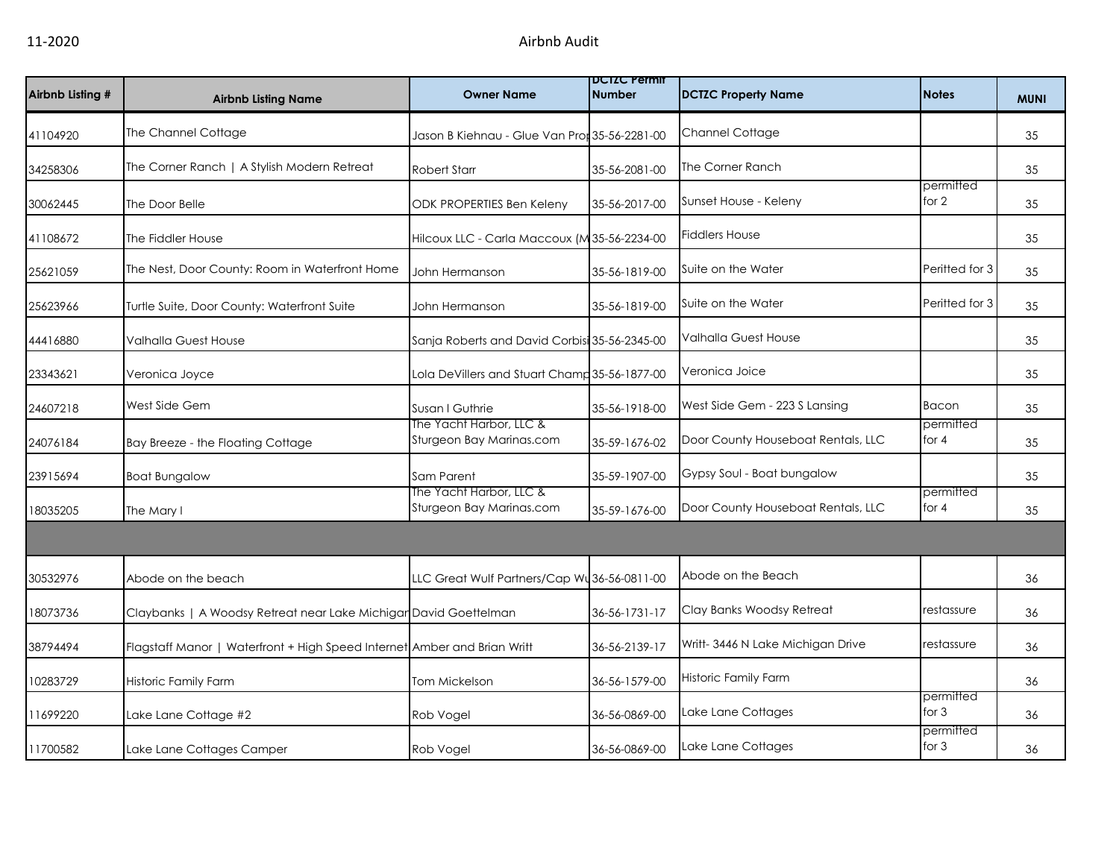| Airbnb Listing # | <b>Airbnb Listing Name</b>                                               | <b>Owner Name</b>                                   | <b>DUIZU Permit</b><br><b>Number</b> | <b>DCTZC Property Name</b>         | <b>Notes</b>         | <b>MUNI</b> |
|------------------|--------------------------------------------------------------------------|-----------------------------------------------------|--------------------------------------|------------------------------------|----------------------|-------------|
| 41104920         | The Channel Cottage                                                      | Jason B Kiehnau - Glue Van Pror 35-56-2281-00       |                                      | <b>Channel Cottage</b>             |                      | 35          |
| 34258306         | The Corner Ranch   A Stylish Modern Retreat                              | <b>Robert Starr</b>                                 | 35-56-2081-00                        | The Corner Ranch                   |                      | 35          |
| 30062445         | The Door Belle                                                           | ODK PROPERTIES Ben Keleny                           | 35-56-2017-00                        | Sunset House - Keleny              | permitted<br>for $2$ | 35          |
| 41108672         | The Fiddler House                                                        | Hilcoux LLC - Carla Maccoux (M35-56-2234-00         |                                      | <b>Fiddlers House</b>              |                      | 35          |
| 25621059         | The Nest, Door County: Room in Waterfront Home                           | John Hermanson                                      | 35-56-1819-00                        | Suite on the Water                 | Peritted for 3       | 35          |
| 25623966         | Turtle Suite, Door County: Waterfront Suite                              | John Hermanson                                      | 35-56-1819-00                        | Suite on the Water                 | Peritted for 3       | 35          |
| 44416880         | Valhalla Guest House                                                     | Sanja Roberts and David Corbisi 35-56-2345-00       |                                      | <b>Valhalla Guest House</b>        |                      | 35          |
| 23343621         | Veronica Joyce                                                           | Lola DeVillers and Stuart Champ 35-56-1877-00       |                                      | Veronica Joice                     |                      | 35          |
| 24607218         | West Side Gem                                                            | Susan I Guthrie                                     | 35-56-1918-00                        | West Side Gem - 223 S Lansing      | Bacon                | 35          |
| 24076184         | Bay Breeze - the Floating Cottage                                        | The Yacht Harbor, LLC &<br>Sturgeon Bay Marinas.com | 35-59-1676-02                        | Door County Houseboat Rentals, LLC | permitted<br>for $4$ | 35          |
| 23915694         | <b>Boat Bungalow</b>                                                     | Sam Parent                                          | 35-59-1907-00                        | Gypsy Soul - Boat bungalow         |                      | 35          |
| 18035205         | The Mary I                                                               | The Yacht Harbor, LLC &<br>Sturgeon Bay Marinas.com | 35-59-1676-00                        | Door County Houseboat Rentals, LLC | permitted<br>for 4   | 35          |
|                  |                                                                          |                                                     |                                      |                                    |                      |             |
| 30532976         | Abode on the beach                                                       | LLC Great Wulf Partners/Cap Wu36-56-0811-00         |                                      | Abode on the Beach                 |                      | 36          |
| 18073736         | Claybanks   A Woodsy Retreat near Lake Michigar David Goettelman         |                                                     | 36-56-1731-17                        | Clay Banks Woodsy Retreat          | restassure           | 36          |
| 38794494         | Flagstaff Manor   Waterfront + High Speed Internet Amber and Brian Writt |                                                     | 36-56-2139-17                        | Writt-3446 N Lake Michigan Drive   | restassure           | 36          |
| 10283729         | Historic Family Farm                                                     | <b>Tom Mickelson</b>                                | 36-56-1579-00                        | Historic Family Farm               |                      | 36          |
| 11699220         | Lake Lane Cottage #2                                                     | Rob Vogel                                           | 36-56-0869-00                        | Lake Lane Cottages                 | permitted<br>for $3$ | 36          |
| 11700582         | Lake Lane Cottages Camper                                                | Rob Vogel                                           | 36-56-0869-00                        | Lake Lane Cottages                 | permitted<br>for $3$ | 36          |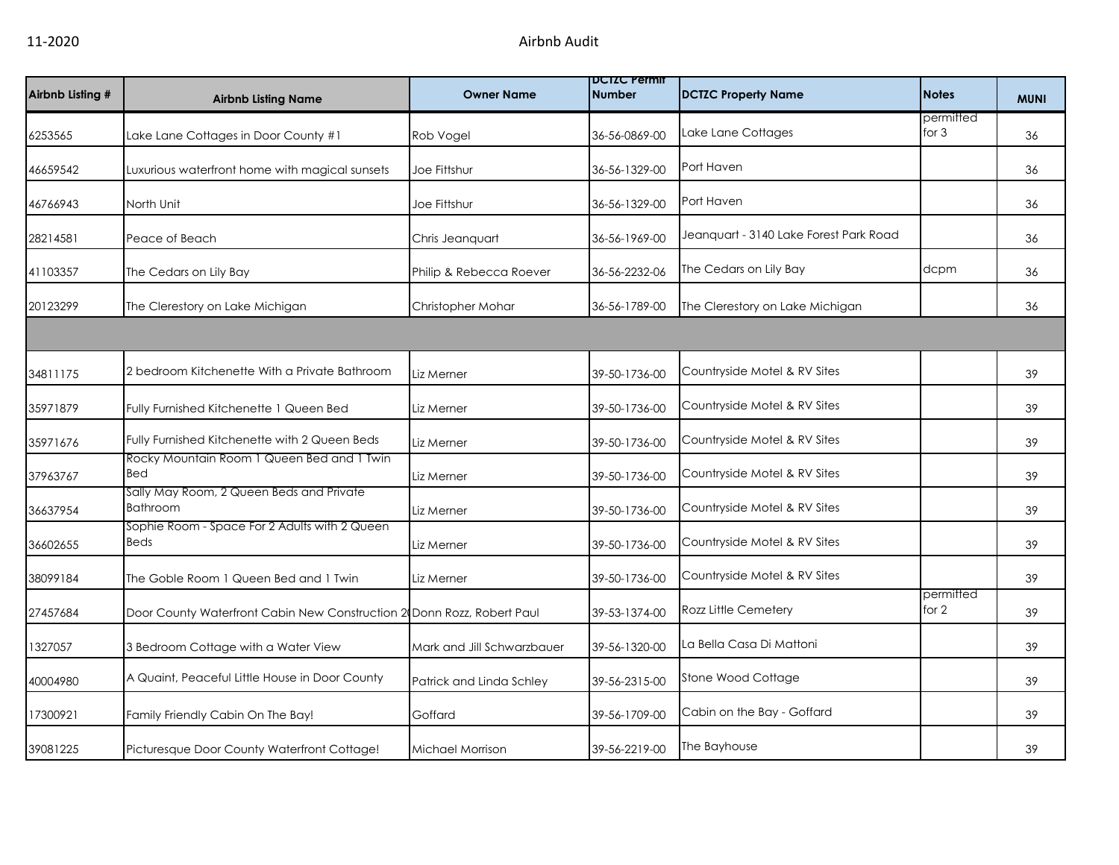| Airbnb Listing # | <b>Airbnb Listing Name</b>                                             | <b>Owner Name</b>          | <b>DCIZC Permit</b><br><b>Number</b> | <b>DCTZC Property Name</b>             | <b>Notes</b>         | <b>MUNI</b> |
|------------------|------------------------------------------------------------------------|----------------------------|--------------------------------------|----------------------------------------|----------------------|-------------|
| 6253565          | Lake Lane Cottages in Door County #1                                   | Rob Vogel                  | 36-56-0869-00                        | Lake Lane Cottages                     | permitted<br>for $3$ | 36          |
| 46659542         | Luxurious waterfront home with magical sunsets                         | Joe Fittshur               | 36-56-1329-00                        | Port Haven                             |                      | 36          |
| 46766943         | North Unit                                                             | Joe Fittshur               | 36-56-1329-00                        | Port Haven                             |                      | 36          |
| 28214581         | Peace of Beach                                                         | Chris Jeanquart            | 36-56-1969-00                        | Jeanguart - 3140 Lake Forest Park Road |                      | 36          |
| 41103357         | The Cedars on Lily Bay                                                 | Philip & Rebecca Roever    | 36-56-2232-06                        | The Cedars on Lily Bay                 | dcpm                 | 36          |
| 20123299         | The Clerestory on Lake Michigan                                        | Christopher Mohar          | 36-56-1789-00                        | The Clerestory on Lake Michigan        |                      | 36          |
|                  |                                                                        |                            |                                      |                                        |                      |             |
| 34811175         | 2 bedroom Kitchenette With a Private Bathroom                          | Liz Merner                 | 39-50-1736-00                        | Countryside Motel & RV Sites           |                      | 39          |
| 35971879         | Fully Furnished Kitchenette 1 Queen Bed                                | Liz Merner                 | 39-50-1736-00                        | Countryside Motel & RV Sites           |                      | 39          |
| 35971676         | Fully Furnished Kitchenette with 2 Queen Beds                          | Liz Merner                 | 39-50-1736-00                        | Countryside Motel & RV Sites           |                      | 39          |
| 37963767         | Rocky Mountain Room 1 Queen Bed and 1 Twin<br>Bed                      | Liz Merner                 | 39-50-1736-00                        | Countryside Motel & RV Sites           |                      | 39          |
| 36637954         | Sally May Room, 2 Queen Beds and Private<br><b>Bathroom</b>            | Liz Merner                 | 39-50-1736-00                        | Countryside Motel & RV Sites           |                      | 39          |
| 36602655         | Sophie Room - Space For 2 Adults with 2 Queen<br>Beds                  | Liz Merner                 | 39-50-1736-00                        | Countryside Motel & RV Sites           |                      | 39          |
| 38099184         | The Goble Room 1 Queen Bed and 1 Twin                                  | Liz Merner                 | 39-50-1736-00                        | Countryside Motel & RV Sites           |                      | 39          |
| 27457684         | Door County Waterfront Cabin New Construction 2 Donn Rozz, Robert Paul |                            | 39-53-1374-00                        | Rozz Little Cemetery                   | permitted<br>for 2   | 39          |
| 1327057          | 3 Bedroom Cottage with a Water View                                    | Mark and Jill Schwarzbauer | 39-56-1320-00                        | La Bella Casa Di Mattoni               |                      | 39          |
| 40004980         | A Quaint, Peaceful Little House in Door County                         | Patrick and Linda Schley   | 39-56-2315-00                        | Stone Wood Cottage                     |                      | 39          |
| 17300921         | Family Friendly Cabin On The Bay!                                      | Goffard                    | 39-56-1709-00                        | Cabin on the Bay - Goffard             |                      | 39          |
| 39081225         | Picturesque Door County Waterfront Cottage!                            | Michael Morrison           | 39-56-2219-00                        | The Bayhouse                           |                      | 39          |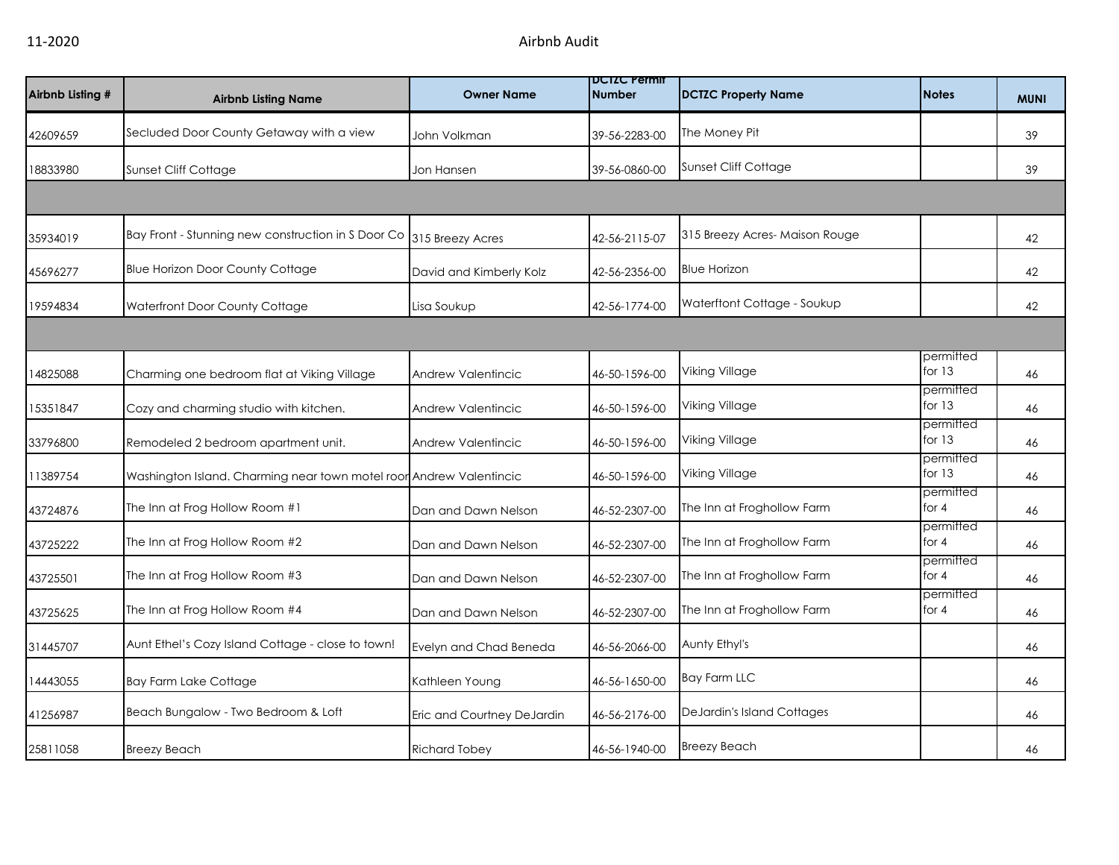| Airbnb Listing # | <b>Airbnb Listing Name</b>                                                          | <b>Owner Name</b>          | <b>DCIZC Permit</b><br>Number | <b>DCTZC Property Name</b>        | <b>Notes</b>          | <b>MUNI</b> |
|------------------|-------------------------------------------------------------------------------------|----------------------------|-------------------------------|-----------------------------------|-----------------------|-------------|
| 42609659         | Secluded Door County Getaway with a view                                            | John Volkman               | 39-56-2283-00                 | The Money Pit                     |                       | 39          |
| 18833980         | Sunset Cliff Cottage                                                                | Jon Hansen                 | 39-56-0860-00                 | Sunset Cliff Cottage              |                       | 39          |
|                  |                                                                                     |                            |                               |                                   |                       |             |
| 35934019         | $\vert$ Bay Front - Stunning new construction in S Door Co $\vert$ 315 Breezy Acres |                            | 42-56-2115-07                 | 315 Breezy Acres-Maison Rouge     |                       | 42          |
| 45696277         | <b>Blue Horizon Door County Cottage</b>                                             | David and Kimberly Kolz    | 42-56-2356-00                 | <b>Blue Horizon</b>               |                       | 42          |
| 19594834         | Waterfront Door County Cottage                                                      | Lisa Soukup                | 42-56-1774-00                 | Waterftont Cottage - Soukup       |                       | 42          |
|                  |                                                                                     |                            |                               |                                   |                       |             |
| 14825088         | Charming one bedroom flat at Viking Village                                         | Andrew Valentincic         | 46-50-1596-00                 | Viking Village                    | permitted<br>for $13$ | 46          |
| 15351847         | Cozy and charming studio with kitchen.                                              | <b>Andrew Valentincic</b>  | 46-50-1596-00                 | Viking Village                    | permitted<br>for $13$ | 46          |
| 33796800         | Remodeled 2 bedroom apartment unit.                                                 | Andrew Valentincic         | 46-50-1596-00                 | Viking Village                    | permitted<br>for $13$ | 46          |
| 11389754         | Washington Island. Charming near town motel roor Andrew Valentincic                 |                            | 46-50-1596-00                 | Viking Village                    | permitted<br>for $13$ | 46          |
| 43724876         | The Inn at Frog Hollow Room #1                                                      | Dan and Dawn Nelson        | 46-52-2307-00                 | The Inn at Froghollow Farm        | permitted<br>for 4    | 46          |
| 43725222         | The Inn at Frog Hollow Room #2                                                      | Dan and Dawn Nelson        | 46-52-2307-00                 | The Inn at Froghollow Farm        | permitted<br>for $4$  | 46          |
| 43725501         | The Inn at Frog Hollow Room #3                                                      | Dan and Dawn Nelson        | 46-52-2307-00                 | The Inn at Froghollow Farm        | permitted<br>for $4$  | 46          |
| 43725625         | The Inn at Frog Hollow Room #4                                                      | Dan and Dawn Nelson        | 46-52-2307-00                 | The Inn at Froghollow Farm        | permitted<br>for 4    | 46          |
| 31445707         | Aunt Ethel's Cozy Island Cottage - close to town!                                   | Evelyn and Chad Beneda     | 46-56-2066-00                 | Aunty Ethyl's                     |                       | 46          |
| 14443055         | <b>Bay Farm Lake Cottage</b>                                                        | Kathleen Young             | 46-56-1650-00                 | <b>Bay Farm LLC</b>               |                       | 46          |
| 41256987         | Beach Bungalow - Two Bedroom & Loft                                                 | Eric and Courtney DeJardin | 46-56-2176-00                 | <b>DeJardin's Island Cottages</b> |                       | 46          |
| 25811058         | <b>Breezy Beach</b>                                                                 | <b>Richard Tobey</b>       | 46-56-1940-00                 | <b>Breezy Beach</b>               |                       | 46          |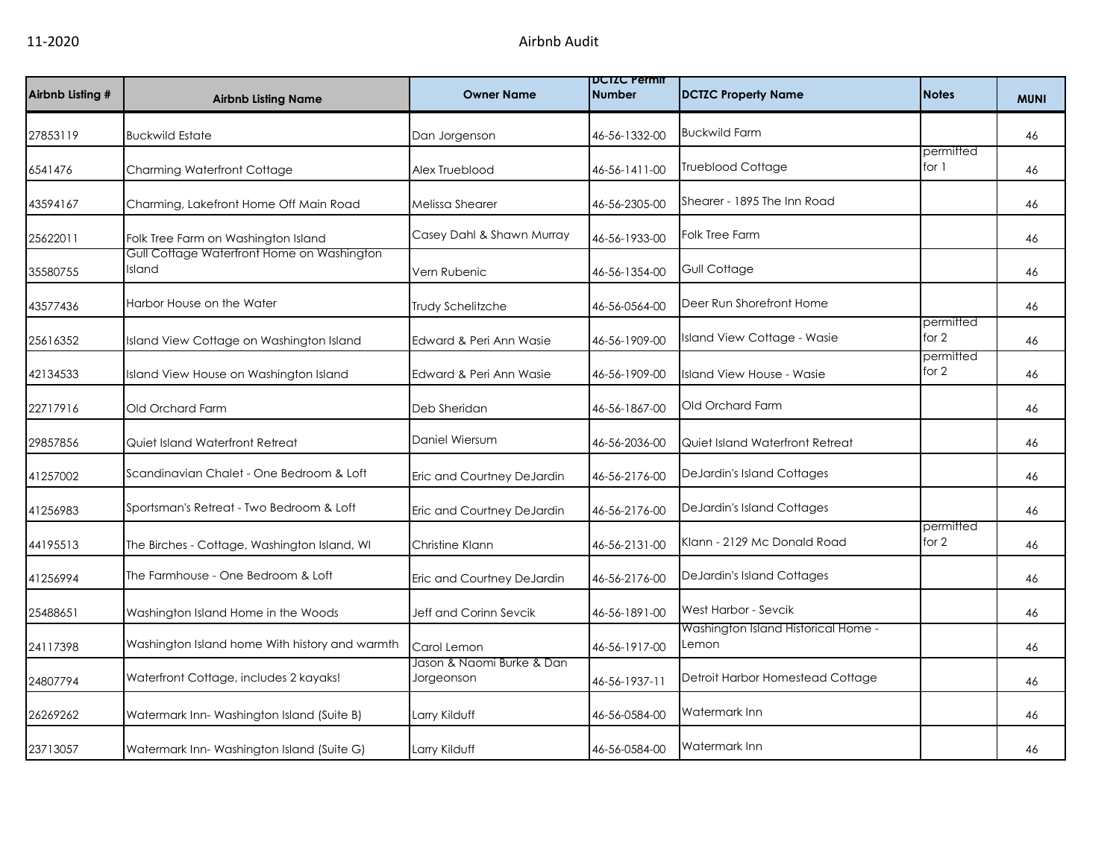| Airbnb Listing # | <b>Airbnb Listing Name</b>                           | <b>Owner Name</b>                       | <b>DCIZC Permit</b><br>Number | <b>DCTZC Property Name</b>                   | <b>Notes</b>       | <b>MUNI</b> |
|------------------|------------------------------------------------------|-----------------------------------------|-------------------------------|----------------------------------------------|--------------------|-------------|
| 27853119         | <b>Buckwild Estate</b>                               | Dan Jorgenson                           | 46-56-1332-00                 | <b>Buckwild Farm</b>                         |                    | 46          |
| 6541476          | Charming Waterfront Cottage                          | Alex Trueblood                          | 46-56-1411-00                 | <b>Trueblood Cottage</b>                     | permitted<br>for 1 | 46          |
| 43594167         | Charming, Lakefront Home Off Main Road               | Melissa Shearer                         | 46-56-2305-00                 | Shearer - 1895 The Inn Road                  |                    | 46          |
| 25622011         | Folk Tree Farm on Washington Island                  | Casey Dahl & Shawn Murray               | 46-56-1933-00                 | Folk Tree Farm                               |                    | 46          |
| 35580755         | Gull Cottage Waterfront Home on Washington<br>Island | Vern Rubenic                            | 46-56-1354-00                 | Gull Cottage                                 |                    | 46          |
| 43577436         | Harbor House on the Water                            | Trudy Schelitzche                       | 46-56-0564-00                 | Deer Run Shorefront Home                     |                    | 46          |
| 25616352         | Island View Cottage on Washington Island             | Edward & Peri Ann Wasie                 | 46-56-1909-00                 | Island View Cottage - Wasie                  | permitted<br>for 2 | 46          |
| 42134533         | Island View House on Washington Island               | Edward & Peri Ann Wasie                 | 46-56-1909-00                 | Island View House - Wasie                    | permitted<br>for 2 | 46          |
| 22717916         | Old Orchard Farm                                     | Deb Sheridan                            | 46-56-1867-00                 | Old Orchard Farm                             |                    | 46          |
| 29857856         | Quiet Island Waterfront Retreat                      | Daniel Wiersum                          | 46-56-2036-00                 | Quiet Island Waterfront Retreat              |                    | 46          |
| 41257002         | Scandinavian Chalet - One Bedroom & Loft             | Eric and Courtney DeJardin              | 46-56-2176-00                 | <b>DeJardin's Island Cottages</b>            |                    | 46          |
| 41256983         | Sportsman's Retreat - Two Bedroom & Loft             | Eric and Courtney DeJardin              | 46-56-2176-00                 | <b>DeJardin's Island Cottages</b>            |                    | 46          |
| 44195513         | The Birches - Cottage, Washington Island, WI         | Christine Klann                         | 46-56-2131-00                 | Klann - 2129 Mc Donald Road                  | permitted<br>for 2 | 46          |
| 41256994         | The Farmhouse - One Bedroom & Loft                   | Eric and Courtney DeJardin              | 46-56-2176-00                 | <b>DeJardin's Island Cottages</b>            |                    | 46          |
| 25488651         | Washington Island Home in the Woods                  | Jeff and Corinn Sevcik                  | 46-56-1891-00                 | West Harbor - Sevcik                         |                    | 46          |
| 24117398         | Washington Island home With history and warmth       | Carol Lemon                             | 46-56-1917-00                 | Washington Island Historical Home -<br>Lemon |                    | 46          |
| 24807794         | Waterfront Cottage, includes 2 kayaks!               | Jason & Naomi Burke & Dan<br>Jorgeonson | 46-56-1937-11                 | Detroit Harbor Homestead Cottage             |                    | 46          |
| 26269262         | Watermark Inn-Washington Island (Suite B)            | Larry Kilduff                           | 46-56-0584-00                 | Watermark Inn                                |                    | 46          |
| 23713057         | Watermark Inn-Washington Island (Suite G)            | Larry Kilduff                           | 46-56-0584-00                 | Watermark Inn                                |                    | 46          |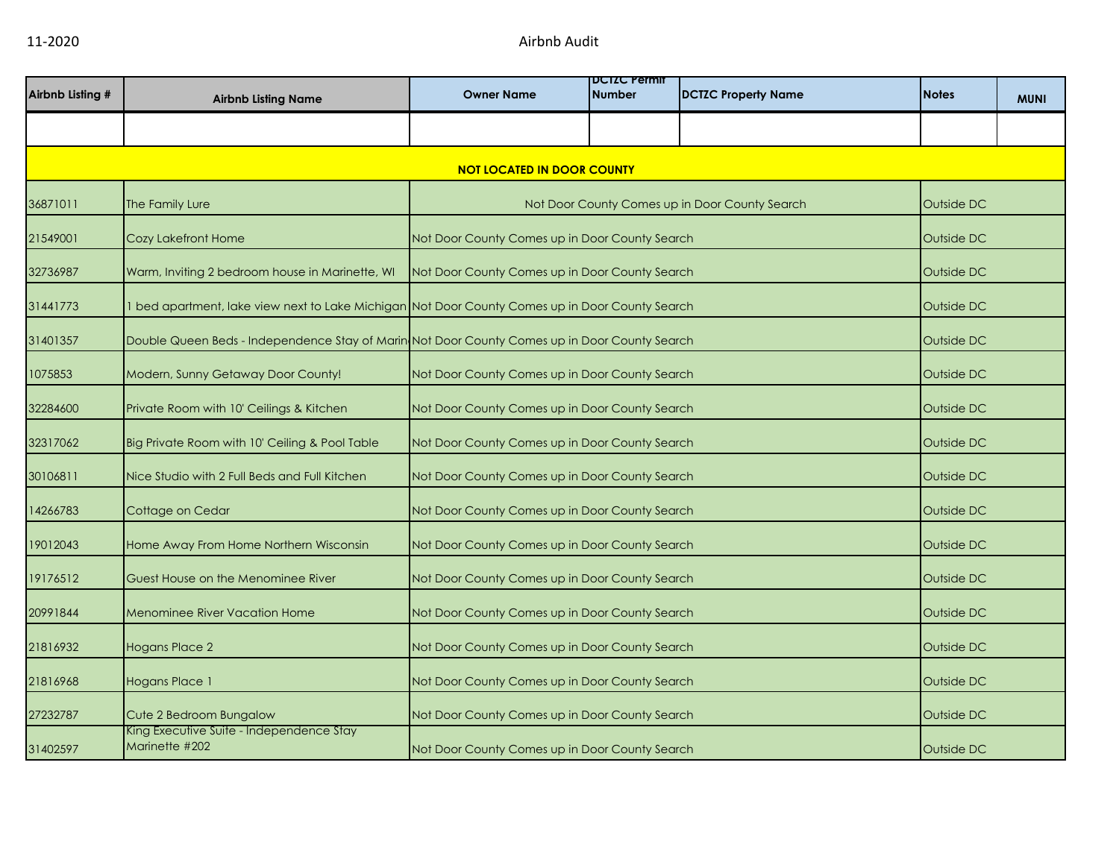| Airbnb Listing # | <b>Airbnb Listing Name</b>                                                                      | <b>Owner Name</b>                              | <b>DCIZC Permit</b><br><b>Number</b> | <b>DCTZC Property Name</b>                     | <b>Notes</b> | <b>MUNI</b> |
|------------------|-------------------------------------------------------------------------------------------------|------------------------------------------------|--------------------------------------|------------------------------------------------|--------------|-------------|
|                  |                                                                                                 |                                                |                                      |                                                |              |             |
|                  |                                                                                                 | <b>NOT LOCATED IN DOOR COUNTY</b>              |                                      |                                                |              |             |
| 36871011         | The Family Lure                                                                                 |                                                |                                      | Not Door County Comes up in Door County Search | Outside DC   |             |
| 21549001         | Cozy Lakefront Home                                                                             | Not Door County Comes up in Door County Search |                                      |                                                | Outside DC   |             |
| 32736987         | Warm, Inviting 2 bedroom house in Marinette, WI                                                 | Not Door County Comes up in Door County Search |                                      |                                                | Outside DC   |             |
| 31441773         | 1 bed apartment, lake view next to Lake Michigan Not Door County Comes up in Door County Search |                                                |                                      |                                                | Outside DC   |             |
| 31401357         | Double Queen Beds - Independence Stay of Marin Not Door County Comes up in Door County Search   |                                                |                                      |                                                | Outside DC   |             |
| 1075853          | Modern, Sunny Getaway Door County!                                                              | Not Door County Comes up in Door County Search |                                      |                                                | Outside DC   |             |
| 32284600         | Private Room with 10' Ceilings & Kitchen                                                        | Not Door County Comes up in Door County Search |                                      |                                                | Outside DC   |             |
| 32317062         | Big Private Room with 10' Ceiling & Pool Table                                                  | Not Door County Comes up in Door County Search |                                      |                                                | Outside DC   |             |
| 30106811         | Nice Studio with 2 Full Beds and Full Kitchen                                                   | Not Door County Comes up in Door County Search |                                      |                                                | Outside DC   |             |
| 14266783         | Cottage on Cedar                                                                                | Not Door County Comes up in Door County Search |                                      |                                                | Outside DC   |             |
| 19012043         | Home Away From Home Northern Wisconsin                                                          | Not Door County Comes up in Door County Search |                                      |                                                | Outside DC   |             |
| 19176512         | Guest House on the Menominee River                                                              | Not Door County Comes up in Door County Search |                                      |                                                | Outside DC   |             |
| 20991844         | <b>Menominee River Vacation Home</b>                                                            | Not Door County Comes up in Door County Search |                                      |                                                | Outside DC   |             |
| 21816932         | <b>Hogans Place 2</b>                                                                           | Not Door County Comes up in Door County Search |                                      |                                                | Outside DC   |             |
| 21816968         | Hogans Place 1                                                                                  | Not Door County Comes up in Door County Search |                                      |                                                | Outside DC   |             |
| 27232787         | Cute 2 Bedroom Bungalow<br>King Executive Suite - Independence Stay                             | Not Door County Comes up in Door County Search |                                      |                                                | Outside DC   |             |
| 31402597         | Marinette #202                                                                                  | Not Door County Comes up in Door County Search |                                      |                                                | Outside DC   |             |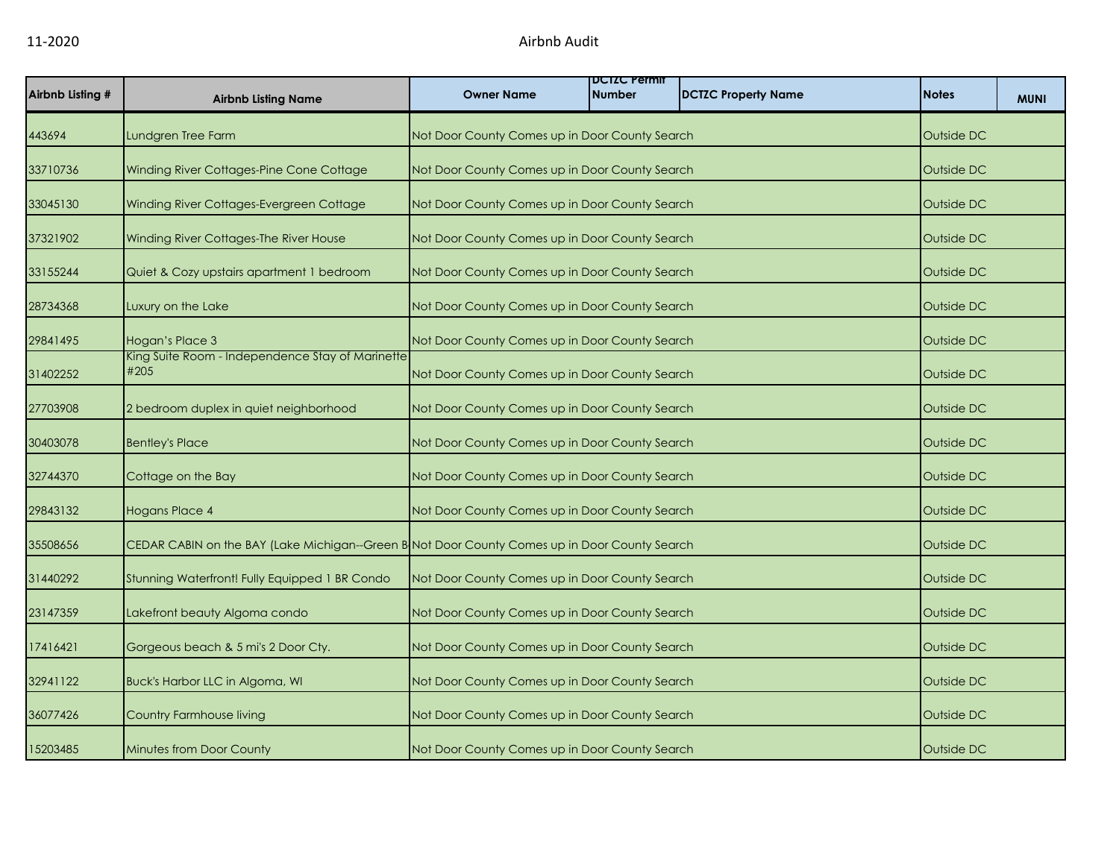| Airbnb Listing # | <b>Airbnb Listing Name</b>                                                                    | <b>Owner Name</b>                              | <b>DUIZU Permit</b><br><b>Number</b> | <b>DCTZC Property Name</b> | <b>Notes</b> | <b>MUNI</b> |
|------------------|-----------------------------------------------------------------------------------------------|------------------------------------------------|--------------------------------------|----------------------------|--------------|-------------|
| 443694           | Lundgren Tree Farm                                                                            | Not Door County Comes up in Door County Search |                                      |                            | Outside DC   |             |
| 33710736         | Winding River Cottages-Pine Cone Cottage                                                      | Not Door County Comes up in Door County Search |                                      |                            | Outside DC   |             |
| 33045130         | Winding River Cottages-Evergreen Cottage                                                      | Not Door County Comes up in Door County Search |                                      |                            | Outside DC   |             |
| 37321902         | Winding River Cottages-The River House                                                        | Not Door County Comes up in Door County Search |                                      |                            | Outside DC   |             |
| 33155244         | Quiet & Cozy upstairs apartment 1 bedroom                                                     | Not Door County Comes up in Door County Search |                                      |                            | Outside DC   |             |
| 28734368         | Luxury on the Lake                                                                            | Not Door County Comes up in Door County Search |                                      |                            | Outside DC   |             |
| 29841495         | Hogan's Place 3                                                                               | Not Door County Comes up in Door County Search |                                      |                            | Outside DC   |             |
| 31402252         | King Suite Room - Independence Stay of Marinette<br>#205                                      | Not Door County Comes up in Door County Search |                                      |                            | Outside DC   |             |
| 27703908         | 2 bedroom duplex in quiet neighborhood                                                        | Not Door County Comes up in Door County Search |                                      |                            | Outside DC   |             |
| 30403078         | <b>Bentley's Place</b>                                                                        | Not Door County Comes up in Door County Search |                                      |                            | Outside DC   |             |
| 32744370         | Cottage on the Bay                                                                            | Not Door County Comes up in Door County Search |                                      |                            | Outside DC   |             |
| 29843132         | <b>Hogans Place 4</b>                                                                         | Not Door County Comes up in Door County Search |                                      |                            | Outside DC   |             |
| 35508656         | CEDAR CABIN on the BAY (Lake Michigan--Green B Not Door County Comes up in Door County Search |                                                |                                      |                            | Outside DC   |             |
| 31440292         | Stunning Waterfront! Fully Equipped 1 BR Condo                                                | Not Door County Comes up in Door County Search |                                      |                            | Outside DC   |             |
| 23147359         | Lakefront beauty Algoma condo                                                                 | Not Door County Comes up in Door County Search |                                      |                            | Outside DC   |             |
| 17416421         | Gorgeous beach & 5 mi's 2 Door Cty.                                                           | Not Door County Comes up in Door County Search |                                      |                            | Outside DC   |             |
| 32941122         | Buck's Harbor LLC in Algoma, WI                                                               | Not Door County Comes up in Door County Search |                                      |                            | Outside DC   |             |
| 36077426         | Country Farmhouse living                                                                      | Not Door County Comes up in Door County Search |                                      |                            | Outside DC   |             |
| 15203485         | Minutes from Door County                                                                      | Not Door County Comes up in Door County Search |                                      |                            | Outside DC   |             |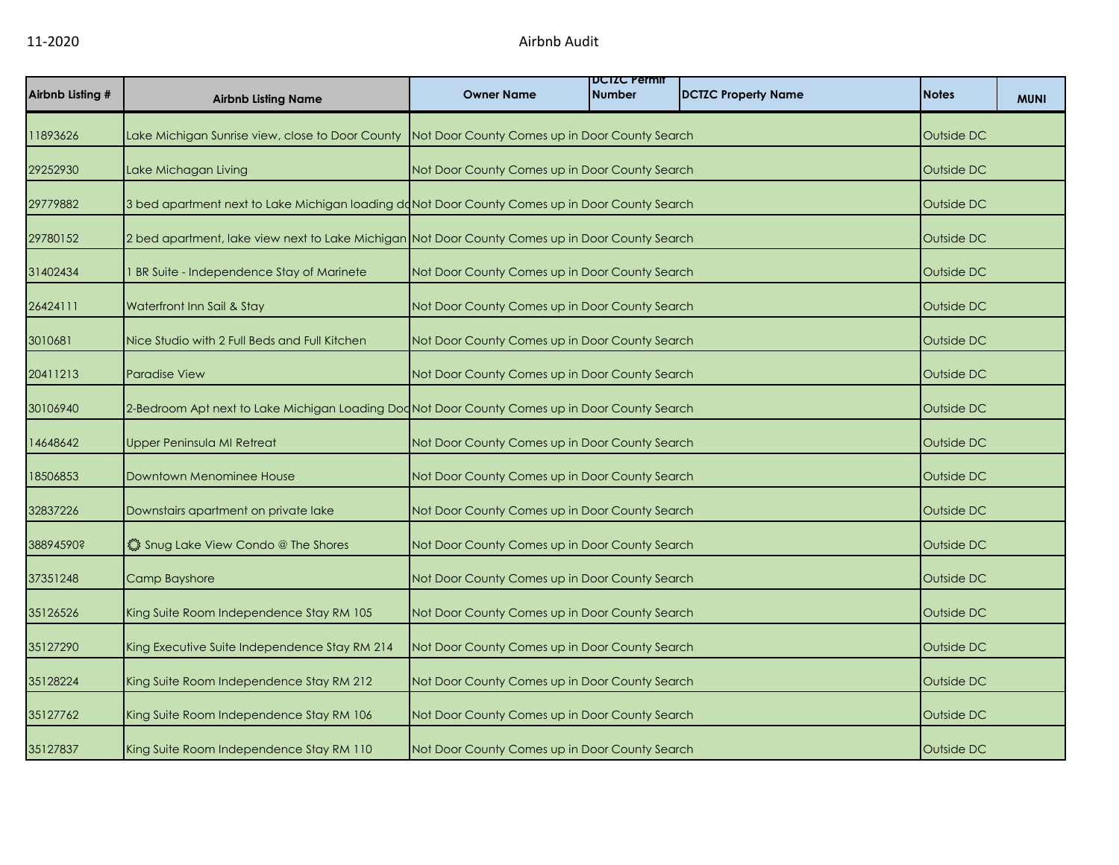| Airbnb Listing # | <b>Airbnb Listing Name</b>                                                                        | <b>Owner Name</b>                              | <b>DCIZC Permit</b><br><b>Number</b> | <b>DCTZC Property Name</b> | <b>Notes</b>      | <b>MUNI</b> |
|------------------|---------------------------------------------------------------------------------------------------|------------------------------------------------|--------------------------------------|----------------------------|-------------------|-------------|
| 11893626         | Lake Michigan Sunrise view, close to Door County   Not Door County Comes up in Door County Search |                                                |                                      |                            | Outside DC        |             |
| 29252930         | Lake Michagan Living                                                                              | Not Door County Comes up in Door County Search |                                      |                            | Outside DC        |             |
| 29779882         | 3 bed apartment next to Lake Michigan loading doNot Door County Comes up in Door County Search    |                                                |                                      |                            | Outside DC        |             |
| 29780152         | 2 bed apartment, lake view next to Lake Michigan Not Door County Comes up in Door County Search   |                                                |                                      |                            | Outside DC        |             |
| 31402434         | BR Suite - Independence Stay of Marinete                                                          | Not Door County Comes up in Door County Search |                                      |                            | Outside DC        |             |
| 26424111         | Waterfront Inn Sail & Stay                                                                        | Not Door County Comes up in Door County Search |                                      |                            | Outside DC        |             |
| 3010681          | Nice Studio with 2 Full Beds and Full Kitchen                                                     | Not Door County Comes up in Door County Search |                                      |                            | Outside DC        |             |
| 20411213         | <b>Paradise View</b>                                                                              | Not Door County Comes up in Door County Search |                                      |                            | Outside DC        |             |
| 30106940         | 2-Bedroom Apt next to Lake Michigan Loading DodNot Door County Comes up in Door County Search     |                                                |                                      |                            | Outside DC        |             |
| 14648642         | <b>Upper Peninsula MI Retreat</b>                                                                 | Not Door County Comes up in Door County Search |                                      |                            | Outside DC        |             |
| 18506853         | Downtown Menominee House                                                                          | Not Door County Comes up in Door County Search |                                      |                            | Outside DC        |             |
| 32837226         | Downstairs apartment on private lake                                                              | Not Door County Comes up in Door County Search |                                      |                            | Outside DC        |             |
| 38894590?        | ៉្លិះ Snug Lake View Condo @ The Shores                                                           | Not Door County Comes up in Door County Search |                                      |                            | <b>Outside DC</b> |             |
| 37351248         | Camp Bayshore                                                                                     | Not Door County Comes up in Door County Search |                                      |                            | Outside DC        |             |
| 35126526         | King Suite Room Independence Stay RM 105                                                          | Not Door County Comes up in Door County Search |                                      |                            | Outside DC        |             |
| 35127290         | King Executive Suite Independence Stay RM 214                                                     | Not Door County Comes up in Door County Search |                                      |                            | Outside DC        |             |
| 35128224         | King Suite Room Independence Stay RM 212                                                          | Not Door County Comes up in Door County Search |                                      |                            | Outside DC        |             |
| 35127762         | King Suite Room Independence Stay RM 106                                                          | Not Door County Comes up in Door County Search |                                      |                            | Outside DC        |             |
| 35127837         | King Suite Room Independence Stay RM 110                                                          | Not Door County Comes up in Door County Search |                                      |                            | Outside DC        |             |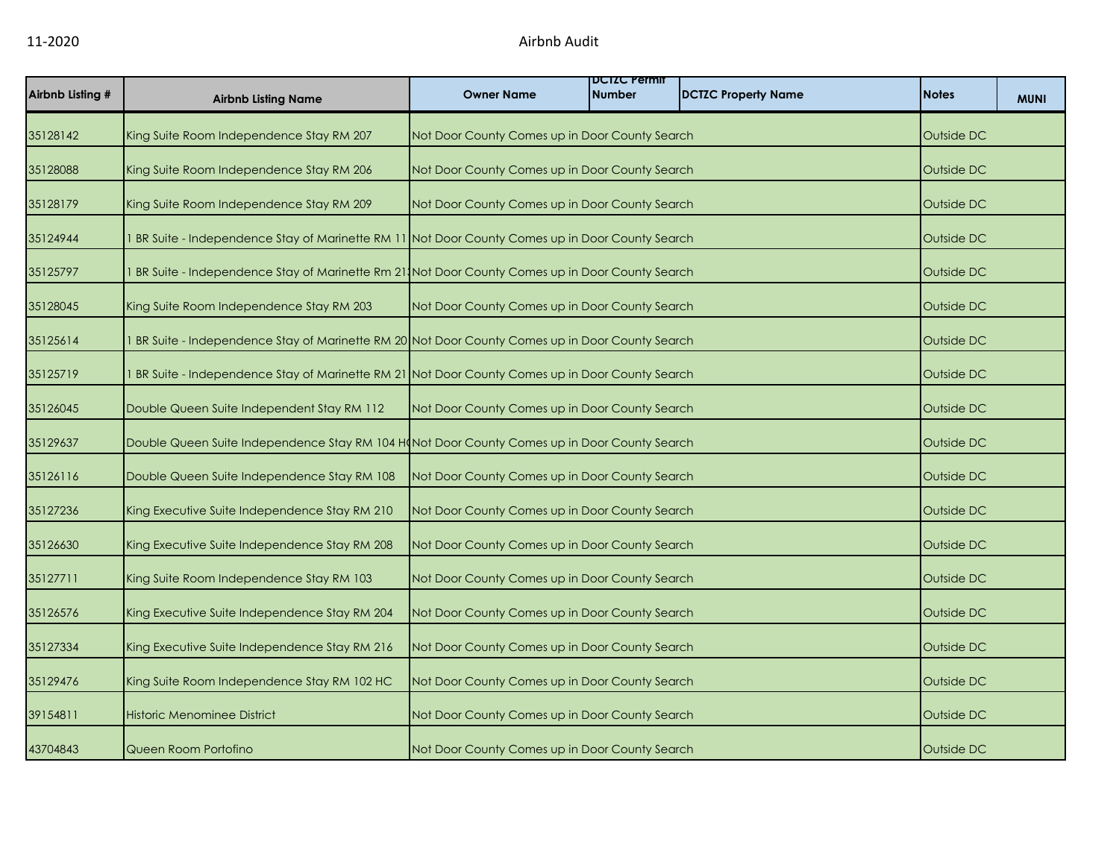| Airbnb Listing # | <b>Airbnb Listing Name</b>                                                                        | <b>Owner Name</b>                              | <b>DUIZU Permit</b><br><b>Number</b> | <b>DCTZC Property Name</b> | <b>Notes</b> | <b>MUNI</b> |
|------------------|---------------------------------------------------------------------------------------------------|------------------------------------------------|--------------------------------------|----------------------------|--------------|-------------|
| 35128142         | King Suite Room Independence Stay RM 207                                                          | Not Door County Comes up in Door County Search |                                      |                            | Outside DC   |             |
| 35128088         | King Suite Room Independence Stay RM 206                                                          | Not Door County Comes up in Door County Search |                                      |                            | Outside DC   |             |
| 35128179         | King Suite Room Independence Stay RM 209                                                          | Not Door County Comes up in Door County Search |                                      |                            | Outside DC   |             |
| 35124944         | BR Suite - Independence Stay of Marinette RM 11 Not Door County Comes up in Door County Search    |                                                |                                      |                            | Outside DC   |             |
| 35125797         | 1 BR Suite - Independence Stay of Marinette Rm 21, Not Door County Comes up in Door County Search |                                                |                                      |                            | Outside DC   |             |
| 35128045         | King Suite Room Independence Stay RM 203                                                          | Not Door County Comes up in Door County Search |                                      |                            | Outside DC   |             |
| 35125614         | BR Suite - Independence Stay of Marinette RM 20 Not Door County Comes up in Door County Search    |                                                |                                      |                            | Outside DC   |             |
| 35125719         | BR Suite - Independence Stay of Marinette RM 21 Not Door County Comes up in Door County Search    |                                                |                                      |                            | Outside DC   |             |
| 35126045         | Double Queen Suite Independent Stay RM 112                                                        | Not Door County Comes up in Door County Search |                                      |                            | Outside DC   |             |
| 35129637         | Double Queen Suite Independence Stay RM 104 H(Not Door County Comes up in Door County Search      |                                                |                                      |                            | Outside DC   |             |
| 35126116         | Double Queen Suite Independence Stay RM 108                                                       | Not Door County Comes up in Door County Search |                                      |                            | Outside DC   |             |
| 35127236         | King Executive Suite Independence Stay RM 210                                                     | Not Door County Comes up in Door County Search |                                      |                            | Outside DC   |             |
| 35126630         | King Executive Suite Independence Stay RM 208                                                     | Not Door County Comes up in Door County Search |                                      |                            | Outside DC   |             |
| 35127711         | King Suite Room Independence Stay RM 103                                                          | Not Door County Comes up in Door County Search |                                      |                            | Outside DC   |             |
| 35126576         | King Executive Suite Independence Stay RM 204                                                     | Not Door County Comes up in Door County Search |                                      |                            | Outside DC   |             |
| 35127334         | King Executive Suite Independence Stay RM 216                                                     | Not Door County Comes up in Door County Search |                                      |                            | Outside DC   |             |
| 35129476         | King Suite Room Independence Stay RM 102 HC                                                       | Not Door County Comes up in Door County Search |                                      |                            | Outside DC   |             |
| 39154811         | <b>Historic Menominee District</b>                                                                | Not Door County Comes up in Door County Search |                                      |                            | Outside DC   |             |
| 43704843         | Queen Room Portofino                                                                              | Not Door County Comes up in Door County Search |                                      |                            | Outside DC   |             |